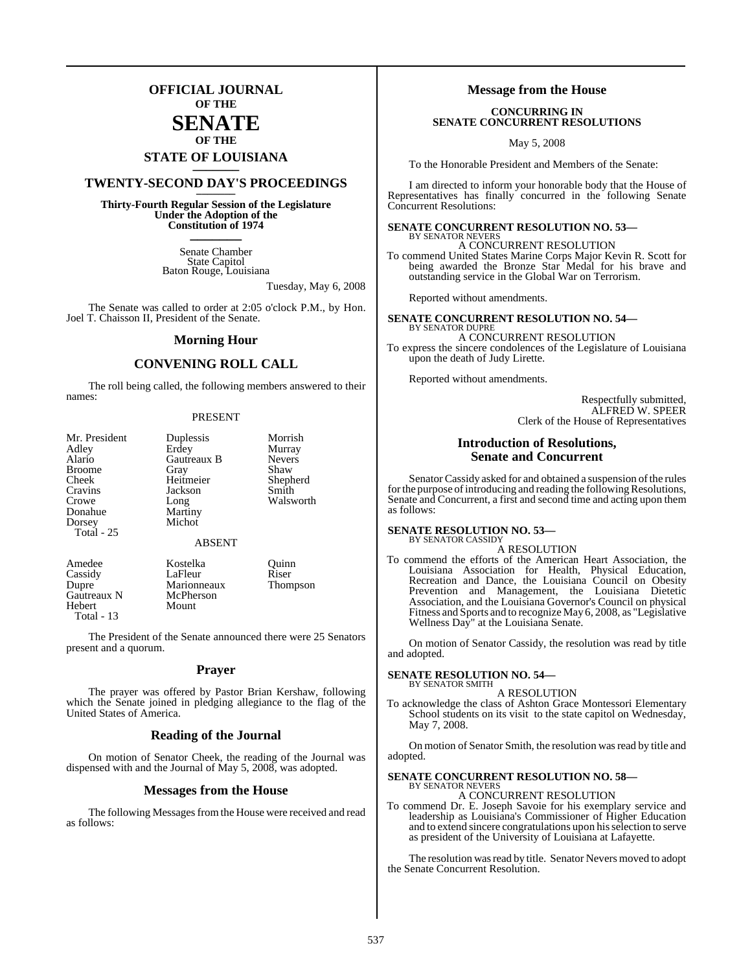### **OFFICIAL JOURNAL OF THE**

### **SENATE OF THE**

# **STATE OF LOUISIANA \_\_\_\_\_\_\_**

# **TWENTY-SECOND DAY'S PROCEEDINGS \_\_\_\_\_\_\_**

**Thirty-Fourth Regular Session of the Legislature Under the Adoption of the Constitution of 1974 \_\_\_\_\_\_\_**

> Senate Chamber State Capitol Baton Rouge, Louisiana

> > Tuesday, May 6, 2008

The Senate was called to order at 2:05 o'clock P.M., by Hon. Joel T. Chaisson II, President of the Senate.

### **Morning Hour**

### **CONVENING ROLL CALL**

The roll being called, the following members answered to their names:

### PRESENT

| Mr. President<br>Adley<br>Alario<br><b>Broome</b><br>Cheek<br>Cravins<br>Crowe<br>Donahue<br>Dorsey<br>Total $-25$ | Duplessis<br>Erdey<br>Gautreaux B<br>Gray<br>Heitmeier<br>Jackson<br>Long<br>Martiny<br>Michot | Morrish<br>Murray<br><b>Nevers</b><br>Shaw<br>Shepherd<br>Smith<br>Walsworth |
|--------------------------------------------------------------------------------------------------------------------|------------------------------------------------------------------------------------------------|------------------------------------------------------------------------------|
|                                                                                                                    | <b>ABSENT</b>                                                                                  |                                                                              |

| Amedee            | Kostelka    | Ouinn           |
|-------------------|-------------|-----------------|
| Cassidy           | LaFleur     | Riser           |
| Dupre             | Marionneaux | <b>Thompson</b> |
| Gautreaux N       | McPherson   |                 |
| Hebert            | Mount       |                 |
| <b>Total - 13</b> |             |                 |

The President of the Senate announced there were 25 Senators present and a quorum.

### **Prayer**

The prayer was offered by Pastor Brian Kershaw, following which the Senate joined in pledging allegiance to the flag of the United States of America.

### **Reading of the Journal**

On motion of Senator Cheek, the reading of the Journal was dispensed with and the Journal of May 5, 2008, was adopted.

### **Messages from the House**

The following Messages from the House were received and read as follows:

### **Message from the House**

### **CONCURRING IN SENATE CONCURRENT RESOLUTIONS**

May 5, 2008

To the Honorable President and Members of the Senate:

I am directed to inform your honorable body that the House of Representatives has finally concurred in the following Senate Concurrent Resolutions:

### **SENATE CONCURRENT RESOLUTION NO. 53—** BY SENATOR NEVERS

A CONCURRENT RESOLUTION To commend United States Marine Corps Major Kevin R. Scott for being awarded the Bronze Star Medal for his brave and outstanding service in the Global War on Terrorism.

Reported without amendments.

**SENATE CONCURRENT RESOLUTION NO. 54—** BY SENATOR DUPRE

A CONCURRENT RESOLUTION To express the sincere condolences of the Legislature of Louisiana upon the death of Judy Lirette.

Reported without amendments.

Respectfully submitted, ALFRED W. SPEER Clerk of the House of Representatives

### **Introduction of Resolutions, Senate and Concurrent**

Senator Cassidy asked for and obtained a suspension of the rules for the purpose of introducing and reading the following Resolutions, Senate and Concurrent, a first and second time and acting upon them as follows:

### **SENATE RESOLUTION NO. 53—**

BY SENATOR CASSIDY A RESOLUTION

To commend the efforts of the American Heart Association, the Louisiana Association for Health, Physical Education, Recreation and Dance, the Louisiana Council on Obesity Prevention and Management, the Louisiana Dietetic Association, and the Louisiana Governor's Council on physical Fitness and Sports and to recognize May 6, 2008, as "Legislative Wellness Day" at the Louisiana Senate.

On motion of Senator Cassidy, the resolution was read by title and adopted.

### **SENATE RESOLUTION NO. 54—** BY SENATOR SMITH

A RESOLUTION

To acknowledge the class of Ashton Grace Montessori Elementary School students on its visit to the state capitol on Wednesday, May 7, 2008.

On motion of Senator Smith, the resolution wasread by title and adopted.

### **SENATE CONCURRENT RESOLUTION NO. 58—**

# BY SENATOR NEVERS A CONCURRENT RESOLUTION

To commend Dr. E. Joseph Savoie for his exemplary service and leadership as Louisiana's Commissioner of Higher Education and to extend sincere congratulations upon hisselection to serve as president of the University of Louisiana at Lafayette.

The resolution was read by title. Senator Nevers moved to adopt the Senate Concurrent Resolution.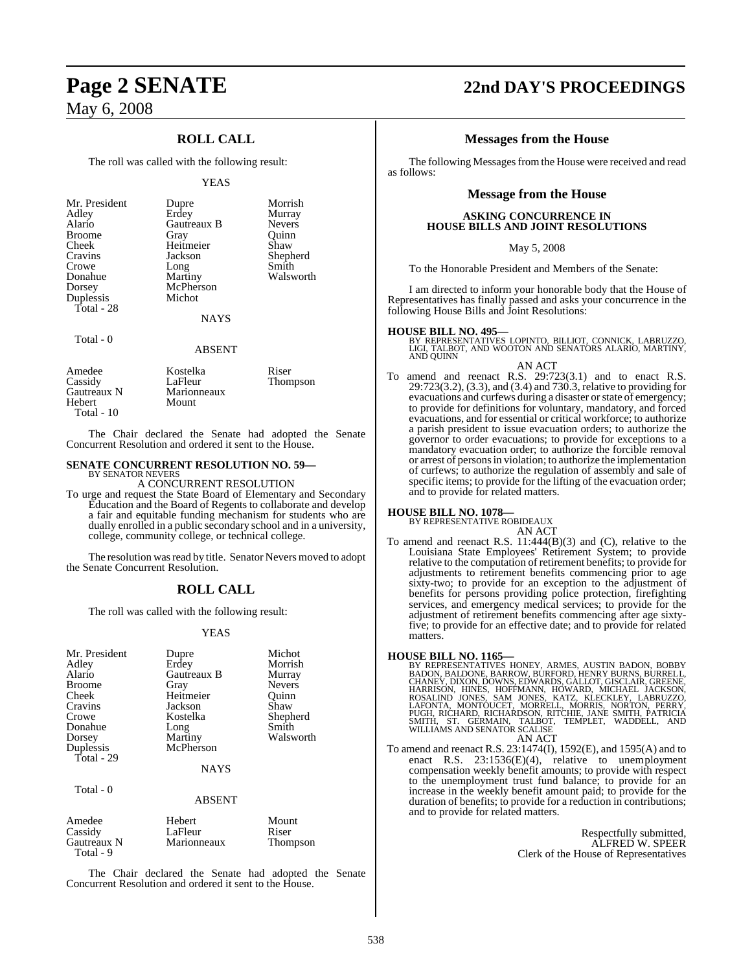### **ROLL CALL**

The roll was called with the following result:

### YEAS

| Mr. President<br>Adley<br>Alario<br><b>Broome</b><br>Cheek<br>Cravins<br>Crowe<br>Donahue<br>Dorsey<br>Duplessis<br>Total - 28 | Dupre<br>Erdey<br>Gautreaux B<br>Gray<br>Heitmeier<br>Jackson<br>Long<br>Martiny<br>McPherson<br>Michot<br><b>NAYS</b> | Morrish<br>Murray<br><b>Nevers</b><br>Ouinn<br>Shaw<br>Shepherd<br>Smith<br>Walsworth |
|--------------------------------------------------------------------------------------------------------------------------------|------------------------------------------------------------------------------------------------------------------------|---------------------------------------------------------------------------------------|
| Total - 0                                                                                                                      |                                                                                                                        |                                                                                       |

| Amedee<br>Cassidy<br>Gautreaux N<br>Hebert | Kostelka<br>LaFleur<br>Marionneaux<br>Mount | Riser<br>Thompson |  |
|--------------------------------------------|---------------------------------------------|-------------------|--|
| Total $-10$                                |                                             |                   |  |

The Chair declared the Senate had adopted the Senate Concurrent Resolution and ordered it sent to the House.

ABSENT

### **SENATE CONCURRENT RESOLUTION NO. 59—** BY SENATOR NEVERS

### A CONCURRENT RESOLUTION

To urge and request the State Board of Elementary and Secondary Education and the Board of Regents to collaborate and develop a fair and equitable funding mechanism for students who are dually enrolled in a public secondary school and in a university, college, community college, or technical college.

The resolution was read by title. Senator Nevers moved to adopt the Senate Concurrent Resolution.

### **ROLL CALL**

The roll was called with the following result:

### YEAS

| Mr. President<br>Adley<br>Alario<br><b>Broome</b><br>Cheek<br>Cravins<br>Crowe<br>Donahue<br>Dorsey<br>Duplessis<br>Total - 29 | Dupre<br>Erdey<br>Gautreaux B<br>Gray<br>Heitmeier<br>Jackson<br>Kostelka<br>Long<br>Martiny<br>McPherson | Michot<br>Morrish<br>Murray<br><b>Nevers</b><br>Ouinn<br>Shaw<br>Shepherd<br>Smith<br>Walsworth |
|--------------------------------------------------------------------------------------------------------------------------------|-----------------------------------------------------------------------------------------------------------|-------------------------------------------------------------------------------------------------|
|                                                                                                                                | <b>NAYS</b>                                                                                               |                                                                                                 |
| Total - 0                                                                                                                      | <b>ABSENT</b>                                                                                             |                                                                                                 |

| Amedee      | Hebert      | Mount    |
|-------------|-------------|----------|
| Cassidy     | LaFleur     | Riser    |
| Gautreaux N | Marionneaux | Thompson |
| Total - 9   |             |          |

The Chair declared the Senate had adopted the Senate Concurrent Resolution and ordered it sent to the House.

# **Page 2 SENATE 22nd DAY'S PROCEEDINGS**

### **Messages from the House**

The following Messages from the House were received and read as follows:

### **Message from the House**

### **ASKING CONCURRENCE IN HOUSE BILLS AND JOINT RESOLUTIONS**

### May 5, 2008

To the Honorable President and Members of the Senate:

I am directed to inform your honorable body that the House of Representatives has finally passed and asks your concurrence in the following House Bills and Joint Resolutions:

**HOUSE BILL NO. 495—**<br>BY REPRESENTATIVES LOPINTO, BILLIOT, CONNICK, LABRUZZO,<br>LIGI, TALBOT, AND WOOTON AND SENATORS ALARIO, MARTINY,<br>AND QUINN

### AN ACT

To amend and reenact R.S. 29:723(3.1) and to enact R.S. 29:723(3.2), (3.3), and (3.4) and 730.3, relative to providing for evacuations and curfews during a disaster or state of emergency; to provide for definitions for voluntary, mandatory, and forced evacuations, and for essential or critical workforce; to authorize a parish president to issue evacuation orders; to authorize the governor to order evacuations; to provide for exceptions to a mandatory evacuation order; to authorize the forcible removal or arrest of personsin violation; to authorize the implementation of curfews; to authorize the regulation of assembly and sale of specific items; to provide for the lifting of the evacuation order; and to provide for related matters.

### **HOUSE BILL NO. 1078—**

BY REPRESENTATIVE ROBIDEAUX AN ACT

To amend and reenact R.S. 11:444(B)(3) and (C), relative to the Louisiana State Employees' Retirement System; to provide relative to the computation of retirement benefits; to provide for adjustments to retirement benefits commencing prior to age sixty-two; to provide for an exception to the adjustment of benefits for persons providing police protection, firefighting services, and emergency medical services; to provide for the adjustment of retirement benefits commencing after age sixtyfive; to provide for an effective date; and to provide for related matters.

**HOUSE BILL NO. 1165—**<br>BY REPRESENTATIVES HONEY, ARMES, AUSTIN BADON, BOBBY<br>BADON, BAILDONE, BARROW, BURFORD, HENRY BURNS, BURRELL,<br>CHANEY, DIXON, DOWNS, EDWARDS, GALLOT, GISCLAIR, GREENE,<br>HARRISON, HINES, HOFFMANN, HOWARD AN ACT

To amend and reenact R.S. 23:1474(I), 1592(E), and 1595(A) and to enact R.S. 23:1536(E)(4), relative to unemployment compensation weekly benefit amounts; to provide with respect to the unemployment trust fund balance; to provide for an increase in the weekly benefit amount paid; to provide for the duration of benefits; to provide for a reduction in contributions; and to provide for related matters.

> Respectfully submitted, ALFRED W. SPEER Clerk of the House of Representatives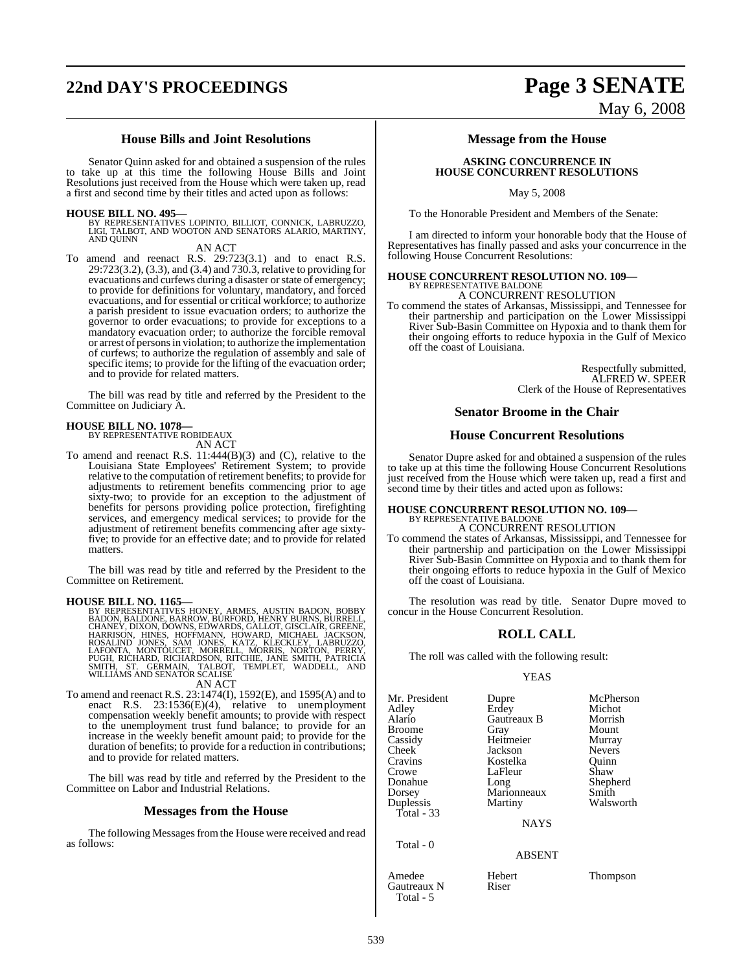# **22nd DAY'S PROCEEDINGS Page 3 SENATE**

### **House Bills and Joint Resolutions**

Senator Quinn asked for and obtained a suspension of the rules to take up at this time the following House Bills and Joint Resolutions just received from the House which were taken up, read a first and second time by their titles and acted upon as follows:

**HOUSE BILL NO. 495—** BY REPRESENTATIVES LOPINTO, BILLIOT, CONNICK, LABRUZZO, LIGI, TALBOT, AND WOOTON AND SENATORS ALARIO, MARTINY, AND QUINN

AN ACT

To amend and reenact R.S. 29:723(3.1) and to enact R.S. 29:723(3.2), (3.3), and (3.4) and 730.3, relative to providing for evacuations and curfews during a disaster or state of emergency; to provide for definitions for voluntary, mandatory, and forced evacuations, and for essential or critical workforce; to authorize a parish president to issue evacuation orders; to authorize the governor to order evacuations; to provide for exceptions to a mandatory evacuation order; to authorize the forcible removal or arrest of personsin violation; to authorize the implementation of curfews; to authorize the regulation of assembly and sale of specific items; to provide for the lifting of the evacuation order; and to provide for related matters.

The bill was read by title and referred by the President to the Committee on Judiciary A.

# **HOUSE BILL NO. 1078—** BY REPRESENTATIVE ROBIDEAUX

AN ACT

To amend and reenact R.S. 11:444(B)(3) and (C), relative to the Louisiana State Employees' Retirement System; to provide relative to the computation of retirement benefits; to provide for adjustments to retirement benefits commencing prior to age sixty-two; to provide for an exception to the adjustment of benefits for persons providing police protection, firefighting services, and emergency medical services; to provide for the adjustment of retirement benefits commencing after age sixtyfive; to provide for an effective date; and to provide for related matters.

The bill was read by title and referred by the President to the Committee on Retirement.

**HOUSE BILL NO. 1165—**<br>BY REPRESENTATIVES HONEY, ARMES, AUSTIN BADON, BOBBY<br>BADON, BAILDONE, BARROW, BURFORD, HENRY BURNS, BURRELL,<br>CHANEY, DIXON, DOWNS, EDWARDS, GALLOT, GISCLAIR, GREENE,<br>HARRISON, HINES, HOFFMANN, HOWARD AN ACT

# To amend and reenact R.S. 23:1474(I), 1592(E), and 1595(A) and to

enact R.S. 23:1536(E)(4), relative to unemployment compensation weekly benefit amounts; to provide with respect to the unemployment trust fund balance; to provide for an increase in the weekly benefit amount paid; to provide for the duration of benefits; to provide for a reduction in contributions; and to provide for related matters.

The bill was read by title and referred by the President to the Committee on Labor and Industrial Relations.

### **Messages from the House**

The following Messages from the House were received and read as follows:

### **Message from the House**

### **ASKING CONCURRENCE IN HOUSE CONCURRENT RESOLUTIONS**

May 5, 2008

To the Honorable President and Members of the Senate:

I am directed to inform your honorable body that the House of Representatives has finally passed and asks your concurrence in the following House Concurrent Resolutions:

# **HOUSE CONCURRENT RESOLUTION NO. 109—** BY REPRESENTATIVE BALDONE

A CONCURRENT RESOLUTION

To commend the states of Arkansas, Mississippi, and Tennessee for their partnership and participation on the Lower Mississippi River Sub-Basin Committee on Hypoxia and to thank them for their ongoing efforts to reduce hypoxia in the Gulf of Mexico off the coast of Louisiana.

> Respectfully submitted, ALFRED W. SPEER Clerk of the House of Representatives

### **Senator Broome in the Chair**

### **House Concurrent Resolutions**

Senator Dupre asked for and obtained a suspension of the rules to take up at this time the following House Concurrent Resolutions just received from the House which were taken up, read a first and second time by their titles and acted upon as follows:

# **HOUSE CONCURRENT RESOLUTION NO. 109—** BY REPRESENTATIVE BALDONE

### A CONCURRENT RESOLUTION

To commend the states of Arkansas, Mississippi, and Tennessee for their partnership and participation on the Lower Mississippi River Sub-Basin Committee on Hypoxia and to thank them for their ongoing efforts to reduce hypoxia in the Gulf of Mexico off the coast of Louisiana.

The resolution was read by title. Senator Dupre moved to concur in the House Concurrent Resolution.

### **ROLL CALL**

The roll was called with the following result:

### YEAS

| Mr. President<br>Adley<br>Alario<br>Broome<br>Cassidy<br>Cheek<br>Cravins<br>Crowe<br>Donahue<br>Dorsey<br>Duplessis<br>Total - 33 | Dupre<br>Erdey<br>Gautreaux B<br>Gray<br>Heitmeier<br>Jackson<br>Kostelka<br>LaFleur<br>Long<br>Marionneaux<br>Martiny<br><b>NAYS</b> | McPherson<br>Michot<br>Morrish<br>Mount<br>Murray<br><b>Nevers</b><br>Ouinn<br>Shaw<br>Shepherd<br>Smith<br>Walsworth |
|------------------------------------------------------------------------------------------------------------------------------------|---------------------------------------------------------------------------------------------------------------------------------------|-----------------------------------------------------------------------------------------------------------------------|
| Total - 0                                                                                                                          | <b>ABSENT</b>                                                                                                                         |                                                                                                                       |
|                                                                                                                                    |                                                                                                                                       |                                                                                                                       |

Amedee Hebert Thompson<br>
Gautreaux N Riser Gautreaux N Total - 5

# May 6, 2008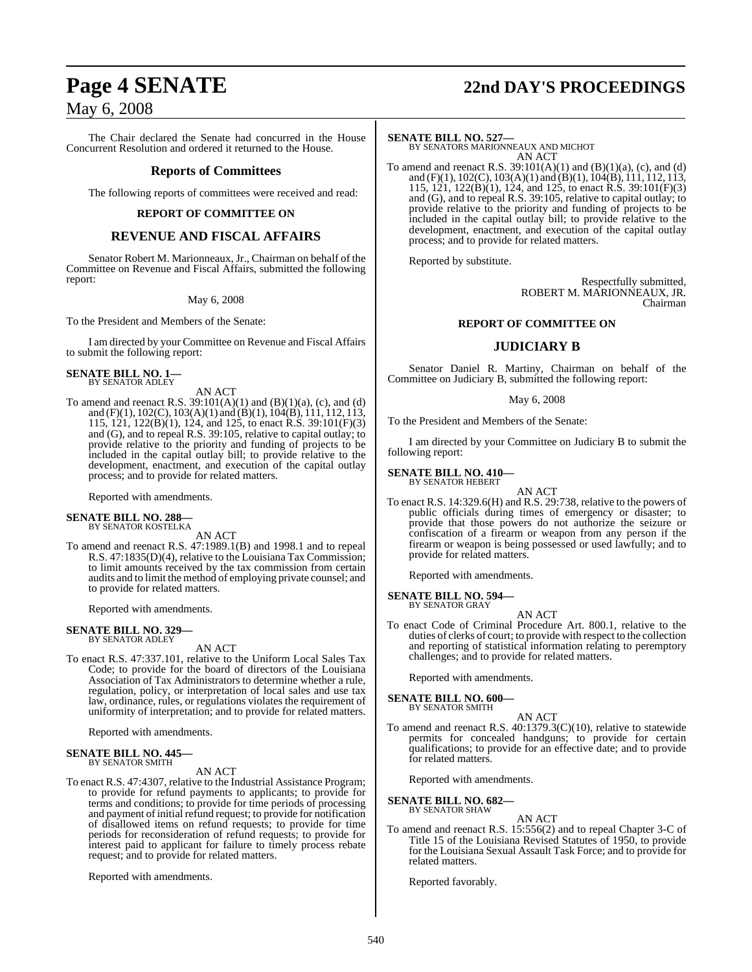# **Page 4 SENATE 22nd DAY'S PROCEEDINGS**

# May 6, 2008

The Chair declared the Senate had concurred in the House Concurrent Resolution and ordered it returned to the House.

### **Reports of Committees**

The following reports of committees were received and read:

### **REPORT OF COMMITTEE ON**

### **REVENUE AND FISCAL AFFAIRS**

Senator Robert M. Marionneaux, Jr., Chairman on behalf of the Committee on Revenue and Fiscal Affairs, submitted the following report:

### May 6, 2008

To the President and Members of the Senate:

I am directed by your Committee on Revenue and Fiscal Affairs to submit the following report:

### **SENATE BILL NO. 1—** BY SENATOR ADLEY

AN ACT

To amend and reenact R.S.  $39:101(A)(1)$  and  $(B)(1)(a)$ , (c), and (d) and (F)(1), 102(C), 103(A)(1) and (B)(1), 104(B), 111, 112, 113, 115, 121, 122(B)(1), 124, and 125, to enact R.S. 39:101(F)(3) and (G), and to repeal R.S. 39:105, relative to capital outlay; to provide relative to the priority and funding of projects to be included in the capital outlay bill; to provide relative to the development, enactment, and execution of the capital outlay process; and to provide for related matters.

Reported with amendments.

### **SENATE BILL NO. 288—** BY SENATOR KOSTELKA

AN ACT

To amend and reenact R.S. 47:1989.1(B) and 1998.1 and to repeal R.S. 47:1835(D)(4), relative to the Louisiana Tax Commission; to limit amounts received by the tax commission from certain audits and to limit the method of employing private counsel; and to provide for related matters.

Reported with amendments.

# **SENATE BILL NO. 329—** BY SENATOR ADLEY

AN ACT

To enact R.S. 47:337.101, relative to the Uniform Local Sales Tax Code; to provide for the board of directors of the Louisiana Association of Tax Administrators to determine whether a rule, regulation, policy, or interpretation of local sales and use tax law, ordinance, rules, or regulations violates the requirement of uniformity of interpretation; and to provide for related matters.

Reported with amendments.

### **SENATE BILL NO. 445—** BY SENATOR SMITH

AN ACT

To enact R.S. 47:4307, relative to the Industrial Assistance Program; to provide for refund payments to applicants; to provide for terms and conditions; to provide for time periods of processing and payment of initial refund request; to provide for notification of disallowed items on refund requests; to provide for time periods for reconsideration of refund requests; to provide for interest paid to applicant for failure to timely process rebate request; and to provide for related matters.

Reported with amendments.

**SENATE BILL NO. 527—** BY SENATORS MARIONNEAUX AND MICHOT AN ACT

To amend and reenact R.S.  $39:101(A)(1)$  and  $(B)(1)(a)$ , (c), and (d) and (F)(1), 102(C), 103(A)(1) and (B)(1),  $104(B)$ ,  $111, 112, 113$ , 115, 121, 122(B)(1), 124, and 125, to enact R.S. 39:101(F)(3) and (G), and to repeal R.S. 39:105, relative to capital outlay; to provide relative to the priority and funding of projects to be included in the capital outlay bill; to provide relative to the development, enactment, and execution of the capital outlay process; and to provide for related matters.

Reported by substitute.

Respectfully submitted, ROBERT M. MARIONNEAUX, JR. Chairman

### **REPORT OF COMMITTEE ON**

### **JUDICIARY B**

Senator Daniel R. Martiny, Chairman on behalf of the Committee on Judiciary B, submitted the following report:

### May 6, 2008

To the President and Members of the Senate:

I am directed by your Committee on Judiciary B to submit the following report:

**SENATE BILL NO. 410—** BY SENATOR HEBERT

- AN ACT
- To enact R.S. 14:329.6(H) and R.S. 29:738, relative to the powers of public officials during times of emergency or disaster; to provide that those powers do not authorize the seizure or confiscation of a firearm or weapon from any person if the firearm or weapon is being possessed or used lawfully; and to provide for related matters.

Reported with amendments.

### **SENATE BILL NO. 594—** BY SENATOR GRAY

AN ACT

To enact Code of Criminal Procedure Art. 800.1, relative to the duties of clerks of court; to provide with respect to the collection and reporting of statistical information relating to peremptory challenges; and to provide for related matters.

Reported with amendments.

### **SENATE BILL NO. 600—** BY SENATOR SMITH

- 
- AN ACT To amend and reenact R.S. 40:1379.3(C)(10), relative to statewide permits for concealed handguns; to provide for certain qualifications; to provide for an effective date; and to provide for related matters.

Reported with amendments.

### **SENATE BILL NO. 682—** BY SENATOR SHAW

- AN ACT
- To amend and reenact R.S. 15:556(2) and to repeal Chapter 3-C of Title 15 of the Louisiana Revised Statutes of 1950, to provide for the Louisiana Sexual Assault Task Force; and to provide for related matters.

Reported favorably.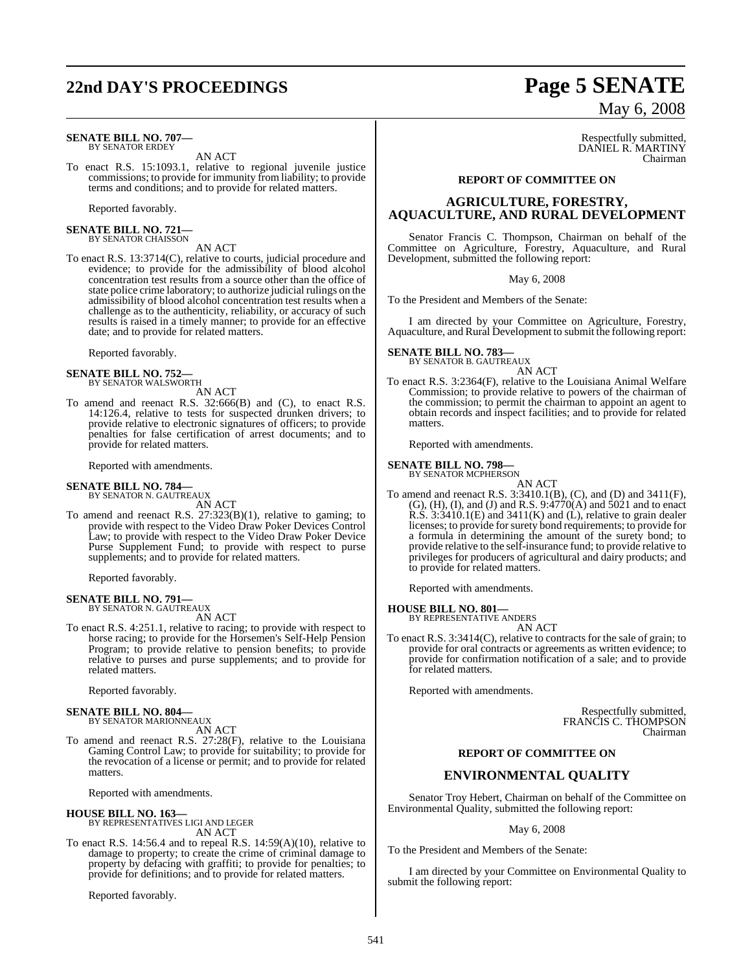# **22nd DAY'S PROCEEDINGS Page 5 SENATE**

### **SENATE BILL NO. 707—** BY SENATOR ERDEY

AN ACT

To enact R.S. 15:1093.1, relative to regional juvenile justice commissions; to provide for immunity from liability; to provide terms and conditions; and to provide for related matters.

Reported favorably.

**SENATE BILL NO. 721—** BY SENATOR CHAISSON

### AN ACT

To enact R.S. 13:3714(C), relative to courts, judicial procedure and evidence; to provide for the admissibility of blood alcohol concentration test results from a source other than the office of state police crime laboratory; to authorize judicial rulings on the admissibility of blood alcohol concentration test results when a challenge as to the authenticity, reliability, or accuracy of such results is raised in a timely manner; to provide for an effective date; and to provide for related matters.

Reported favorably.

# **SENATE BILL NO. 752—** BY SENATOR WALSWORTH

AN ACT

To amend and reenact R.S. 32:666(B) and (C), to enact R.S. 14:126.4, relative to tests for suspected drunken drivers; to provide relative to electronic signatures of officers; to provide penalties for false certification of arrest documents; and to provide for related matters.

Reported with amendments.

# **SENATE BILL NO. 784—** BY SENATOR N. GAUTREAUX

AN ACT

To amend and reenact R.S. 27:323(B)(1), relative to gaming; to provide with respect to the Video Draw Poker Devices Control Law; to provide with respect to the Video Draw Poker Device Purse Supplement Fund; to provide with respect to purse supplements; and to provide for related matters.

Reported favorably.

### **SENATE BILL NO. 791—** BY SENATOR N. GAUTREAUX

AN ACT

To enact R.S. 4:251.1, relative to racing; to provide with respect to horse racing; to provide for the Horsemen's Self-Help Pension Program; to provide relative to pension benefits; to provide relative to purses and purse supplements; and to provide for related matters.

Reported favorably.

### **SENATE BILL NO. 804—**

BY SENATOR MARIONNEAUX AN ACT

To amend and reenact R.S. 27:28(F), relative to the Louisiana Gaming Control Law; to provide for suitability; to provide for the revocation of a license or permit; and to provide for related matters.

Reported with amendments.

### **HOUSE BILL NO. 163—**

BY REPRESENTATIVES LIGI AND LEGER AN ACT

To enact R.S. 14:56.4 and to repeal R.S. 14:59(A)(10), relative to damage to property; to create the crime of criminal damage to property by defacing with graffiti; to provide for penalties; to provide for definitions; and to provide for related matters.

Reported favorably.

# May 6, 2008

Respectfully submitted, DANIEL R. MARTINY Chairman

### **REPORT OF COMMITTEE ON**

### **AGRICULTURE, FORESTRY, AQUACULTURE, AND RURAL DEVELOPMENT**

Senator Francis C. Thompson, Chairman on behalf of the Committee on Agriculture, Forestry, Aquaculture, and Rural Development, submitted the following report:

May 6, 2008

To the President and Members of the Senate:

I am directed by your Committee on Agriculture, Forestry, Aquaculture, and Rural Development to submit the following report:

### **SENATE BILL NO. 783** BY SENATOR B. GAUTREAUX

AN ACT

To enact R.S. 3:2364(F), relative to the Louisiana Animal Welfare Commission; to provide relative to powers of the chairman of the commission; to permit the chairman to appoint an agent to obtain records and inspect facilities; and to provide for related matters.

Reported with amendments.

### **SENATE BILL NO. 798—**

BY SENATOR MCPHERSON AN ACT

To amend and reenact R.S. 3:3410.1(B), (C), and (D) and 3411(F), (G), (H), (I), and (J) and R.S. 9:4770(A) and 5021 and to enact R.S. 3:3410.1(E) and 3411(K) and (L), relative to grain dealer licenses; to provide forsurety bond requirements; to provide for a formula in determining the amount of the surety bond; to provide relative to the self-insurance fund; to provide relative to privileges for producers of agricultural and dairy products; and to provide for related matters.

Reported with amendments.

**HOUSE BILL NO. 801—**

BY REPRESENTATIVE ANDERS AN ACT

To enact R.S. 3:3414(C), relative to contracts for the sale of grain; to provide for oral contracts or agreements as written evidence; to provide for confirmation notification of a sale; and to provide for related matters.

Reported with amendments.

Respectfully submitted, FRANCIS C. THOMPSON Chairman

### **REPORT OF COMMITTEE ON**

### **ENVIRONMENTAL QUALITY**

Senator Troy Hebert, Chairman on behalf of the Committee on Environmental Quality, submitted the following report:

### May 6, 2008

To the President and Members of the Senate:

I am directed by your Committee on Environmental Quality to submit the following report: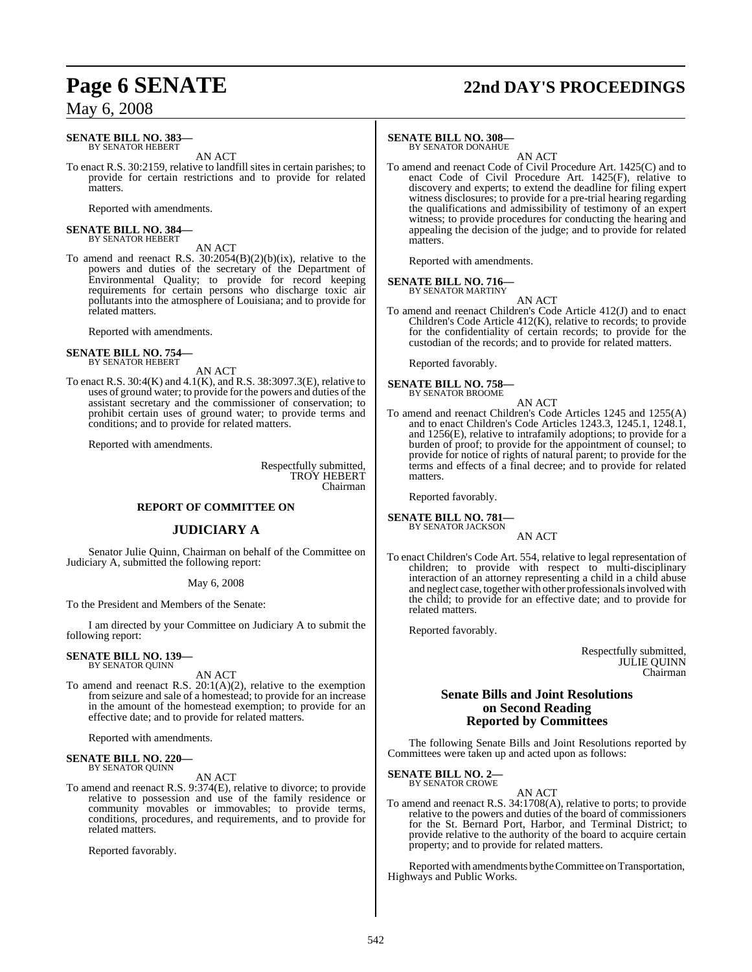# **Page 6 SENATE 22nd DAY'S PROCEEDINGS**

## May 6, 2008

### **SENATE BILL NO. 383—** BY SENATOR HEBERT

AN ACT

To enact R.S. 30:2159, relative to landfill sites in certain parishes; to provide for certain restrictions and to provide for related matters.

Reported with amendments.

### **SENATE BILL NO. 384—** BY SENATOR HEBERT

### AN ACT

To amend and reenact R.S.  $30:2054(B)(2)(b)(ix)$ , relative to the powers and duties of the secretary of the Department of Environmental Quality; to provide for record keeping requirements for certain persons who discharge toxic air pollutants into the atmosphere of Louisiana; and to provide for related matters.

Reported with amendments.

### **SENATE BILL NO. 754—** BY SENATOR HEBERT

AN ACT

To enact R.S. 30:4(K) and 4.1(K), and R.S. 38:3097.3(E), relative to uses of ground water; to provide for the powers and duties of the assistant secretary and the commissioner of conservation; to prohibit certain uses of ground water; to provide terms and conditions; and to provide for related matters.

Reported with amendments.

Respectfully submitted, TROY HEBERT Chairman

### **REPORT OF COMMITTEE ON**

### **JUDICIARY A**

Senator Julie Quinn, Chairman on behalf of the Committee on Judiciary A, submitted the following report:

### May 6, 2008

To the President and Members of the Senate:

I am directed by your Committee on Judiciary A to submit the following report:

### **SENATE BILL NO. 139—** BY SENATOR QUINN

AN ACT

To amend and reenact R.S. 20:1(A)(2), relative to the exemption from seizure and sale of a homestead; to provide for an increase in the amount of the homestead exemption; to provide for an effective date; and to provide for related matters.

Reported with amendments.

# **SENATE BILL NO. 220—** BY SENATOR QUINN

### AN ACT

To amend and reenact R.S. 9:374(E), relative to divorce; to provide relative to possession and use of the family residence or community movables or immovables; to provide terms, conditions, procedures, and requirements, and to provide for related matters.

Reported favorably.

### **SENATE BILL NO. 308—**

BY SENATOR DONAHUE AN ACT

To amend and reenact Code of Civil Procedure Art. 1425(C) and to enact Code of Civil Procedure Art. 1425(F), relative to discovery and experts; to extend the deadline for filing expert witness disclosures; to provide for a pre-trial hearing regarding the qualifications and admissibility of testimony of an expert witness; to provide procedures for conducting the hearing and appealing the decision of the judge; and to provide for related matters.

Reported with amendments.

### **SENATE BILL NO. 716—**

BY SENATOR MARTINY AN ACT

To amend and reenact Children's Code Article 412(J) and to enact Children's Code Article 412(K), relative to records; to provide for the confidentiality of certain records; to provide for the custodian of the records; and to provide for related matters.

Reported favorably.

**SENATE BILL NO. 758—** BY SENATOR BROOME

- AN ACT
- To amend and reenact Children's Code Articles 1245 and 1255(A) and to enact Children's Code Articles 1243.3, 1245.1, 1248.1, and 1256(E), relative to intrafamily adoptions; to provide for a burden of proof; to provide for the appointment of counsel; to provide for notice of rights of natural parent; to provide for the terms and effects of a final decree; and to provide for related matters.

Reported favorably.

### **SENATE BILL NO. 781** BY SENATOR JACKSON

### AN ACT

To enact Children's Code Art. 554, relative to legal representation of children; to provide with respect to multi-disciplinary interaction of an attorney representing a child in a child abuse and neglect case, together with other professionals involved with the child; to provide for an effective date; and to provide for related matters.

Reported favorably.

Respectfully submitted, JULIE QUINN Chairman

### **Senate Bills and Joint Resolutions on Second Reading Reported by Committees**

The following Senate Bills and Joint Resolutions reported by Committees were taken up and acted upon as follows:

### **SENATE BILL NO. 2—** BY SENATOR CROWE

### AN ACT

To amend and reenact R.S. 34:1708(A), relative to ports; to provide relative to the powers and duties of the board of commissioners for the St. Bernard Port, Harbor, and Terminal District; to provide relative to the authority of the board to acquire certain property; and to provide for related matters.

Reported with amendments by the Committee on Transportation, Highways and Public Works.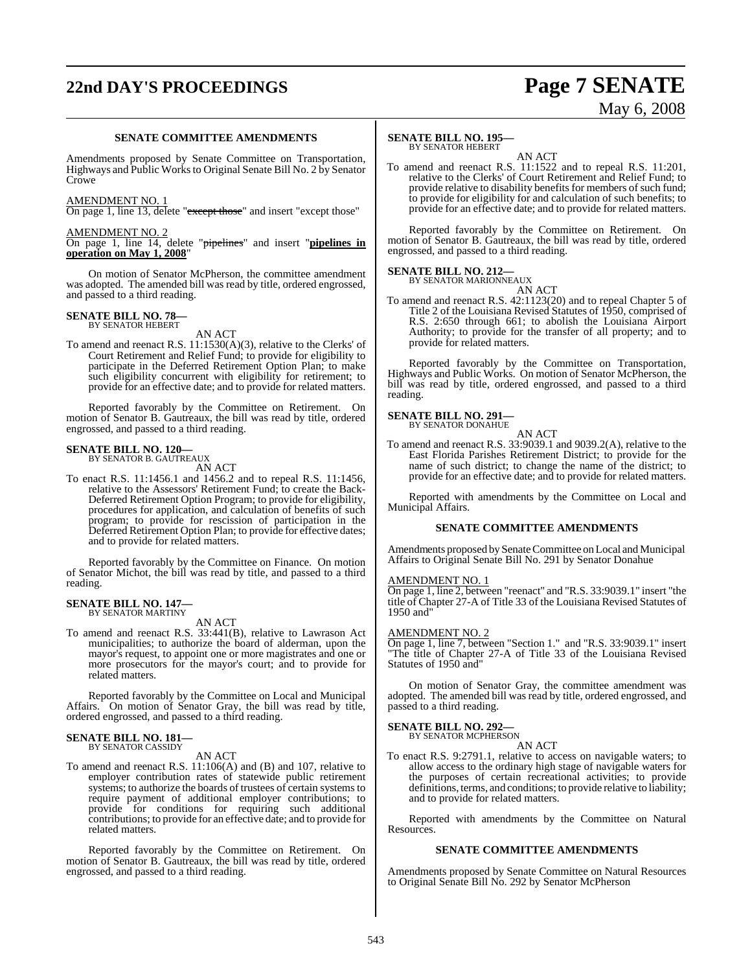# **22nd DAY'S PROCEEDINGS Page 7 SENATE**

# May 6, 2008

### **SENATE COMMITTEE AMENDMENTS**

Amendments proposed by Senate Committee on Transportation, Highways and Public Worksto Original Senate Bill No. 2 by Senator Crowe

### AMENDMENT NO. 1

On page 1, line 13, delete "except those" and insert "except those"

### AMENDMENT NO. 2

On page 1, line 14, delete "pipelines" and insert "**pipelines in operation on May 1, 2008**"

On motion of Senator McPherson, the committee amendment was adopted. The amended bill was read by title, ordered engrossed, and passed to a third reading.

# **SENATE BILL NO. 78—** BY SENATOR HEBERT

AN ACT

To amend and reenact R.S. 11:1530(A)(3), relative to the Clerks' of Court Retirement and Relief Fund; to provide for eligibility to participate in the Deferred Retirement Option Plan; to make such eligibility concurrent with eligibility for retirement; to provide for an effective date; and to provide for related matters.

Reported favorably by the Committee on Retirement. On motion of Senator B. Gautreaux, the bill was read by title, ordered engrossed, and passed to a third reading.

### **SENATE BILL NO. 120—** BY SENATOR B. GAUTREAUX

AN ACT

To enact R.S. 11:1456.1 and 1456.2 and to repeal R.S. 11:1456, relative to the Assessors' Retirement Fund; to create the Back-Deferred Retirement Option Program; to provide for eligibility, procedures for application, and calculation of benefits of such program; to provide for rescission of participation in the Deferred Retirement Option Plan; to provide for effective dates; and to provide for related matters.

Reported favorably by the Committee on Finance. On motion of Senator Michot, the bill was read by title, and passed to a third reading.

# **SENATE BILL NO. 147—** BY SENATOR MARTINY

AN ACT

To amend and reenact R.S. 33:441(B), relative to Lawrason Act municipalities; to authorize the board of alderman, upon the mayor's request, to appoint one or more magistrates and one or more prosecutors for the mayor's court; and to provide for related matters.

Reported favorably by the Committee on Local and Municipal Affairs. On motion of Senator Gray, the bill was read by title, ordered engrossed, and passed to a third reading.

### **SENATE BILL NO. 181—** BY SENATOR CASSIDY

AN ACT

To amend and reenact R.S. 11:106(A) and (B) and 107, relative to employer contribution rates of statewide public retirement systems; to authorize the boards of trustees of certain systems to require payment of additional employer contributions; to provide for conditions for requiring such additional contributions; to provide for an effective date; and to provide for related matters.

Reported favorably by the Committee on Retirement. On motion of Senator B. Gautreaux, the bill was read by title, ordered engrossed, and passed to a third reading.

### **SENATE BILL NO. 195—** BY SENATOR HEBERT

AN ACT

To amend and reenact R.S. 11:1522 and to repeal R.S. 11:201, relative to the Clerks' of Court Retirement and Relief Fund; to provide relative to disability benefits for members of such fund; to provide for eligibility for and calculation of such benefits; to provide for an effective date; and to provide for related matters.

Reported favorably by the Committee on Retirement. On motion of Senator B. Gautreaux, the bill was read by title, ordered engrossed, and passed to a third reading.

### **SENATE BILL NO. 212—** BY SENATOR MARIONNEAUX

AN ACT

To amend and reenact R.S. 42:1123(20) and to repeal Chapter 5 of Title 2 of the Louisiana Revised Statutes of 1950, comprised of R.S. 2:650 through 661; to abolish the Louisiana Airport Authority; to provide for the transfer of all property; and to provide for related matters.

Reported favorably by the Committee on Transportation, Highways and Public Works. On motion of Senator McPherson, the bill was read by title, ordered engrossed, and passed to a third reading.

# **SENATE BILL NO. 291—** BY SENATOR DONAHUE

AN ACT To amend and reenact R.S. 33:9039.1 and 9039.2(A), relative to the East Florida Parishes Retirement District; to provide for the name of such district; to change the name of the district; to provide for an effective date; and to provide for related matters.

Reported with amendments by the Committee on Local and Municipal Affairs.

### **SENATE COMMITTEE AMENDMENTS**

Amendments proposed by Senate Committee on Local and Municipal Affairs to Original Senate Bill No. 291 by Senator Donahue

### AMENDMENT NO. 1

On page 1, line 2, between "reenact" and "R.S. 33:9039.1" insert "the title of Chapter 27-A of Title 33 of the Louisiana Revised Statutes of 1950 and"

### AMENDMENT NO. 2

On page 1, line 7, between "Section 1." and "R.S. 33:9039.1" insert "The title of Chapter 27-A of Title 33 of the Louisiana Revised Statutes of 1950 and"

On motion of Senator Gray, the committee amendment was adopted. The amended bill was read by title, ordered engrossed, and passed to a third reading.

# **SENATE BILL NO. 292—**<br>BY SENATOR MCPHERSON

AN ACT

To enact R.S. 9:2791.1, relative to access on navigable waters; to allow access to the ordinary high stage of navigable waters for the purposes of certain recreational activities; to provide definitions, terms, and conditions; to provide relative to liability; and to provide for related matters.

Reported with amendments by the Committee on Natural Resources.

### **SENATE COMMITTEE AMENDMENTS**

Amendments proposed by Senate Committee on Natural Resources to Original Senate Bill No. 292 by Senator McPherson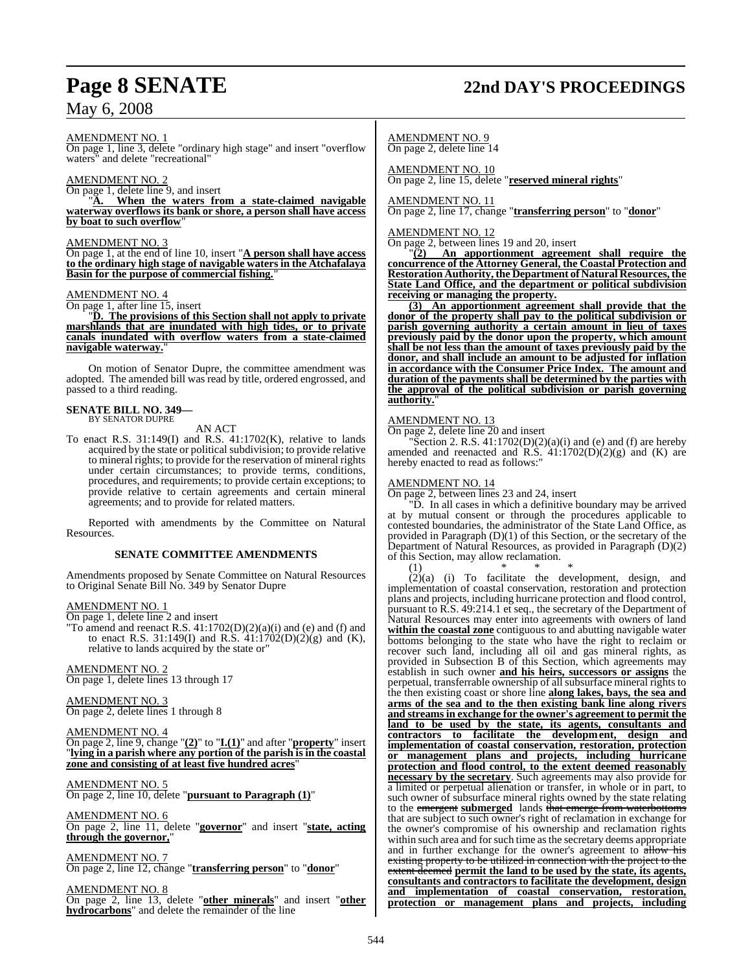# **Page 8 SENATE 22nd DAY'S PROCEEDINGS**

AMENDMENT NO. 1

On page 1, line 3, delete "ordinary high stage" and insert "overflow waters" and delete "recreational"

### AMENDMENT NO. 2

On page 1, delete line 9, and insert

When the waters from a state-claimed navigable **waterway overflows its bank or shore, a person shall have access by boat to such overflow**"

### AMENDMENT NO. 3

On page 1, at the end of line 10, insert "**A person shall have access to the ordinary high stage of navigable waters in the Atchafalaya Basin for the purpose of commercial fishing.**"

### AMENDMENT NO. 4

On page 1, after line 15, insert

"**D. The provisions of this Section shall not apply to private marshlands that are inundated with high tides, or to private canals inundated with overflow waters from a state-claimed** navigable waterway.

On motion of Senator Dupre, the committee amendment was adopted. The amended bill was read by title, ordered engrossed, and passed to a third reading.

# **SENATE BILL NO. 349—** BY SENATOR DUPRE

AN ACT

To enact R.S. 31:149(I) and R.S. 41:1702(K), relative to lands acquired by the state or political subdivision; to provide relative to mineral rights; to provide for the reservation of mineral rights under certain circumstances; to provide terms, conditions, procedures, and requirements; to provide certain exceptions; to provide relative to certain agreements and certain mineral agreements; and to provide for related matters.

Reported with amendments by the Committee on Natural Resources.

### **SENATE COMMITTEE AMENDMENTS**

Amendments proposed by Senate Committee on Natural Resources to Original Senate Bill No. 349 by Senator Dupre

### AMENDMENT NO. 1

On page 1, delete line 2 and insert

"To amend and reenact R.S.  $41:1702(D)(2)(a)(i)$  and (e) and (f) and to enact R.S. 31:149(I) and R.S.  $41:1702(D)(2)(g)$  and (K), relative to lands acquired by the state or"

### AMENDMENT NO. 2

On page 1, delete lines 13 through 17

### AMENDMENT NO. 3

On page 2, delete lines 1 through 8

### AMENDMENT NO. 4

On page 2, line 9, change "**(2)**" to "**I.(1)**" and after "**property**" insert "**lying in a parish where any portion of the parish is in the coastal zone and consisting of at least five hundred acres**"

### AMENDMENT NO. 5

On page 2, line 10, delete "**pursuant to Paragraph (1)**"

### AMENDMENT NO. 6 On page 2, line 11, delete "**governor**" and insert "**state, acting**

**through the governor,**"

### AMENDMENT NO. 7 On page 2, line 12, change "**transferring person**" to "**donor**"

AMENDMENT NO. 8

On page 2, line 13, delete "**other minerals**" and insert "**other hydrocarbons**" and delete the remainder of the line

AMENDMENT NO. 9 On page 2, delete line 14

AMENDMENT NO. 10 On page 2, line 15, delete "**reserved mineral rights**"

### AMENDMENT NO. 11 On page 2, line 17, change "**transferring person**" to "**donor**"

### AMENDMENT NO. 12

On page 2, between lines 19 and 20, insert

"**(2) An apportionment agreement shall require the concurrence of the Attorney General, the Coastal Protection and Restoration Authority, the Department of Natural Resources,the State Land Office, and the department or political subdivision receiving or managing the property.**

**(3) An apportionment agreement shall provide that the donor of the property shall pay to the political subdivision or parish governing authority a certain amount in lieu of taxes previously paid by the donor upon the property, which amount shall be not less than the amount of taxes previously paid by the donor, and shall include an amount to be adjusted for inflation in accordance with the Consumer Price Index. The amount and duration of the payments shall be determined by the parties with the approval of the political subdivision or parish governing** authority.

### AMENDMENT NO. 13

On page 2, delete line 20 and insert

Section 2. R.S.  $41:1702(D)(2)(a)(i)$  and (e) and (f) are hereby amended and reenacted and R.S.  $41:1702(D)(2)(g)$  and (K) are hereby enacted to read as follows:"

### AMENDMENT NO. 14

On page 2, between lines 23 and 24, insert

"D. In all cases in which a definitive boundary may be arrived at by mutual consent or through the procedures applicable to contested boundaries, the administrator of the State Land Office, as provided in Paragraph (D)(1) of this Section, or the secretary of the Department of Natural Resources, as provided in Paragraph (D)(2) of this Section, may allow reclamation.

(1) \* \* \* (2)(a) (i) To facilitate the development, design, and implementation of coastal conservation, restoration and protection plans and projects, including hurricane protection and flood control, pursuant to R.S. 49:214.1 et seq., the secretary of the Department of Natural Resources may enter into agreements with owners of land **within the coastal zone** contiguous to and abutting navigable water bottoms belonging to the state who have the right to reclaim or recover such land, including all oil and gas mineral rights, as provided in Subsection B of this Section, which agreements may establish in such owner **and his heirs, successors or assigns** the perpetual, transferrable ownership of all subsurface mineral rights to the then existing coast or shore line **along lakes, bays, the sea and arms of the sea and to the then existing bank line along rivers and streams in exchange for the owner's agreement to permit the land to be used by the state, its agents, consultants and contractors to facilitate the development, design and implementation of coastal conservation, restoration, protection or management plans and projects, including hurricane protection and flood control, to the extent deemed reasonably necessary by the secretary**. Such agreements may also provide for a limited or perpetual alienation or transfer, in whole or in part, to such owner of subsurface mineral rights owned by the state relating to the emergent **submerged** lands that emerge from waterbottoms that are subject to such owner's right of reclamation in exchange for the owner's compromise of his ownership and reclamation rights within such area and for such time as the secretary deems appropriate and in further exchange for the owner's agreement to  $\frac{1}{\text{at}}$  his existing property to be utilized in connection with the project to the extent deemed **permit the land to be used by the state, its agents, consultants and contractors to facilitate the development, design and implementation of coastal conservation, restoration, protection or management plans and projects, including**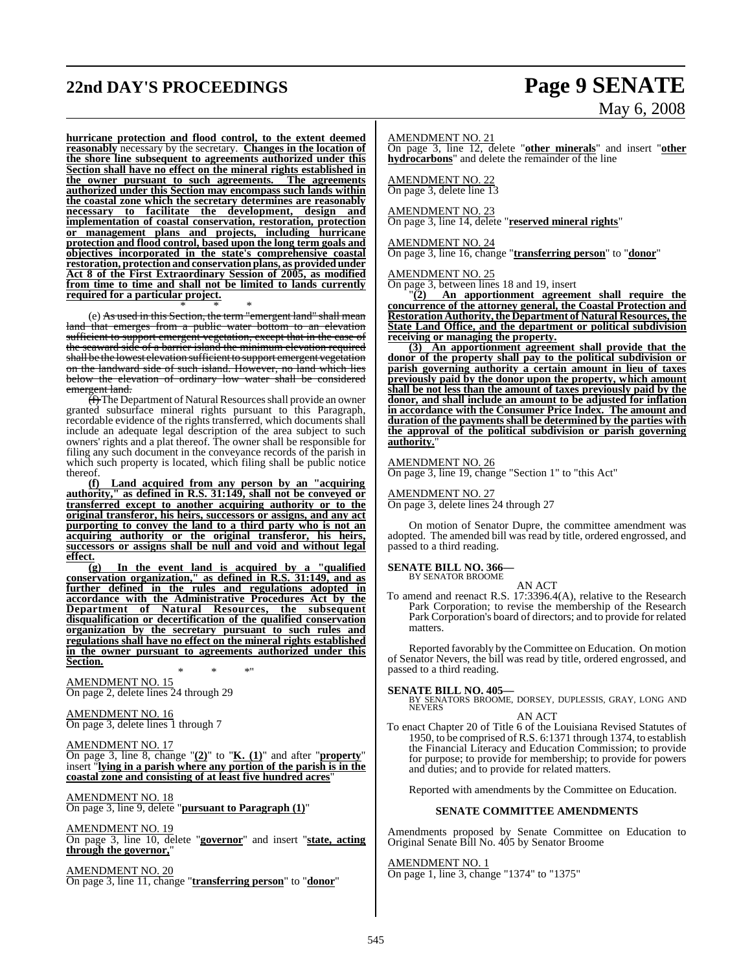# **22nd DAY'S PROCEEDINGS Page 9 SENATE**

### **hurricane protection and flood control, to the extent deemed reasonably** necessary by the secretary. **Changes in the location of the shore line subsequent to agreements authorized under this Section shall have no effect on the mineral rights established in the owner pursuant to such agreements. The agreements authorized under this Section may encompass such lands within the coastal zone which the secretary determines are reasonably necessary to facilitate the development, design and implementation of coastal conservation, restoration, protection or management plans and projects, including hurricane protection and flood control, based upon the long term goals and objectives incorporated in the state's comprehensive coastal restoration, protection and conservation plans, as provided under Act 8 of the First Extraordinary Session of 2005, as modified from time to time and shall not be limited to lands currently required for a particular project.**

\* \* \* (e) As used in this Section, the term "emergent land" shall mean land that emerges from a public water bottom to an elevation sufficient to support emergent vegetation, except that in the case of the seaward side of a barrier island the minimum elevation required shall be the lowest elevation sufficient to support emergent vegetation on the landward side of such island. However, no land which lies below the elevation of ordinary low water shall be considered emergent land.

 $\overline{f}$  The Department of Natural Resources shall provide an owner granted subsurface mineral rights pursuant to this Paragraph, recordable evidence of the rights transferred, which documents shall include an adequate legal description of the area subject to such owners' rights and a plat thereof. The owner shall be responsible for filing any such document in the conveyance records of the parish in which such property is located, which filing shall be public notice thereof.

**(f) Land acquired from any person by an "acquiring authority," as defined in R.S. 31:149, shall not be conveyed or transferred except to another acquiring authority or to the original transferor, his heirs, successors or assigns, and any act purporting to convey the land to a third party who is not an acquiring authority or the original transferor, his heirs, successors or assigns shall be null and void and without legal effect.**

**(g) In the event land is acquired by a "qualified conservation organization," as defined in R.S. 31:149, and as further defined in the rules and regulations adopted in accordance with the Administrative Procedures Act by the Department of Natural Resources, the subsequent disqualification or decertification of the qualified conservation organization by the secretary pursuant to such rules and regulations shall have no effect on the mineral rights established in the owner pursuant to agreements authorized under this Section.**

\* \* \*" AMENDMENT NO. 15 On page 2, delete lines 24 through 29

AMENDMENT NO. 16 On page 3, delete lines 1 through 7

AMENDMENT NO. 17 On page 3, line 8, change "**(2)**" to "**K. (1)**" and after "**property**" insert "**lying in a parish where any portion of the parish is in the coastal zone and consisting of at least five hundred acres**"

AMENDMENT NO. 18 On page 3, line 9, delete "**pursuant to Paragraph (1)**"

AMENDMENT NO. 19 On page 3, line 10, delete "**governor**" and insert "**state, acting through the governor,**"

AMENDMENT NO. 20 On page 3, line 11, change "**transferring person**" to "**donor**"

# May 6, 2008

AMENDMENT NO. 21

On page 3, line 12, delete "**other minerals**" and insert "**other hydrocarbons**" and delete the remainder of the line

AMENDMENT NO. 22 On page 3, delete line 13

AMENDMENT NO. 23

On page 3, line 14, delete "**reserved mineral rights**"

AMENDMENT NO. 24

On page 3, line 16, change "**transferring person**" to "**donor**"

AMENDMENT NO. 25

On page 3, between lines 18 and 19, insert

"**(2) An apportionment agreement shall require the concurrence of the attorney general, the Coastal Protection and Restoration Authority,the Department of Natural Resources, the State Land Office, and the department or political subdivision receiving or managing the property.**

**(3) An apportionment agreement shall provide that the donor of the property shall pay to the political subdivision or parish governing authority a certain amount in lieu of taxes previously paid by the donor upon the property, which amount shall be not less than the amount of taxes previously paid by the donor, and shall include an amount to be adjusted for inflation in accordance with the Consumer Price Index. The amount and duration of the payments shall be determined by the parties with the approval of the political subdivision or parish governing authority.**"

AMENDMENT NO. 26

On page 3, line 19, change "Section 1" to "this Act"

AMENDMENT NO. 27 On page 3, delete lines 24 through 27

On motion of Senator Dupre, the committee amendment was adopted. The amended bill was read by title, ordered engrossed, and passed to a third reading.

**SENATE BILL NO. 366—** BY SENATOR BROOME

AN ACT

To amend and reenact R.S. 17:3396.4(A), relative to the Research Park Corporation; to revise the membership of the Research Park Corporation's board of directors; and to provide for related matters.

Reported favorably by the Committee on Education. On motion of Senator Nevers, the bill was read by title, ordered engrossed, and passed to a third reading.

**SENATE BILL NO. 405—**

BY SENATORS BROOME, DORSEY, DUPLESSIS, GRAY, LONG AND NEVERS

AN ACT To enact Chapter 20 of Title 6 of the Louisiana Revised Statutes of 1950, to be comprised of R.S. 6:1371 through 1374, to establish the Financial Literacy and Education Commission; to provide for purpose; to provide for membership; to provide for powers and duties; and to provide for related matters.

Reported with amendments by the Committee on Education.

### **SENATE COMMITTEE AMENDMENTS**

Amendments proposed by Senate Committee on Education to Original Senate Bill No. 405 by Senator Broome

AMENDMENT NO. 1

On page 1, line 3, change "1374" to "1375"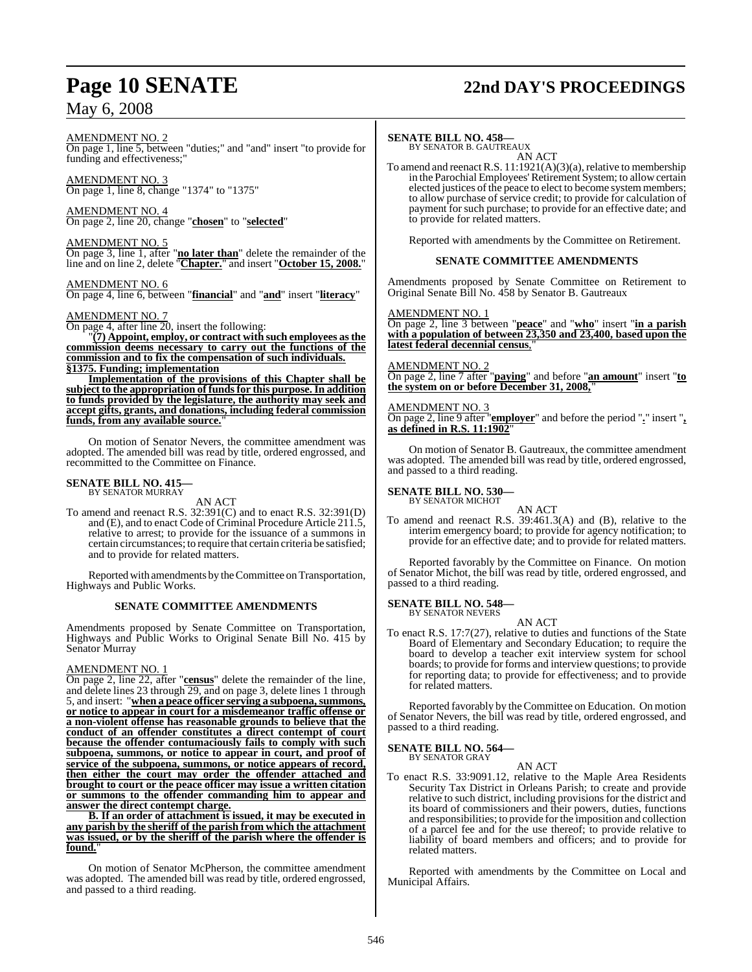# **Page 10 SENATE 22nd DAY'S PROCEEDINGS**

AMENDMENT NO. 2

On page 1, line 5, between "duties;" and "and" insert "to provide for funding and effectiveness;"

AMENDMENT NO. 3 On page 1, line 8, change "1374" to "1375"

AMENDMENT NO. 4 On page 2, line 20, change "**chosen**" to "**selected**"

AMENDMENT NO. 5 On page 3, line 1, after "**no later than**" delete the remainder of the line and on line 2, delete "**Chapter.**" and insert "**October 15, 2008.**"

AMENDMENT NO. 6 On page 4, line 6, between "**financial**" and "**and**" insert "**literacy**"

AMENDMENT NO. 7

On page 4, after line 20, insert the following: "**(7) Appoint, employ, or contract with such employees asthe commission deems necessary to carry out the functions of the commission and to fix the compensation of such individuals. §1375. Funding; implementation**

**Implementation of the provisions of this Chapter shall be subject to the appropriation of fundsfor this purpose.In addition to funds provided by the legislature, the authority may seek and accept gifts, grants, and donations, including federal commission** funds, from any available source."

On motion of Senator Nevers, the committee amendment was adopted. The amended bill was read by title, ordered engrossed, and recommitted to the Committee on Finance.

### **SENATE BILL NO. 415—** BY SENATOR MURRAY

AN ACT

To amend and reenact R.S. 32:391(C) and to enact R.S. 32:391(D) and (E), and to enact Code of Criminal Procedure Article 211.5, relative to arrest; to provide for the issuance of a summons in certain circumstances; to require that certain criteria be satisfied; and to provide for related matters.

Reported with amendments by the Committee on Transportation, Highways and Public Works.

### **SENATE COMMITTEE AMENDMENTS**

Amendments proposed by Senate Committee on Transportation, Highways and Public Works to Original Senate Bill No. 415 by Senator Murray

### AMENDMENT NO. 1

On page 2, line 22, after "**census**" delete the remainder of the line, and delete lines 23 through 29, and on page 3, delete lines 1 through 5, and insert: "**when a peace officer serving a subpoena,summons, or notice to appear in court for a misdemeanor traffic offense or a non-violent offense has reasonable grounds to believe that the conduct of an offender constitutes a direct contempt of court because the offender contumaciously fails to comply with such subpoena, summons, or notice to appear in court, and proof of service of the subpoena, summons, or notice appears of record, then either the court may order the offender attached and brought to court or the peace officer may issue a written citation or summons to the offender commanding him to appear and answer the direct contempt charge.**

**B. If an order of attachment is issued, it may be executed in any parish by the sheriff of the parish from which the attachment was issued, or by the sheriff of the parish where the offender is** found.

On motion of Senator McPherson, the committee amendment was adopted. The amended bill was read by title, ordered engrossed, and passed to a third reading.

### **SENATE BILL NO. 458—**

BY SENATOR B. GAUTREAUX AN ACT

To amend and reenactR.S. 11:1921(A)(3)(a), relative to membership in the Parochial Employees'Retirement System; to allowcertain elected justices of the peace to elect to become system members; to allow purchase of service credit; to provide for calculation of payment for such purchase; to provide for an effective date; and to provide for related matters.

Reported with amendments by the Committee on Retirement.

### **SENATE COMMITTEE AMENDMENTS**

Amendments proposed by Senate Committee on Retirement to Original Senate Bill No. 458 by Senator B. Gautreaux

### AMENDMENT NO. 1

On page 2, line 3 between "**peace**" and "**who**" insert "**in a parish with a population of between 23,350 and 23,400, based upon the latest federal decennial census**,"

### AMENDMENT NO. 2

On page 2, line 7 after "**paying**" and before "**an amount**" insert "**to the system on or before December 31, 2008,**"

### AMENDMENT NO. 3

On page 2, line 9 after "**employer**" and before the period "**.**" insert "**, as defined in R.S. 11:1902**"

On motion of Senator B. Gautreaux, the committee amendment was adopted. The amended bill was read by title, ordered engrossed, and passed to a third reading.

### **SENATE BILL NO. 530—** BY SENATOR MICHOT

AN ACT

To amend and reenact R.S. 39:461.3(A) and (B), relative to the interim emergency board; to provide for agency notification; to provide for an effective date; and to provide for related matters.

Reported favorably by the Committee on Finance. On motion of Senator Michot, the bill was read by title, ordered engrossed, and passed to a third reading.

# **SENATE BILL NO. 548—** BY SENATOR NEVERS

AN ACT

To enact R.S. 17:7(27), relative to duties and functions of the State Board of Elementary and Secondary Education; to require the board to develop a teacher exit interview system for school boards; to provide for forms and interview questions; to provide for reporting data; to provide for effectiveness; and to provide for related matters.

Reported favorably by the Committee on Education. On motion of Senator Nevers, the bill was read by title, ordered engrossed, and passed to a third reading.

### **SENATE BILL NO. 564—**

BY SENATOR GRAY AN ACT

To enact R.S. 33:9091.12, relative to the Maple Area Residents Security Tax District in Orleans Parish; to create and provide relative to such district, including provisions for the district and its board of commissioners and their powers, duties, functions and responsibilities; to provide for the imposition and collection of a parcel fee and for the use thereof; to provide relative to liability of board members and officers; and to provide for related matters.

Reported with amendments by the Committee on Local and Municipal Affairs.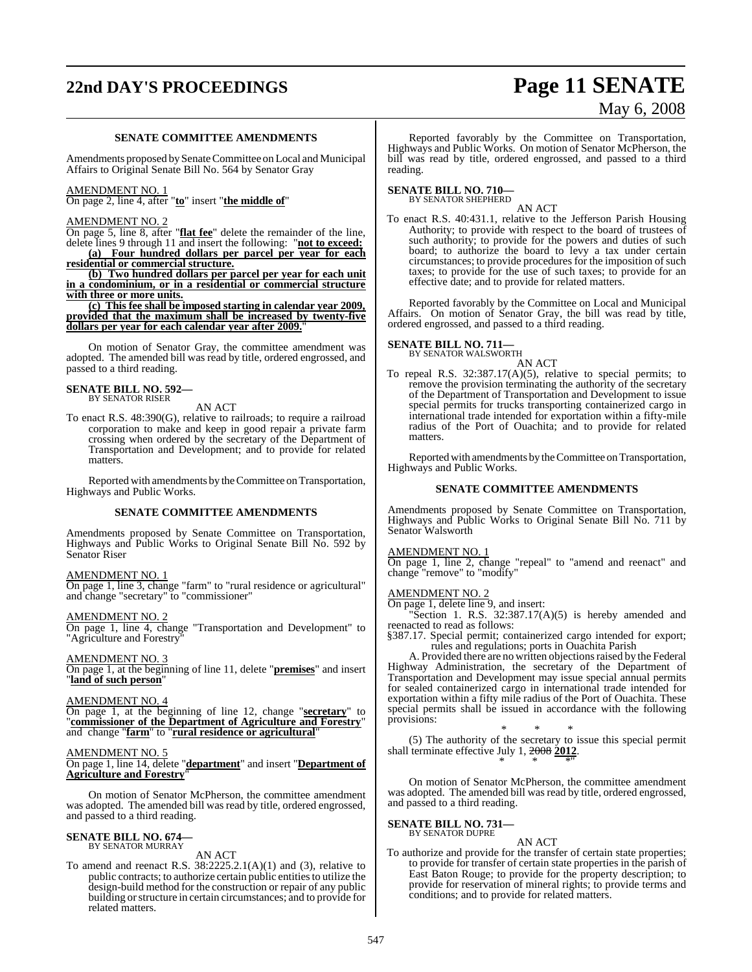# **22nd DAY'S PROCEEDINGS Page 11 SENATE**

# May 6, 2008

### **SENATE COMMITTEE AMENDMENTS**

Amendments proposed by Senate Committee on Local and Municipal Affairs to Original Senate Bill No. 564 by Senator Gray

### AMENDMENT NO. 1

On page 2, line 4, after "**to**" insert "**the middle of**"

### AMENDMENT NO. 2

On page 5, line 8, after "**flat fee**" delete the remainder of the line, delete lines 9 through 11 and insert the following: "**not to exceed:**

**(a) Four hundred dollars per parcel per year for each residential or commercial structure.**

**(b) Two hundred dollars per parcel per year for each unit in a condominium, or in a residential or commercial structure with three or more units.**

**(c) This fee shall be imposed starting in calendar year 2009, provided that the maximum shall be increased by twenty-five** dollars per year for each calendar year after 2009.

On motion of Senator Gray, the committee amendment was adopted. The amended bill was read by title, ordered engrossed, and passed to a third reading.

### **SENATE BILL NO. 592—** BY SENATOR RISER

AN ACT

To enact R.S. 48:390(G), relative to railroads; to require a railroad corporation to make and keep in good repair a private farm crossing when ordered by the secretary of the Department of Transportation and Development; and to provide for related matters.

Reported with amendments by the Committee on Transportation, Highways and Public Works.

### **SENATE COMMITTEE AMENDMENTS**

Amendments proposed by Senate Committee on Transportation, Highways and Public Works to Original Senate Bill No. 592 by Senator Riser

### AMENDMENT NO. 1

On page 1, line 3, change "farm" to "rural residence or agricultural" and change "secretary" to "commissioner"

### AMENDMENT NO. 2

On page 1, line 4, change "Transportation and Development" to "Agriculture and Forestry

### AMENDMENT NO. 3

On page 1, at the beginning of line 11, delete "**premises**" and insert "**land of such person**"

### AMENDMENT NO. 4

On page 1, at the beginning of line 12, change "**secretary**" to "**commissioner of the Department of Agriculture and Forestry**" and change "**farm**" to "**rural residence or agricultural**"

### AMENDMENT NO. 5

On page 1, line 14, delete "**department**" and insert "**Department of Agriculture and Forestry**"

On motion of Senator McPherson, the committee amendment was adopted. The amended bill was read by title, ordered engrossed, and passed to a third reading.

### **SENATE BILL NO. 674—** BY SENATOR MURRAY

AN ACT

To amend and reenact R.S.  $38:2225.2.1(A)(1)$  and  $(3)$ , relative to public contracts; to authorize certain public entitiesto utilize the design-build method for the construction or repair of any public building or structure in certain circumstances; and to provide for related matters.

Reported favorably by the Committee on Transportation, Highways and Public Works. On motion of Senator McPherson, the bill was read by title, ordered engrossed, and passed to a third reading.

### **SENATE BILL NO. 710—** BY SENATOR SHEPHERD

AN ACT

To enact R.S. 40:431.1, relative to the Jefferson Parish Housing Authority; to provide with respect to the board of trustees of such authority; to provide for the powers and duties of such board; to authorize the board to levy a tax under certain circumstances; to provide procedures for the imposition of such taxes; to provide for the use of such taxes; to provide for an effective date; and to provide for related matters.

Reported favorably by the Committee on Local and Municipal Affairs. On motion of Senator Gray, the bill was read by title, ordered engrossed, and passed to a third reading.

# **SENATE BILL NO. 711—** BY SENATOR WALSWORTH

AN ACT

To repeal R.S. 32:387.17(A)(5), relative to special permits; to remove the provision terminating the authority of the secretary of the Department of Transportation and Development to issue special permits for trucks transporting containerized cargo in international trade intended for exportation within a fifty-mile radius of the Port of Ouachita; and to provide for related matters.

Reported with amendments by the Committee on Transportation, Highways and Public Works.

### **SENATE COMMITTEE AMENDMENTS**

Amendments proposed by Senate Committee on Transportation, Highways and Public Works to Original Senate Bill No. 711 by Senator Walsworth

### AMENDMENT NO. 1

On page 1, line 2, change "repeal" to "amend and reenact" and change "remove" to "modify"

### AMENDMENT NO. 2

On page 1, delete line 9, and insert:

"Section 1. R.S.  $32:387.17(A)(5)$  is hereby amended and reenacted to read as follows:

§387.17. Special permit; containerized cargo intended for export; rules and regulations; ports in Ouachita Parish

A. Provided there are no written objections raised by the Federal Highway Administration, the secretary of the Department of Transportation and Development may issue special annual permits for sealed containerized cargo in international trade intended for exportation within a fifty mile radius of the Port of Ouachita. These special permits shall be issued in accordance with the following provisions:

\* \* \* (5) The authority of the secretary to issue this special permit shall terminate effective July 1, 2008 **2012**. \* \* \*"

On motion of Senator McPherson, the committee amendment was adopted. The amended bill was read by title, ordered engrossed, and passed to a third reading.

# **SENATE BILL NO. 731—** BY SENATOR DUPRE

- 
- To authorize and provide for the transfer of certain state properties; to provide for transfer of certain state properties in the parish of East Baton Rouge; to provide for the property description; to provide for reservation of mineral rights; to provide terms and conditions; and to provide for related matters.

AN ACT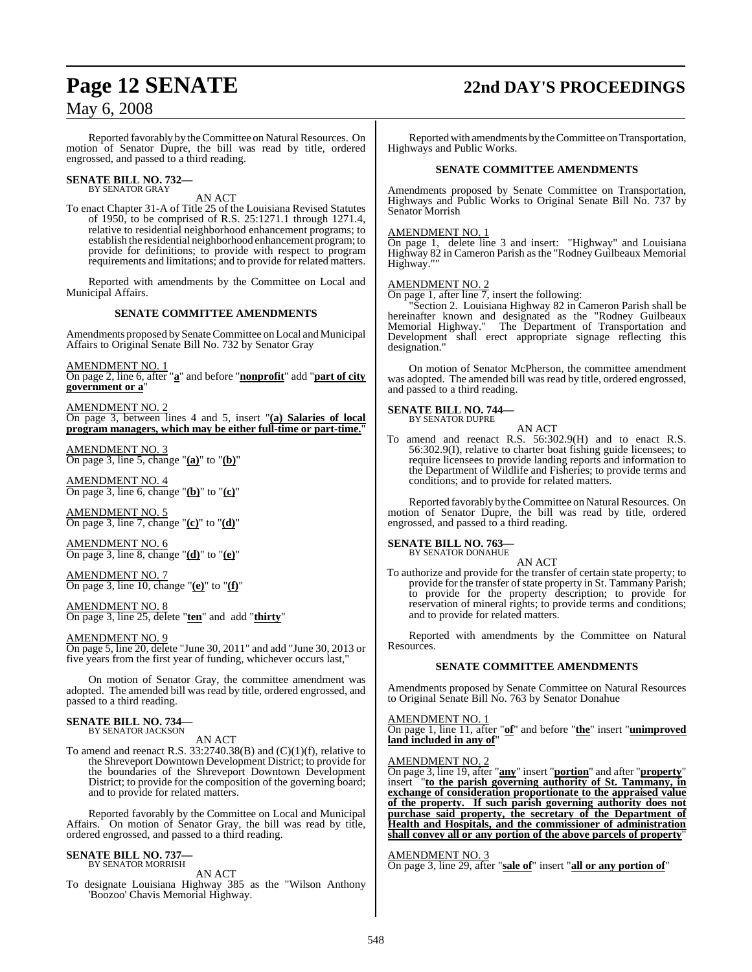# **Page 12 SENATE 22nd DAY'S PROCEEDINGS**

## May 6, 2008

Reported favorably by the Committee on Natural Resources. On motion of Senator Dupre, the bill was read by title, ordered engrossed, and passed to a third reading.

# **SENATE BILL NO. 732—** BY SENATOR GRAY

AN ACT

To enact Chapter 31-A of Title 25 of the Louisiana Revised Statutes of 1950, to be comprised of R.S. 25:1271.1 through 1271.4, relative to residential neighborhood enhancement programs; to establish the residential neighborhood enhancement program; to provide for definitions; to provide with respect to program requirements and limitations; and to provide for related matters.

Reported with amendments by the Committee on Local and Municipal Affairs.

### **SENATE COMMITTEE AMENDMENTS**

Amendments proposed by Senate Committee on Local and Municipal Affairs to Original Senate Bill No. 732 by Senator Gray

AMENDMENT NO. 1

On page 2, line 6, after "**a**" and before "**nonprofit**" add "**part of city government or a**"

AMENDMENT NO. 2

On page 3, between lines 4 and 5, insert "**(a) Salaries of local program managers, which may be either full-time or part-time.**"

AMENDMENT NO. 3 On page 3, line 5, change "**(a)**" to "**(b)**"

AMENDMENT NO. 4 On page 3, line 6, change "**(b)**" to "**(c)**"

AMENDMENT NO. 5 On page 3, line 7, change "**(c)**" to "**(d)**"

AMENDMENT NO. 6 On page 3, line 8, change "**(d)**" to "**(e)**"

AMENDMENT NO. 7 On page 3, line 10, change "**(e)**" to "**(f)**"

AMENDMENT NO. 8 On page 3, line 25, delete "**ten**" and add "**thirty**"

AMENDMENT NO. 9

On page 5, line 20, delete "June 30, 2011" and add "June 30, 2013 or five years from the first year of funding, whichever occurs last,"

On motion of Senator Gray, the committee amendment was adopted. The amended bill was read by title, ordered engrossed, and passed to a third reading.

### **SENATE BILL NO. 734—** BY SENATOR JACKSON

AN ACT

To amend and reenact R.S.  $33:2740.38(B)$  and  $(C)(1)(f)$ , relative to the Shreveport Downtown Development District; to provide for the boundaries of the Shreveport Downtown Development District; to provide for the composition of the governing board; and to provide for related matters.

Reported favorably by the Committee on Local and Municipal Affairs. On motion of Senator Gray, the bill was read by title, ordered engrossed, and passed to a third reading.

### **SENATE BILL NO. 737**

BY SENATOR MORRISH AN ACT

To designate Louisiana Highway 385 as the "Wilson Anthony 'Boozoo' Chavis Memorial Highway.

Reported with amendments by the Committee on Transportation, Highways and Public Works.

### **SENATE COMMITTEE AMENDMENTS**

Amendments proposed by Senate Committee on Transportation, Highways and Public Works to Original Senate Bill No. 737 by Senator Morrish

### AMENDMENT NO. 1

On page 1, delete line 3 and insert: "Highway" and Louisiana Highway 82 in Cameron Parish as the "Rodney Guilbeaux Memorial Highway.

### AMENDMENT NO. 2

On page 1, after line 7, insert the following:

"Section 2. Louisiana Highway 82 in Cameron Parish shall be hereinafter known and designated as the "Rodney Guilbeaux Memorial Highway." The Department of Transportation and Development shall erect appropriate signage reflecting this designation."

On motion of Senator McPherson, the committee amendment was adopted. The amended bill was read by title, ordered engrossed, and passed to a third reading.

### **SENATE BILL NO. 744—** BY SENATOR DUPRE

## AN ACT

To amend and reenact R.S. 56:302.9(H) and to enact R.S. 56:302.9(I), relative to charter boat fishing guide licensees; to require licensees to provide landing reports and information to the Department of Wildlife and Fisheries; to provide terms and conditions; and to provide for related matters.

Reported favorably by the Committee on Natural Resources. On motion of Senator Dupre, the bill was read by title, ordered engrossed, and passed to a third reading.

### **SENATE BILL NO. 763—**

BY SENATOR DONAHUE

AN ACT To authorize and provide for the transfer of certain state property; to provide for the transfer of state property in St. Tammany Parish; to provide for the property description; to provide for reservation of mineral rights; to provide terms and conditions; and to provide for related matters.

Reported with amendments by the Committee on Natural **Resources** 

### **SENATE COMMITTEE AMENDMENTS**

Amendments proposed by Senate Committee on Natural Resources to Original Senate Bill No. 763 by Senator Donahue

### AMENDMENT NO. 1

On page 1, line 11, after "**of**" and before "**the**" insert "**unimproved land included in any of**"

### AMENDMENT NO. 2

On page 3, line 19, after "**any**" insert "**portion**" and after "**property**" insert "**to the parish governing authority of St. Tammany, in exchange of consideration proportionate to the appraised value of the property. If such parish governing authority does not purchase said property, the secretary of the Department of Health and Hospitals, and the commissioner of administration shall convey all or any portion of the above parcels of property**"

### AMENDMENT NO. 3

On page 3, line 29, after "**sale of**" insert "**all or any portion of**"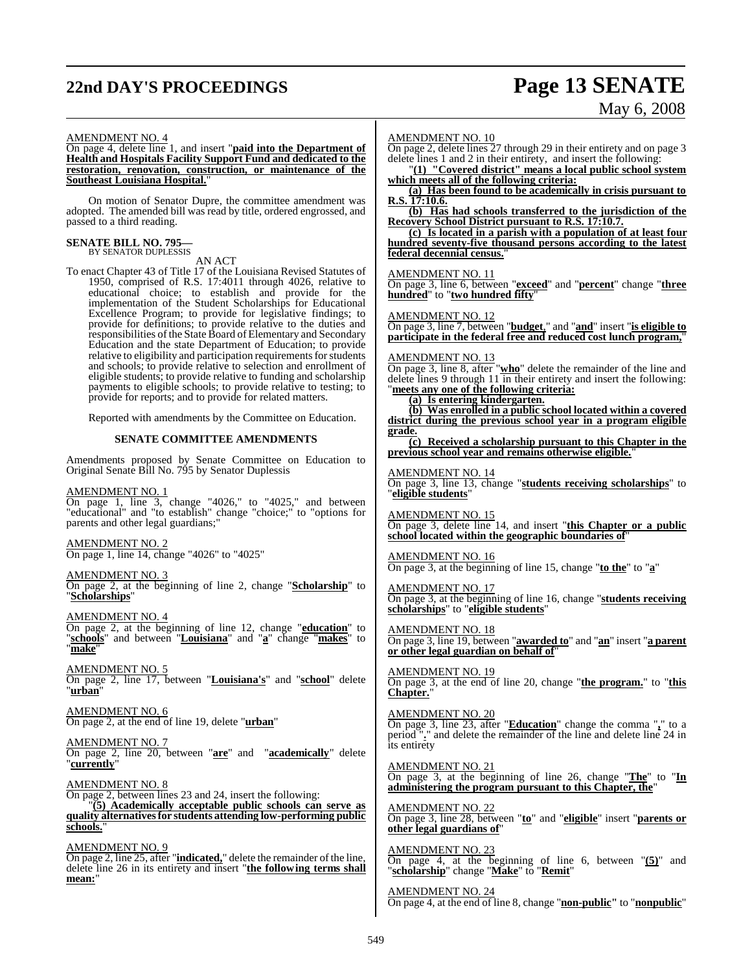# **22nd DAY'S PROCEEDINGS Page 13 SENATE**

# May 6, 2008

### AMENDMENT NO. 4

On page 4, delete line 1, and insert "**paid into the Department of Health and Hospitals Facility Support Fund and dedicated to the restoration, renovation, construction, or maintenance of the Southeast Louisiana Hospital.**"

On motion of Senator Dupre, the committee amendment was adopted. The amended bill was read by title, ordered engrossed, and passed to a third reading.

### **SENATE BILL NO. 795—** BY SENATOR DUPLESSIS

AN ACT

To enact Chapter 43 of Title 17 of the Louisiana Revised Statutes of 1950, comprised of R.S. 17:4011 through 4026, relative to educational choice; to establish and provide for the implementation of the Student Scholarships for Educational Excellence Program; to provide for legislative findings; to provide for definitions; to provide relative to the duties and responsibilities of the State Board of Elementary and Secondary Education and the state Department of Education; to provide relative to eligibility and participation requirements for students and schools; to provide relative to selection and enrollment of eligible students; to provide relative to funding and scholarship payments to eligible schools; to provide relative to testing; to provide for reports; and to provide for related matters.

Reported with amendments by the Committee on Education.

### **SENATE COMMITTEE AMENDMENTS**

Amendments proposed by Senate Committee on Education to Original Senate Bill No. 795 by Senator Duplessis

### AMENDMENT NO. 1

On page 1, line 3, change "4026," to "4025," and between "educational" and "to establish" change "choice;" to "options for parents and other legal guardians;"

AMENDMENT NO. 2 On page 1, line 14, change "4026" to "4025"

### AMENDMENT NO. 3

On page 2, at the beginning of line 2, change "**Scholarship**" to "**Scholarships**"

AMENDMENT NO. 4

On page 2, at the beginning of line 12, change "**education**" to "**schools**" and between "**Louisiana**" and "**a**" change "**makes**" to "**make**"

AMENDMENT NO. 5 On page 2, line 17, between "**Louisiana's**" and "**school**" delete "**urban**"

AMENDMENT NO. 6 On page 2, at the end of line 19, delete "**urban**"

### AMENDMENT NO. 7

On page 2, line 20, between "**are**" and "**academically**" delete "**currently**"

AMENDMENT NO. 8

On page 2, between lines 23 and 24, insert the following: "**(5) Academically acceptable public schools can serve as quality alternativesfor students attending low-performing public schools.**"

AMENDMENT NO. 9 On page 2, line 25, after "**indicated,**" delete the remainder ofthe line, delete line 26 in its entirety and insert "**the following terms shall mean:**"

### AMENDMENT NO. 10

On page 2, delete lines 27 through 29 in their entirety and on page 3 delete lines 1 and 2 in their entirety, and insert the following:

"**(1) "Covered district" means a local public school system which meets all of the following criteria:**

**(a) Has been found to be academically in crisis pursuant to R.S. 17:10.6.**

**(b) Has had schools transferred to the jurisdiction of the Recovery School District pursuant to R.S. 17:10.7.**

**(c) Is located in a parish with a population of at least four hundred seventy-five thousand persons according to the latest federal decennial census.**"

### AMENDMENT NO. 11

On page 3, line 6, between "**exceed**" and "**percent**" change "**three hundred**" to "**two hundred fifty**"

### AMENDMENT NO. 12

On page 3, line 7, between "**budget**," and "**and**" insert "**is eligible to participate in the federal free and reduced cost lunch program,**"

### AMENDMENT NO. 13

On page 3, line 8, after "**who**" delete the remainder of the line and delete lines 9 through 11 in their entirety and insert the following: "**meets any one of the following criteria:**

### **(a) Is entering kindergarten.**

**(b) Was enrolled in a public school located within a covered district during the previous school year in a program eligible grade.**

**(c) Received a scholarship pursuant to this Chapter in the previous school year and remains otherwise eligible.**"

### AMENDMENT NO. 14

On page 3, line 13, change "**students receiving scholarships**" to "**eligible students**"

AMENDMENT NO. 15 On page 3, delete line 14, and insert "**this Chapter or a public school located within the geographic boundaries of**"

### AMENDMENT NO. 16

On page 3, at the beginning of line 15, change "**to the**" to "**a**"

AMENDMENT NO. 17 On page 3, at the beginning of line 16, change "**students receiving scholarships**" to "**eligible students**"

### AMENDMENT NO. 18

On page 3, line 19, between "**awarded to**" and "**an**" insert "**a parent or other legal guardian on behalf of**"

AMENDMENT NO. 19 On page 3, at the end of line 20, change "**the program.**" to "**this Chapter.**"

AMENDMENT NO. 20 On page 3, line 23, after "**Education**" change the comma "**,**" to a period "**.**" and delete the remainder of the line and delete line 24 in its entirety

AMENDMENT NO. 21 On page 3, at the beginning of line 26, change "**The**" to "**In administering the program pursuant to this Chapter, the**"

AMENDMENT NO. 22 On page 3, line 28, between "**to**" and "**eligible**" insert "**parents or other legal guardians of**"

AMENDMENT NO. 23 On page 4, at the beginning of line 6, between "**(5)**" and "**scholarship**" change "**Make**" to "**Remit**"

AMENDMENT NO. 24 On page 4, at the end of line 8, change "**non-public"** to "**nonpublic**"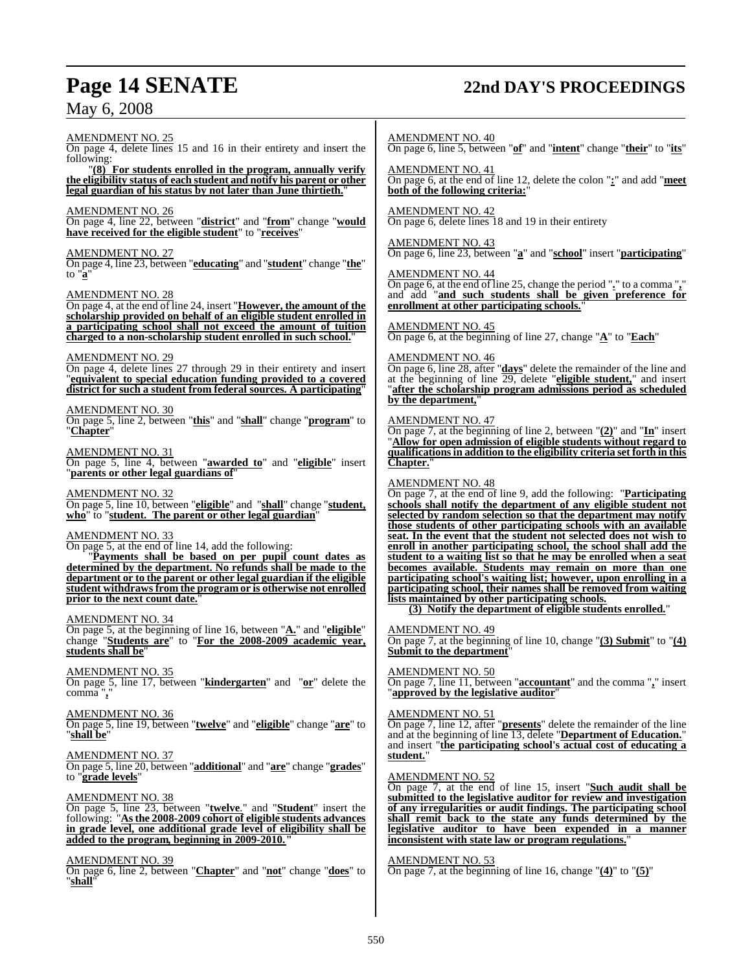# **Page 14 SENATE 22nd DAY'S PROCEEDINGS**

May 6, 2008

AMENDMENT NO. 25 On page 4, delete lines 15 and 16 in their entirety and insert the following: "**(8) For students enrolled in the program, annually verify the eligibility status of each student and notify his parent or other legal guardian of his status by not later than June thirtieth.**" AMENDMENT NO. 26 On page 4, line 22, between "**district**" and "**from**" change "**would have received for the eligible student**" to "**receives**" AMENDMENT NO. 27 On page 4, line 23, between "**educating**" and "**student**" change "**the**" to "**a**" AMENDMENT NO. 28 On page 4, at the end of line 24, insert "**However, the amount of the scholarship provided on behalf of an eligible student enrolled in a participating school shall not exceed the amount of tuition charged to a non-scholarship student enrolled in such school.**" AMENDMENT NO. 29 On page 4, delete lines 27 through 29 in their entirety and insert "**equivalent to special education funding provided to a covered district for such a student from federal sources. A participating**" AMENDMENT NO. 30 On page 5, line 2, between "**this**" and "**shall**" change "**program**" to "**Chapter**" AMENDMENT NO. 31 On page 5, line 4, between "**awarded to**" and "**eligible**" insert "**parents or other legal guardians of**" AMENDMENT NO. 32 On page 5, line 10, between "**eligible**" and "**shall**" change "**student, who**" to "**student. The parent or other legal guardian**" AMENDMENT NO. 33 On page 5, at the end of line 14, add the following: "**Payments shall be based on per pupil count dates as determined by the department. No refunds shall be made to the department or to the parent or other legal guardian if the eligible student withdraws from the program or is otherwise not enrolled prior to the next count date.**" AMENDMENT NO. 34 On page 5, at the beginning of line 16, between "**A.**" and "**eligible**" change "**Students are**" to "**For the 2008-2009 academic year, students shall be**" AMENDMENT NO. 35 On page 5, line 17, between "**kindergarten**" and "**or**" delete the comma "**,**" AMENDMENT NO. 36 On page 5, line 19, between "**twelve**" and "**eligible**" change "**are**" to "**shall be**" AMENDMENT NO. 37 On page 5, line 20, between "**additional**" and "**are**" change "**grades**" to "**grade levels**" AMENDMENT NO. 38 On page 5, line 23, between "**twelve**." and "**Student**" insert the following: "**Asthe 2008-2009 cohort of eligible students advances in grade level, one additional grade level of eligibility shall be added to the program, beginning in 2009-2010."** AMENDMENT NO. 39 On page 6, line 2, between "**Chapter**" and "**not**" change "**does**" to "**shall**" AMENDMENT NO. 40 AMENDMENT NO. 41 AMENDMENT NO. 42 AMENDMENT NO. 44 AMENDMENT NO. 45 AMENDMENT NO. 46 by the department, **Chapter.**" AMENDMENT NO. 48 AMENDMENT NO. 49 AMENDMENT NO. 51 **student.**"

On page 6, line 5, between "**of**" and "**intent**" change "**their**" to "**its**"

On page 6, at the end of line 12, delete the colon "**:**" and add "**meet both of the following criteria:**"

On page 6, delete lines 18 and 19 in their entirety

### AMENDMENT NO. 43

On page 6, line 23, between "**a**" and "**school**" insert "**participating**"

On page 6, at the end of line 25, change the period "**.**" to a comma "**,**" and add "**and such students shall be given preference for enrollment at other participating schools.**"

On page 6, at the beginning of line 27, change "**A**" to "**Each**"

On page 6, line 28, after "**days**" delete the remainder of the line and at the beginning of line 29, delete "**eligible student,**" and insert "**after the scholarship program admissions period as scheduled**

### AMENDMENT NO. 47

On page 7, at the beginning of line 2, between "**(2)**" and "**In**" insert "**Allow for open admission of eligible students without regard to qualificationsin addition to the eligibility criteria set forth in this**

On page 7, at the end of line 9, add the following: "**Participating schools shall notify the department of any eligible student not selected by random selection so that the department may notify those students of other participating schools with an available seat. In the event that the student not selected does not wish to enroll in another participating school, the school shall add the student to a waiting list so that he may be enrolled when a seat becomes available. Students may remain on more than one participating school's waiting list; however, upon enrolling in a participating school, their names shall be removed from waiting lists maintained by other participating schools.**

**(3) Notify the department of eligible students enrolled.**"

On page 7, at the beginning of line 10, change "**(3) Submit**" to "**(4) Submit to the department** 

### AMENDMENT NO. 50

On page 7, line 11, between "**accountant**" and the comma "**,**" insert "**approved by the legislative auditor**"

On page 7, line 12, after "**presents**" delete the remainder of the line and at the beginning of line 13, delete "**Department of Education.**" and insert "**the participating school's actual cost of educating a**

### AMENDMENT NO. 52

On page 7, at the end of line 15, insert "**Such audit shall be submitted to the legislative auditor for review and investigation of any irregularities or audit findings. The participating school shall remit back to the state any funds determined by the legislative auditor to have been expended in a manner inconsistent with state law or program regulations.**"

### AMENDMENT NO. 53

On page 7, at the beginning of line 16, change "**(4)**" to "**(5)**"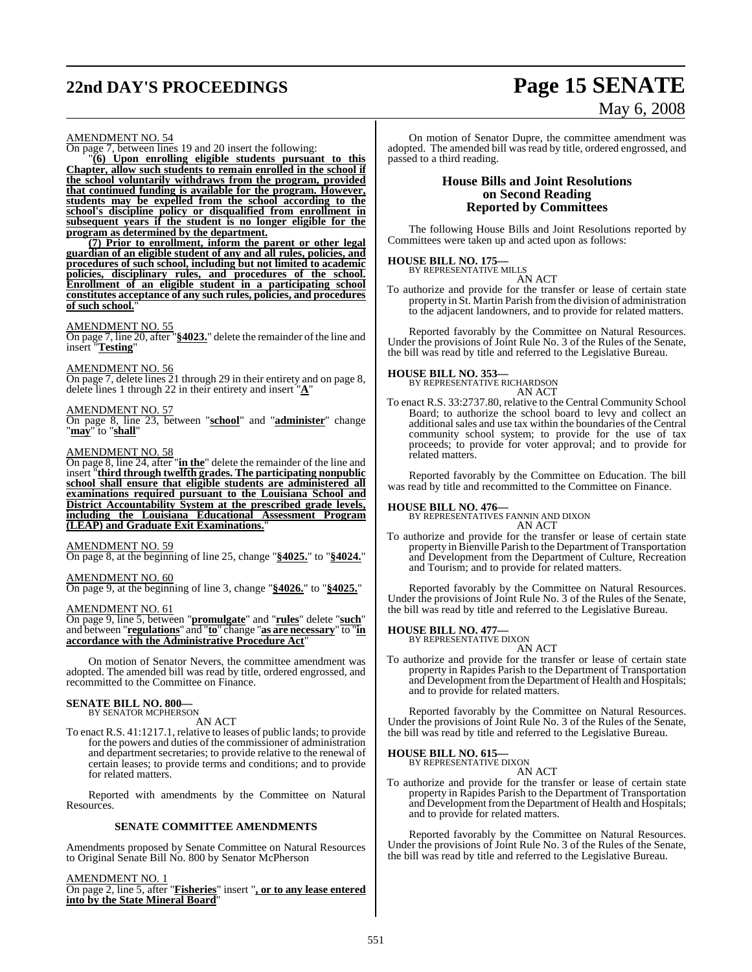# **22nd DAY'S PROCEEDINGS Page 15 SENATE** May 6, 2008

### AMENDMENT NO. 54

On page 7, between lines 19 and 20 insert the following:

"**(6) Upon enrolling eligible students pursuant to this Chapter, allow such students to remain enrolled in the school if the school voluntarily withdraws from the program, provided that continued funding is available for the program. However, students may be expelled from the school according to the school's discipline policy or disqualified from enrollment in subsequent years if the student is no longer eligible for the program as determined by the department.**

**(7) Prior to enrollment, inform the parent or other legal guardian of an eligible student of any and all rules, policies, and procedures of such school, including but not limited to academic policies, disciplinary rules, and procedures of the school. Enrollment of an eligible student in a participating school constitutes acceptance of any such rules, policies, and procedures of such school.** 

### AMENDMENT NO. 55

On page 7, line 20, after "\$4023." delete the remainder of the line and insert "**Testing**"

### AMENDMENT NO. 56

On page 7, delete lines 21 through 29 in their entirety and on page 8, delete lines 1 through 22 in their entirety and insert "**A**"

### AMENDMENT NO. 57

On page 8, line 23, between "**school**" and "**administer**" change "**may**" to "**shall**"

### AMENDMENT NO. 58

On page 8, line 24, after "**in the**" delete the remainder of the line and insert "**third through twelfth grades. The participating nonpublic school shall ensure that eligible students are administered all examinations required pursuant to the Louisiana School and District Accountability System at the prescribed grade levels, including the Louisiana Educational Assessment Program (LEAP) and Graduate Exit Examinations.**"

### AMENDMENT NO. 59

On page 8, at the beginning of line 25, change "**§4025.**" to "**§4024.**"

### AMENDMENT NO. 60

On page 9, at the beginning of line 3, change "**§4026.**" to "**§4025.**"

### AMENDMENT NO. 61

On page 9, line 5, between "**promulgate**" and "**rules**" delete "**such**" and between "**regulations**" and "**to**" change "**as are necessary**" to "**in accordance with the Administrative Procedure Act**"

On motion of Senator Nevers, the committee amendment was adopted. The amended bill was read by title, ordered engrossed, and recommitted to the Committee on Finance.

### **SENATE BILL NO. 800—** BY SENATOR MCPHERSON

AN ACT

To enact R.S. 41:1217.1, relative to leases of public lands; to provide for the powers and duties of the commissioner of administration and department secretaries; to provide relative to the renewal of certain leases; to provide terms and conditions; and to provide for related matters.

Reported with amendments by the Committee on Natural Resources.

### **SENATE COMMITTEE AMENDMENTS**

Amendments proposed by Senate Committee on Natural Resources to Original Senate Bill No. 800 by Senator McPherson

### AMENDMENT NO. 1

On page 2, line 5, after "**Fisheries**" insert "**, or to any lease entered into by the State Mineral Board**"

On motion of Senator Dupre, the committee amendment was adopted. The amended bill was read by title, ordered engrossed, and passed to a third reading.

### **House Bills and Joint Resolutions on Second Reading Reported by Committees**

The following House Bills and Joint Resolutions reported by Committees were taken up and acted upon as follows:

# **HOUSE BILL NO. 175—** BY REPRESENTATIVE MILLS

AN ACT

To authorize and provide for the transfer or lease of certain state property in St. Martin Parish fromthe division of administration to the adjacent landowners, and to provide for related matters.

Reported favorably by the Committee on Natural Resources. Under the provisions of Joint Rule No. 3 of the Rules of the Senate, the bill was read by title and referred to the Legislative Bureau.

# **HOUSE BILL NO. 353—** BY REPRESENTATIVE RICHARDSON

AN ACT

To enact R.S. 33:2737.80, relative to the Central Community School Board; to authorize the school board to levy and collect an additional sales and use tax within the boundaries of the Central community school system; to provide for the use of tax proceeds; to provide for voter approval; and to provide for related matters.

Reported favorably by the Committee on Education. The bill was read by title and recommitted to the Committee on Finance.

**HOUSE BILL NO. 476—** BY REPRESENTATIVES FANNIN AND DIXON AN ACT

To authorize and provide for the transfer or lease of certain state property in Bienville Parish to the Department of Transportation and Development from the Department of Culture, Recreation and Tourism; and to provide for related matters.

Reported favorably by the Committee on Natural Resources. Under the provisions of Joint Rule No. 3 of the Rules of the Senate, the bill was read by title and referred to the Legislative Bureau.

# **HOUSE BILL NO. 477—** BY REPRESENTATIVE DIXON

- AN ACT
- To authorize and provide for the transfer or lease of certain state property in Rapides Parish to the Department of Transportation and Development fromthe Department of Health and Hospitals; and to provide for related matters.

Reported favorably by the Committee on Natural Resources. Under the provisions of Joint Rule No. 3 of the Rules of the Senate, the bill was read by title and referred to the Legislative Bureau.

# **HOUSE BILL NO. 615—** BY REPRESENTATIVE DIXON

### AN ACT

To authorize and provide for the transfer or lease of certain state property in Rapides Parish to the Department of Transportation and Development fromthe Department of Health and Hospitals; and to provide for related matters.

Reported favorably by the Committee on Natural Resources. Under the provisions of Joint Rule No. 3 of the Rules of the Senate, the bill was read by title and referred to the Legislative Bureau.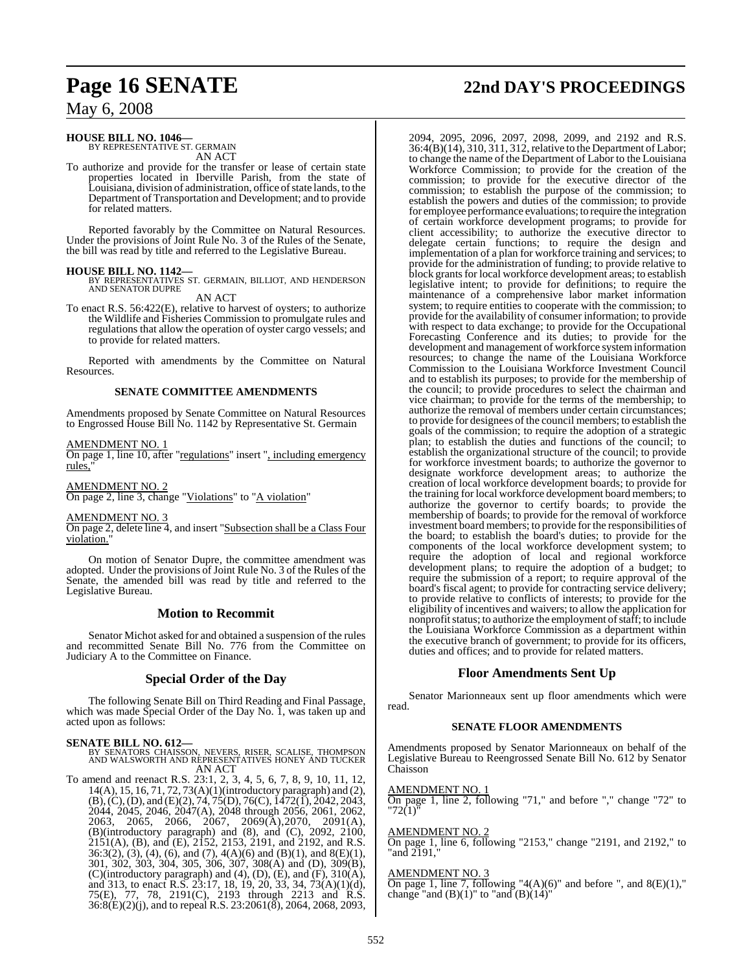# **HOUSE BILL NO. 1046—** BY REPRESENTATIVE ST. GERMAIN

AN ACT

To authorize and provide for the transfer or lease of certain state properties located in Iberville Parish, from the state of Louisiana, division of administration, office of state lands, to the Department of Transportation and Development; and to provide for related matters.

Reported favorably by the Committee on Natural Resources. Under the provisions of Joint Rule No. 3 of the Rules of the Senate, the bill was read by title and referred to the Legislative Bureau.

**HOUSE BILL NO. 1142—** BY REPRESENTATIVES ST. GERMAIN, BILLIOT, AND HENDERSON AND SENATOR DUPRE

AN ACT

To enact R.S. 56:422(E), relative to harvest of oysters; to authorize the Wildlife and Fisheries Commission to promulgate rules and regulations that allow the operation of oyster cargo vessels; and to provide for related matters.

Reported with amendments by the Committee on Natural Resources.

### **SENATE COMMITTEE AMENDMENTS**

Amendments proposed by Senate Committee on Natural Resources to Engrossed House Bill No. 1142 by Representative St. Germain

### AMENDMENT NO. 1

On page 1, line 10, after "regulations" insert ", including emergency rules.

AMENDMENT NO. 2

On page 2, line 3, change "Violations" to "A violation"

AMENDMENT NO. 3

On page 2, delete line 4, and insert "Subsection shall be a Class Four violation.

On motion of Senator Dupre, the committee amendment was adopted. Under the provisions of Joint Rule No. 3 of the Rules of the Senate, the amended bill was read by title and referred to the Legislative Bureau.

### **Motion to Recommit**

Senator Michot asked for and obtained a suspension of the rules and recommitted Senate Bill No. 776 from the Committee on Judiciary A to the Committee on Finance.

### **Special Order of the Day**

The following Senate Bill on Third Reading and Final Passage, which was made Special Order of the Day No. I, was taken up and acted upon as follows:

**SENATE BILL NO. 612—** BY SENATORS CHAISSON, NEVERS, RISER, SCALISE, THOMPSON AND WALSWORTH AND REPRESENTATIVES HONEY AND TUCKER AN ACT

To amend and reenact R.S. 23:1, 2, 3, 4, 5, 6, 7, 8, 9, 10, 11, 12, 14(A), 15, 16, 71, 72, 73(A)(1)(introductory paragraph) and (2),  $(B)$ ,  $(C)$ ,  $(D)$ , and  $(E)(2)$ , 74, 75 $(D)$ , 76 $(C)$ , 1472 $(I)$ , 2042, 2043, 2044, 2045, 2046, 2047(A), 2048 through 2056, 2061, 2062, 2063, 2065, 2066, 2067, 2069(A),2070, 2091(A), (B)(introductory paragraph) and (8), and (C), 2092, 2100, 2151(A), (B), and (E), 2152, 2153, 2191, and 2192, and R.S.  $36:3(2)$ ,  $(3)$ ,  $(4)$ ,  $(6)$ , and  $(7)$ ,  $4(A)(6)$  and  $(B)(1)$ , and  $8(E)(1)$ , 301, 302, 303, 304, 305, 306, 307, 308(A) and (D), 309(B), (C)(introductory paragraph) and (4), (D), (E), and (F), 310(A), and 313, to enact R.S. 23:17, 18, 19, 20, 33, 34, 73(A)(1)(d), 75(E), 77, 78, 2191(C), 2193 through 2213 and R.S. 36:8(E)(2)(j), and to repeal R.S. 23:2061(8), 2064, 2068, 2093,

# **Page 16 SENATE 22nd DAY'S PROCEEDINGS**

2094, 2095, 2096, 2097, 2098, 2099, and 2192 and R.S. 36:4(B)(14), 310, 311, 312, relative to the Department ofLabor; to change the name of the Department of Labor to the Louisiana Workforce Commission; to provide for the creation of the commission; to provide for the executive director of the commission; to establish the purpose of the commission; to establish the powers and duties of the commission; to provide for employee performance evaluations; to require the integration of certain workforce development programs; to provide for client accessibility; to authorize the executive director to delegate certain functions; to require the design and implementation of a plan for workforce training and services; to provide for the administration of funding; to provide relative to block grants for local workforce development areas; to establish legislative intent; to provide for definitions; to require the maintenance of a comprehensive labor market information system; to require entities to cooperate with the commission; to provide for the availability of consumer information; to provide with respect to data exchange; to provide for the Occupational Forecasting Conference and its duties; to provide for the development and management of workforce systeminformation resources; to change the name of the Louisiana Workforce Commission to the Louisiana Workforce Investment Council and to establish its purposes; to provide for the membership of the council; to provide procedures to select the chairman and vice chairman; to provide for the terms of the membership; to authorize the removal of members under certain circumstances; to provide for designees of the council members; to establish the goals of the commission; to require the adoption of a strategic plan; to establish the duties and functions of the council; to establish the organizational structure of the council; to provide for workforce investment boards; to authorize the governor to designate workforce development areas; to authorize the creation of local workforce development boards; to provide for the training for local workforce development board members; to authorize the governor to certify boards; to provide the membership of boards; to provide for the removal of workforce investment board members; to provide for the responsibilities of the board; to establish the board's duties; to provide for the components of the local workforce development system; to require the adoption of local and regional workforce development plans; to require the adoption of a budget; to require the submission of a report; to require approval of the board's fiscal agent; to provide for contracting service delivery; to provide relative to conflicts of interests; to provide for the eligibility of incentives and waivers; to allow the application for nonprofit status; to authorize the employment of staff; to include the Louisiana Workforce Commission as a department within the executive branch of government; to provide for its officers, duties and offices; and to provide for related matters.

### **Floor Amendments Sent Up**

Senator Marionneaux sent up floor amendments which were read.

### **SENATE FLOOR AMENDMENTS**

Amendments proposed by Senator Marionneaux on behalf of the Legislative Bureau to Reengrossed Senate Bill No. 612 by Senator Chaisson

AMENDMENT NO. 1

On page 1, line 2, following "71," and before "," change "72" to '72(1)

### AMENDMENT NO. 2

On page 1, line 6, following "2153," change "2191, and 2192," to "and 2191,"

### AMENDMENT NO. 3

On page 1, line 7, following "4(A)(6)" and before ", and  $8(E)(1)$ ," change "and  $(B)(1)$ " to "and  $(B)(14)$ "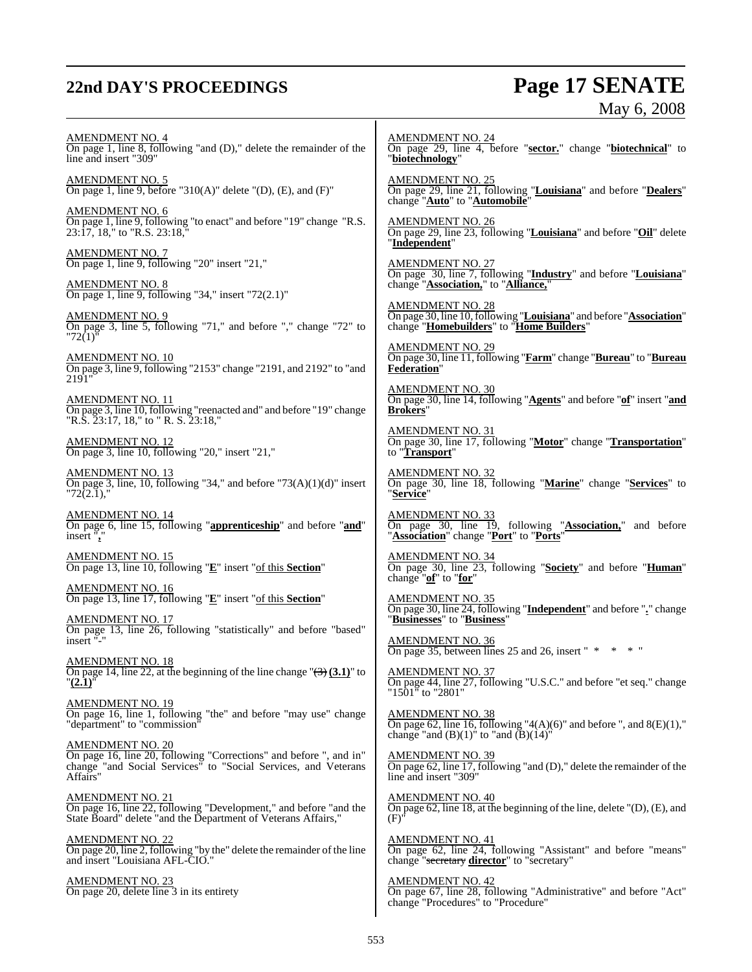# **22nd DAY'S PROCEEDINGS Page 17 SENATE**

# May 6, 2008

AMENDMENT NO. 4 On page 1, line 8, following "and (D)," delete the remainder of the line and insert "309" AMENDMENT NO. 5 On page 1, line 9, before "310(A)" delete "(D),  $(E)$ , and  $(F)$ " AMENDMENT NO. 6 On page 1, line 9, following "to enact" and before "19" change "R.S. 23:17, 18," to "R.S. 23:18," AMENDMENT NO. 7 On page 1, line 9, following "20" insert "21," AMENDMENT NO. 8 On page 1, line 9, following "34," insert "72(2.1)" AMENDMENT NO. 9 On page 3, line 5, following "71," and before "," change "72" to "72(1)" AMENDMENT NO. 10 On page 3, line 9, following "2153" change "2191, and 2192" to "and 2191" AMENDMENT NO. 11 On page 3, line 10, following "reenacted and" and before "19" change "R.S. 23:17, 18," to " R. S. 23:18," AMENDMENT NO. 12 On page 3, line 10, following "20," insert "21," AMENDMENT NO. 13  $\overline{\text{On page 3, line, 10, following}}}$  "34," and before "73(A)(1)(d)" insert  $72(2.1),$ AMENDMENT NO. 14 On page 6, line 15, following "**apprenticeship**" and before "**and**" insert "**,**" AMENDMENT NO. 15 On page 13, line 10, following "**E**" insert "of this **Section**" AMENDMENT NO. 16 On page 13, line 17, following "**E**" insert "of this **Section**" AMENDMENT NO. 17 On page 13, line 26, following "statistically" and before "based" insert AMENDMENT NO. 18 On page 14, line 22, at the beginning of the line change "(3) **(3.1)**" to "**(2.1)**" AMENDMENT NO. 19 On page 16, line 1, following "the" and before "may use" change "department" to "commission" AMENDMENT NO. 20 On page 16, line 20, following "Corrections" and before ", and in" change "and Social Services" to "Social Services, and Veterans Affairs" AMENDMENT NO. 21 On page 16, line 22, following "Development," and before "and the State Board" delete "and the Department of Veterans Affairs," AMENDMENT NO. 22 On page 20, line 2, following "by the" delete the remainder of the line and insert "Louisiana AFL-CIO." AMENDMENT NO. 23 On page 20, delete line 3 in its entirety AMENDMENT NO. 24 On page 29, line 4, before "**sector.**" change "**biotechnical**" to "**biotechnology**" AMENDMENT NO. 25 On page 29, line 21, following "**Louisiana**" and before "**Dealers**" change "**Auto**" to "**Automobile**" AMENDMENT NO. 26 On page 29, line 23, following "**Louisiana**" and before "**Oil**" delete "**Independent**" AMENDMENT NO. 27 On page 30, line 7, following "**Industry**" and before "**Louisiana**" change "**Association,**" to "**Alliance,**" AMENDMENT NO. 28 On page 30, line 10,following "**Louisiana**" and before "**Association**" change "**Homebuilders**" to "**Home Builders**" AMENDMENT NO. 29 On page 30, line 11, following "**Farm**" change "**Bureau**" to "**Bureau Federation**" AMENDMENT NO. 30 On page 30, line 14, following "**Agents**" and before "**of**" insert "**and Brokers**" AMENDMENT NO. 31 On page 30, line 17, following "**Motor**" change "**Transportation**" to "**Transport**" AMENDMENT NO. 32 On page 30, line 18, following "**Marine**" change "**Services**" to "**Service**" AMENDMENT NO. 33 On page 30, line 19, following "**Association,**" and before "**Association**" change "**Port**" to "**Ports**" AMENDMENT NO. 34 On page 30, line 23, following "**Society**" and before "**Human**" change "**of**" to "**for**" AMENDMENT NO. 35 On page 30, line 24, following "**Independent**" and before "**.**" change "**Businesses**" to "**Business**" AMENDMENT NO. 36 On page 35, between lines 25 and 26, insert " \* \* \* " AMENDMENT NO. 37 On page 44, line 27, following "U.S.C." and before "et seq." change "1501" to "2801" AMENDMENT NO. 38 On page 62, line 16, following "4(A)(6)" and before ", and  $8(E)(1)$ ," change "and  $(B)(1)$ " to "and  $(B)(14)$ " AMENDMENT NO. 39 On page 62, line 17, following "and (D)," delete the remainder of the line and insert "309" AMENDMENT NO. 40 On page 62, line 18, at the beginning of the line, delete "(D), (E), and  $(F)$ AMENDMENT NO. 41 On page 62, line 24, following "Assistant" and before "means" change "secretary **director**" to "secretary" AMENDMENT NO. 42 On page 67, line 28, following "Administrative" and before "Act" change "Procedures" to "Procedure"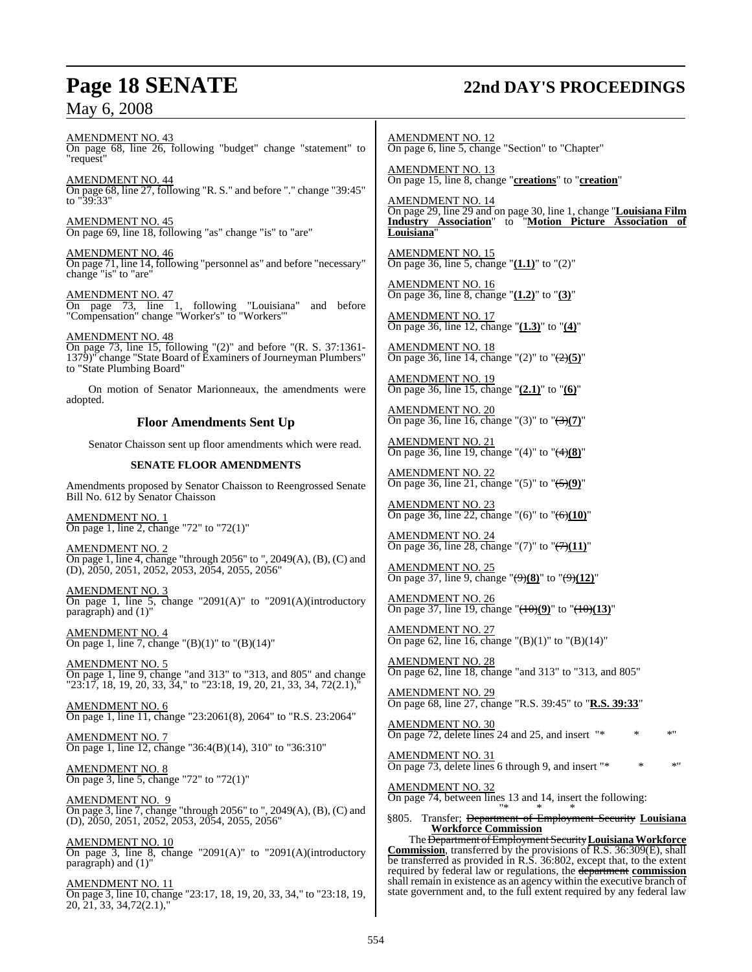# **Page 18 SENATE 22nd DAY'S PROCEEDINGS**

AMENDMENT NO. 43 On page 68, line 26, following "budget" change "statement" to "request"

AMENDMENT NO. 44 On page 68, line 27, following "R. S." and before "." change "39:45" to "39:33"

AMENDMENT NO. 45 On page 69, line 18, following "as" change "is" to "are"

AMENDMENT NO. 46 On page 71, line 14, following "personnel as" and before "necessary" change "is" to "are"

AMENDMENT NO. 47 On page 73, line 1, following "Louisiana" and before "Compensation" change "Worker's" to "Workers'"

AMENDMENT NO. 48 On page 73, line 15, following "(2)" and before "(R. S. 37:1361- 1379)" change "State Board of Examiners of Journeyman Plumbers" to "State Plumbing Board"

On motion of Senator Marionneaux, the amendments were adopted.

### **Floor Amendments Sent Up**

Senator Chaisson sent up floor amendments which were read.

### **SENATE FLOOR AMENDMENTS**

Amendments proposed by Senator Chaisson to Reengrossed Senate Bill No. 612 by Senator Chaisson

AMENDMENT NO. 1 On page 1, line 2, change "72" to "72(1)"

AMENDMENT NO. 2 On page 1, line 4, change "through 2056" to ", 2049(A), (B), (C) and (D), 2050, 2051, 2052, 2053, 2054, 2055, 2056"

AMENDMENT NO. 3 On page 1, line 5, change "2091(A)" to "2091(A)(introductory paragraph) and (1)"

AMENDMENT NO. 4 On page 1, line 7, change " $(B)(1)$ " to " $(B)(14)$ "

AMENDMENT NO. 5 On page 1, line 9, change "and 313" to "313, and 805" and change " $23:17$ , 18, 19, 20, 33,  $34$ ," to " $23:18$ , 19, 20, 21, 33, 34,  $72(2.1)$ ,"

AMENDMENT NO. 6 On page 1, line 11, change "23:2061(8), 2064" to "R.S. 23:2064"

AMENDMENT NO. 7 On page 1, line 12, change "36:4(B)(14), 310" to "36:310"

AMENDMENT NO. 8 On page 3, line 5, change "72" to "72(1)"

AMENDMENT NO. 9 On page 3, line 7, change "through 2056" to ", 2049(A), (B), (C) and (D), 2050, 2051, 2052, 2053, 2054, 2055, 2056"

AMENDMENT NO. 10 On page 3, line 8, change "2091(A)" to "2091(A)(introductory paragraph) and (1)"

AMENDMENT NO. 11 On page 3, line 10, change "23:17, 18, 19, 20, 33, 34," to "23:18, 19, 20, 21, 33, 34,72(2.1),"

AMENDMENT NO. 12 On page 6, line 5, change "Section" to "Chapter"

AMENDMENT NO. 13 On page 15, line 8, change "**creations**" to "**creation**"

AMENDMENT NO. 14 On page 29, line 29 and on page 30, line 1, change "**Louisiana Film Industry Association**" to "**Motion Picture Association of Louisiana**"

AMENDMENT NO. 15 On page 36, line 5, change "**(1.1)**" to "(2)"

AMENDMENT NO. 16 On page 36, line 8, change "**(1.2)**" to "**(3)**"

AMENDMENT NO. 17 On page 36, line 12, change "**(1.3)**" to "**(4)**"

AMENDMENT NO. 18 On page 36, line 14, change "(2)" to "(2)**(5)**"

AMENDMENT NO. 19 On page 36, line 15, change "**(2.1)**" to "**(6)**"

AMENDMENT NO. 20 On page 36, line 16, change "(3)" to "(3)**(7)**"

AMENDMENT NO. 21 On page 36, line 19, change "(4)" to "(4)**(8)**"

AMENDMENT NO. 22 On page 36, line 21, change "(5)" to "(5)**(9)**"

AMENDMENT NO. 23 On page 36, line 22, change "(6)" to "(6)**(10)**"

AMENDMENT NO. 24 On page 36, line 28, change "(7)" to " $\left(\frac{7}{11}\right)$ "

AMENDMENT NO. 25 On page 37, line 9, change "(9)**(8)**" to "(9)**(12)**"

AMENDMENT NO. 26 On page 37, line 19, change "(10)**(9)**" to "(10)**(13)**"

AMENDMENT NO. 27 On page 62, line 16, change "(B)(1)" to "(B)(14)"

AMENDMENT NO. 28 On page 62, line 18, change "and 313" to "313, and 805"

AMENDMENT NO. 29 On page 68, line 27, change "R.S. 39:45" to "**R.S. 39:33**"

AMENDMENT NO. 30 On page 72, delete lines 24 and 25, and insert  $"$ 

AMENDMENT NO. 31 On page 73, delete lines 6 through 9, and insert "\* \*

AMENDMENT NO. 32 On page 74, between lines 13 and 14, insert the following: "\* \* \*

§805. Transfer; Department of Employment Security **Louisiana Workforce Commission**

The Department of Employment Security Louisiana Workforce **Commission**, transferred by the provisions of R.S. 36:309(E), shall be transferred as provided in R.S. 36:802, except that, to the extent required by federal law or regulations, the department **commission** shall remain in existence as an agency within the executive branch of state government and, to the full extent required by any federal law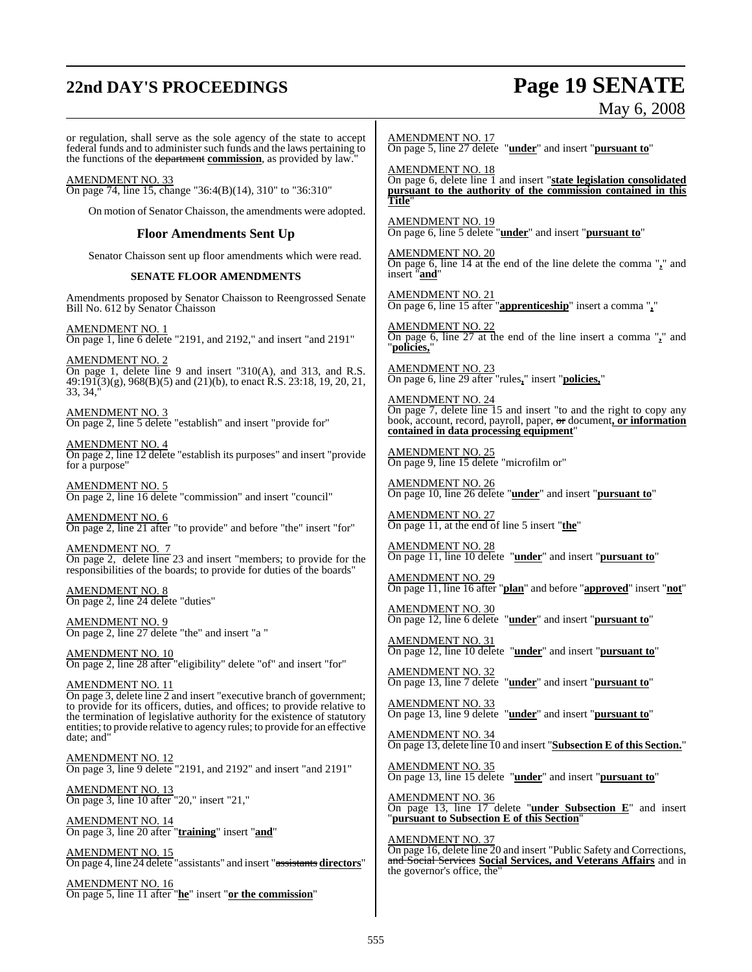# **22nd DAY'S PROCEEDINGS Page 19 SENATE**

On page 5, line 11 after "**he**" insert "**or the commission**"

May 6, 2008

or regulation, shall serve as the sole agency of the state to accept federal funds and to administer such funds and the laws pertaining to the functions of the department **commission**, as provided by law." AMENDMENT NO. 33 On page 74, line 15, change "36:4(B)(14), 310" to "36:310" On motion of Senator Chaisson, the amendments were adopted. **Floor Amendments Sent Up** Senator Chaisson sent up floor amendments which were read. **SENATE FLOOR AMENDMENTS** Amendments proposed by Senator Chaisson to Reengrossed Senate Bill No. 612 by Senator Chaisson AMENDMENT NO. 1 On page 1, line 6 delete "2191, and 2192," and insert "and 2191" AMENDMENT NO. 2 On page 1, delete line 9 and insert "310(A), and 313, and R.S. 49:191(3)(g), 968(B)(5) and (21)(b), to enact R.S. 23:18, 19, 20, 21, 33, 34," AMENDMENT NO. 3 On page 2, line 5 delete "establish" and insert "provide for" AMENDMENT NO. 4 On page 2, line 12 delete "establish its purposes" and insert "provide for a purpose" AMENDMENT NO. 5 On page 2, line 16 delete "commission" and insert "council" AMENDMENT NO. 6 On page 2, line 21 after "to provide" and before "the" insert "for" AMENDMENT NO. 7 On page 2, delete line 23 and insert "members; to provide for the responsibilities of the boards; to provide for duties of the boards" AMENDMENT NO. 8 On page 2, line 24 delete "duties" AMENDMENT NO. 9 On page 2, line 27 delete "the" and insert "a " AMENDMENT NO. 10 On page 2, line 28 after "eligibility" delete "of" and insert "for" AMENDMENT NO. 11 On page 3, delete line 2 and insert "executive branch of government; to provide for its officers, duties, and offices; to provide relative to the termination of legislative authority for the existence of statutory entities; to provide relative to agency rules; to provide for an effective date; and" AMENDMENT NO. 12 On page 3, line 9 delete "2191, and 2192" and insert "and 2191" AMENDMENT NO. 13 On page 3, line 10 after "20," insert "21," AMENDMENT NO. 14 On page 3, line 20 after "**training**" insert "**and**" AMENDMENT NO. 15 On page 4, line 24 delete "assistants" and insert "assistants **directors**" AMENDMENT NO. 16 AMENDMENT NO. 17 On page 5, line 27 delete "**under**" and insert "**pursuant to**" AMENDMENT NO. 18 On page 6, delete line 1 and insert "**state legislation consolidated pursuant to the authority of the commission contained in this Title**" AMENDMENT NO. 19 On page 6, line 5 delete "**under**" and insert "**pursuant to**" AMENDMENT NO. 20 On page 6, line 14 at the end of the line delete the comma "**,**" and insert "**and**" AMENDMENT NO. 21 On page 6, line 15 after "**apprenticeship**" insert a comma "**,**" AMENDMENT NO. 22 On page 6, line 27 at the end of the line insert a comma "**,**" and "**policies,**" AMENDMENT NO. 23 On page 6, line 29 after "rules**,**" insert "**policies,**" AMENDMENT NO. 24 On page 7, delete line 15 and insert "to and the right to copy any book, account, record, payroll, paper, or document**, or information contained in data processing equipment**" AMENDMENT NO. 25 On page 9, line 15 delete "microfilm or" AMENDMENT NO. 26 On page 10, line 26 delete "**under**" and insert "**pursuant to**" AMENDMENT NO. 27 On page 11, at the end of line 5 insert "**the**" AMENDMENT NO. 28 On page 11, line 10 delete "**under**" and insert "**pursuant to**" AMENDMENT NO. 29 On page 11, line 16 after "**plan**" and before "**approved**" insert "**not**" AMENDMENT NO. 30 On page 12, line 6 delete "**under**" and insert "**pursuant to**" AMENDMENT NO. 31 On page 12, line 10 delete "**under**" and insert "**pursuant to**" AMENDMENT NO. 32 On page 13, line 7 delete "**under**" and insert "**pursuant to**" AMENDMENT NO. 33 On page 13, line 9 delete "**under**" and insert "**pursuant to**" AMENDMENT NO. 34 On page 13, delete line 10 and insert "**Subsection E of this Section.**" AMENDMENT NO. 35 On page 13, line 15 delete "**under**" and insert "**pursuant to**" AMENDMENT NO. 36 On page 13, line 17 delete "**under Subsection E**" and insert "**pursuant to Subsection E of this Section**" AMENDMENT NO. 37 On page 16, delete line 20 and insert "Public Safety and Corrections, and Social Services **Social Services, and Veterans Affairs** and in the governor's office, the"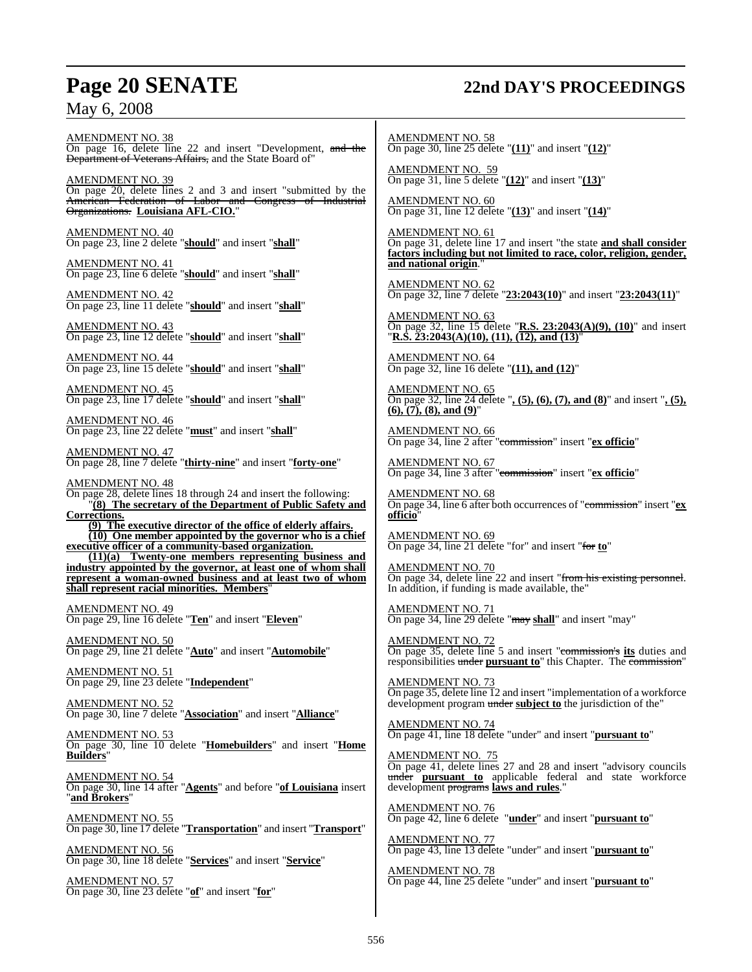# **Page 20 SENATE 22nd DAY'S PROCEEDINGS**

AMENDMENT NO. 38 On page 16, delete line 22 and insert "Development, and the **Department of Veterans Affairs, and the State Board of**"

AMENDMENT NO. 39 On page 20, delete lines 2 and 3 and insert "submitted by the American Federation of Labor and Congress of Industrial Organizations. **Louisiana AFL-CIO.**"

AMENDMENT NO. 40 On page 23, line 2 delete "**should**" and insert "**shall**"

AMENDMENT NO. 41 On page 23, line 6 delete "**should**" and insert "**shall**"

AMENDMENT NO. 42 On page 23, line 11 delete "**should**" and insert "**shall**"

AMENDMENT NO. 43 On page 23, line 12 delete "**should**" and insert "**shall**"

AMENDMENT NO. 44 On page 23, line 15 delete "**should**" and insert "**shall**"

AMENDMENT NO. 45 On page 23, line 17 delete "**should**" and insert "**shall**"

AMENDMENT NO. 46 On page 23, line 22 delete "**must**" and insert "**shall**"

AMENDMENT NO. 47 On page 28, line 7 delete "**thirty-nine**" and insert "**forty-one**"

AMENDMENT NO. 48 On page 28, delete lines 18 through 24 and insert the following: "**(8) The secretary of the Department of Public Safety and Corrections.**

**(9) The executive director of the office of elderly affairs. (10) One member appointed by the governor who is a chief executive officer of a community-based organization.**

**(11)(a) Twenty-one members representing business and industry appointed by the governor, at least one of whom shall represent a woman-owned business and at least two of whom shall represent racial minorities. Members**"

AMENDMENT NO. 49 On page 29, line 16 delete "**Ten**" and insert "**Eleven**"

AMENDMENT NO. 50 On page 29, line 21 delete "**Auto**" and insert "**Automobile**"

AMENDMENT NO. 51 On page 29, line 23 delete "**Independent**"

AMENDMENT NO. 52 On page 30, line 7 delete "**Association**" and insert "**Alliance**"

AMENDMENT NO. 53 On page 30, line 10 delete "**Homebuilders**" and insert "**Home Builders**"

AMENDMENT NO. 54 On page 30, line 14 after "**Agents**" and before "**of Louisiana** insert "**and Brokers**"

AMENDMENT NO. 55 On page 30, line 17 delete "**Transportation**" and insert "**Transport**"

AMENDMENT NO. 56 On page 30, line 18 delete "**Services**" and insert "**Service**"

AMENDMENT NO. 57 On page 30, line 23 delete "**of**" and insert "**for**" AMENDMENT NO. 58 On page 30, line 25 delete "**(11)**" and insert "**(12)**"

AMENDMENT NO. 59 On page 31, line 5 delete "**(12)**" and insert "**(13)**"

AMENDMENT NO. 60 On page 31, line 12 delete "**(13)**" and insert "**(14)**"

AMENDMENT NO. 61 On page 31, delete line 17 and insert "the state **and shall consider factors including but not limited to race, color, religion, gender, and national origin**."

AMENDMENT NO. 62 On page 32, line 7 delete "**23:2043(10)**" and insert "**23:2043(11)**"

AMENDMENT NO. 63 On page 32, line 15 delete "**R.S. 23:2043(A)(9), (10)**" and insert "**R.S. 23:2043(A)(10), (11), (12), and (13)**"

AMENDMENT NO. 64 On page 32, line 16 delete "**(11), and (12)**"

AMENDMENT NO. 65 On page 32, line 24 delete "**, (5), (6), (7), and (8)**" and insert "**, (5), (6), (7), (8), and (9)**"

AMENDMENT NO. 66 On page 34, line 2 after "commission" insert "**ex officio**"

AMENDMENT NO. 67 On page 34, line 3 after "commission" insert "**ex officio**"

AMENDMENT NO. 68 On page 34, line 6 after both occurrences of "commission" insert "**ex officio**"

AMENDMENT NO. 69 On page 34, line 21 delete "for" and insert "for **to**"

AMENDMENT NO. 70 On page 34, delete line 22 and insert "from his existing personnel. In addition, if funding is made available, the"

AMENDMENT NO. 71 On page 34, line 29 delete "may **shall**" and insert "may"

AMENDMENT NO. 72 On page 35, delete line 5 and insert "commission's **its** duties and responsibilities under **pursuant to**" this Chapter. The commission"

AMENDMENT NO. 73 On page 35, delete line 12 and insert "implementation of a workforce development program under **subject to** the jurisdiction of the"

AMENDMENT NO. 74 On page 41, line 18 delete "under" and insert "**pursuant to**"

AMENDMENT NO. 75 On page 41, delete lines 27 and 28 and insert "advisory councils under **pursuant to** applicable federal and state workforce development programs **laws and rules**."

AMENDMENT NO. 76 On page 42, line 6 delete "**under**" and insert "**pursuant to**"

AMENDMENT NO. 77 On page 43, line 13 delete "under" and insert "**pursuant to**"

AMENDMENT NO. 78 On page 44, line 25 delete "under" and insert "**pursuant to**"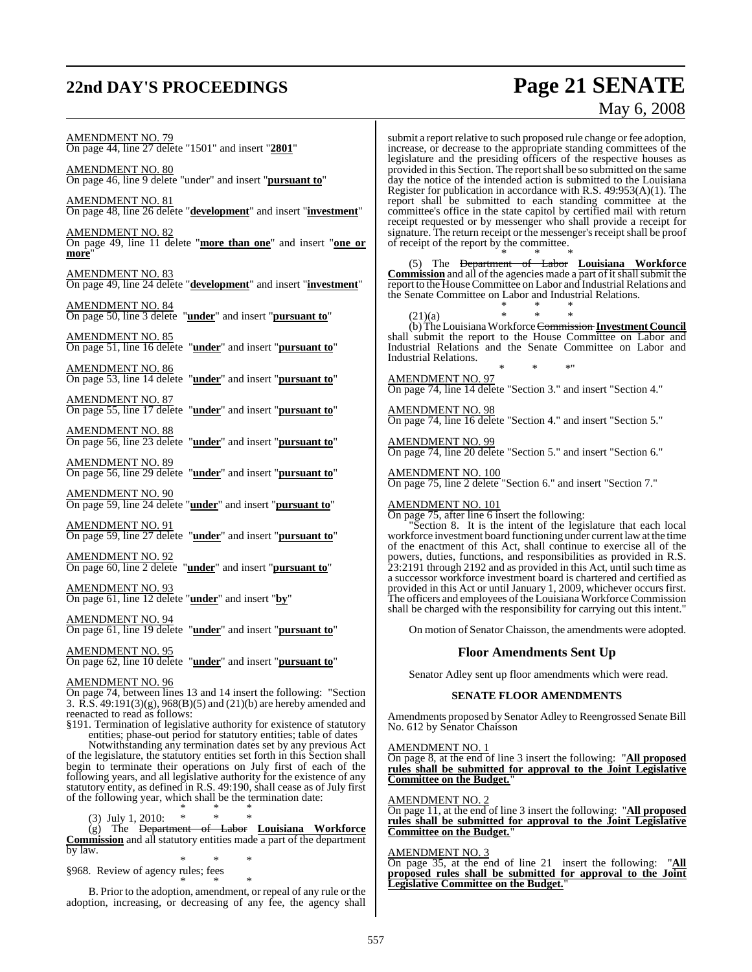# **22nd DAY'S PROCEEDINGS Page 21 SENATE**

# May 6, 2008

AMENDMENT NO. 79 On page 44, line 27 delete "1501" and insert "**2801**" AMENDMENT NO. 80 On page 46, line 9 delete "under" and insert "**pursuant to**" AMENDMENT NO. 81 On page 48, line 26 delete "**development**" and insert "**investment**" AMENDMENT NO. 82 On page 49, line 11 delete "**more than one**" and insert "**one or more**" AMENDMENT NO. 83 On page 49, line 24 delete "**development**" and insert "**investment**" AMENDMENT NO. 84 On page 50, line 3 delete "**under**" and insert "**pursuant to**" AMENDMENT NO. 85<br>On page 51, line 16 delete "**under**" and insert "**pursuant to**" AMENDMENT NO. 86 On page 53, line 14 delete "**under**" and insert "**pursuant to**" AMENDMENT NO. 87 On page 55, line 17 delete "**under**" and insert "**pursuant to**" AMENDMENT NO. 88<br>On page 56, line 23 delete "**under**" and insert "**pursuant to**" AMENDMENT NO. 89 On page 56, line 29 delete "**under**" and insert "**pursuant to**" AMENDMENT NO. 90 On page 59, line 24 delete "**under**" and insert "**pursuant to**" AMENDMENT NO. 91 On page 59, line 27 delete "**under**" and insert "**pursuant to**" AMENDMENT NO. 92 On page 60, line 2 delete "**under**" and insert "**pursuant to**" AMENDMENT NO. 93 On page 61, line 12 delete "**under**" and insert "**by**" AMENDMENT NO. 94 On page 61, line 19 delete "**under**" and insert "**pursuant to**" AMENDMENT NO. 95 On page 62, line 10 delete "**under**" and insert "**pursuant to**" AMENDMENT NO. 96 On page 74, between lines 13 and 14 insert the following: "Section 3. R.S. 49:191(3)(g), 968(B)(5) and (21)(b) are hereby amended and reenacted to read as follows: §191. Termination of legislative authority for existence of statutory submit a report relative to such proposed rule change or fee adoption, increase, or decrease to the appropriate standing committees of the legislature and the presiding officers of the respective houses as provided in this Section. The reportshall be so submitted on the same day the notice of the intended action is submitted to the Louisiana Register for publication in accordance with R.S. 49:953(A)(1). The report shall be submitted to each standing committee at the committee's office in the state capitol by certified mail with return receipt requested or by messenger who shall provide a receipt for signature. The return receipt or the messenger's receipt shall be proof of receipt of the report by the committee. \* \* \* (5) The Department of Labor **Louisiana Workforce Commission** and all of the agencies made a part of it shall submit the report to the House Committee on Labor and Industrial Relations and the Senate Committee on Labor and Industrial Relations. \* \* \*  $(21)(a)$ (b) The LouisianaWorkforceCommission **Investment Council** shall submit the report to the House Committee on Labor and Industrial Relations and the Senate Committee on Labor and Industrial Relations. \* \* \*" AMENDMENT NO. 97 On page 74, line 14 delete "Section 3." and insert "Section 4." AMENDMENT NO. 98 On page 74, line 16 delete "Section 4." and insert "Section 5." AMENDMENT NO. 99 On page 74, line 20 delete "Section 5." and insert "Section 6." AMENDMENT NO. 100 On page 75, line 2 delete "Section 6." and insert "Section 7." AMENDMENT NO. 101 On page 75, after line 6 insert the following: "Section 8. It is the intent of the legislature that each local workforce investment board functioning under current lawat the time of the enactment of this Act, shall continue to exercise all of the powers, duties, functions, and responsibilities as provided in R.S. 23:2191 through 2192 and as provided in this Act, until such time as a successor workforce investment board is chartered and certified as provided in this Act or until January 1, 2009, whichever occurs first. The officers and employees of the Louisiana Workforce Commission shall be charged with the responsibility for carrying out this intent." On motion of Senator Chaisson, the amendments were adopted. **Floor Amendments Sent Up** Senator Adley sent up floor amendments which were read. **SENATE FLOOR AMENDMENTS** Amendments proposed by Senator Adley to Reengrossed Senate Bill No. 612 by Senator Chaisson

entities; phase-out period for statutory entities; table of dates Notwithstanding any termination dates set by any previous Act of the legislature, the statutory entities set forth in this Section shall begin to terminate their operations on July first of each of the following years, and all legislative authority for the existence of any statutory entity, as defined in R.S. 49:190, shall cease as of July first of the following year, which shall be the termination date:

\* \* \* (3) July 1, 2010:

(g) The Department of Labor **Louisiana Workforce Commission** and all statutory entities made a part of the department by law.

\* \* \* §968. Review of agency rules; fees

\* \* \* B. Prior to the adoption, amendment, or repeal of any rule or the adoption, increasing, or decreasing of any fee, the agency shall

AMENDMENT NO. 1 On page 8, at the end of line 3 insert the following: "**All proposed rules shall be submitted for approval to the Joint Legislative Committee on the Budget.**"

AMENDMENT NO. 2

On page 11, at the end of line 3 insert the following: "**All proposed rules shall be submitted for approval to the Joint Legislative Committee on the Budget.**"

### AMENDMENT NO. 3

On page 35, at the end of line 21 insert the following: "**All proposed rules shall be submitted for approval to the Joint Legislative Committee on the Budget.**"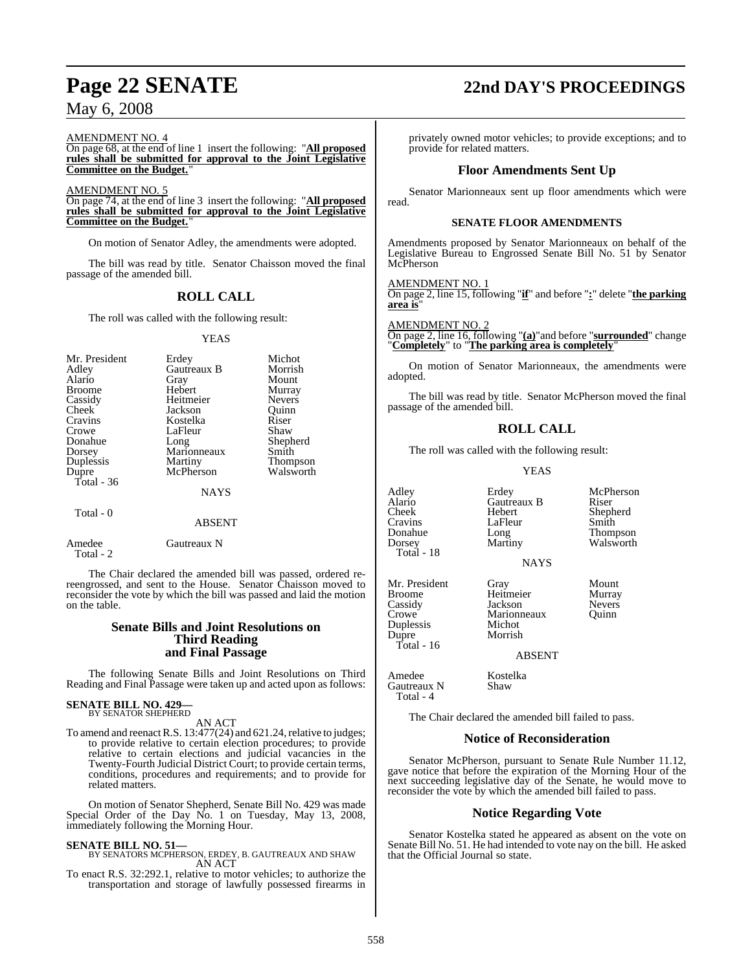### AMENDMENT NO. 4

On page 68, at the end of line 1 insert the following: "**All proposed rules shall be submitted for approval to the Joint Legislative Committee on the Budget.**"

### AMENDMENT NO. 5

On page 74, at the end of line 3 insert the following: "**All proposed rules shall be submitted for approval to the Joint Legislative Committee on the Budget.**"

On motion of Senator Adley, the amendments were adopted.

The bill was read by title. Senator Chaisson moved the final passage of the amended bill.

### **ROLL CALL**

The roll was called with the following result:

### **YEAS**

| Mr. President | Erdey         | Michot          |
|---------------|---------------|-----------------|
| Adley         | Gautreaux B   | Morrish         |
| Alario        | Gray          | Mount           |
| <b>Broome</b> | Hebert        | Murray          |
| Cassidy       | Heitmeier     | <b>Nevers</b>   |
| Cheek         | Jackson       | Ouinn           |
| Cravins       | Kostelka      | Riser           |
| Crowe         | LaFleur       | Shaw            |
| Donahue       | Long          | Shepherd        |
| Dorsey        | Marionneaux   | Smith           |
| Duplessis     | Martiny       | <b>Thompson</b> |
| Dupre         | McPherson     | Walsworth       |
| Total - 36    |               |                 |
|               | <b>NAYS</b>   |                 |
|               |               |                 |
| Total - 0     |               |                 |
|               | <b>ABSENT</b> |                 |
|               |               |                 |

| Amedee    | Gautreaux N |
|-----------|-------------|
| Total - 2 |             |

The Chair declared the amended bill was passed, ordered rereengrossed, and sent to the House. Senator Chaisson moved to reconsider the vote by which the bill was passed and laid the motion on the table.

### **Senate Bills and Joint Resolutions on Third Reading and Final Passage**

The following Senate Bills and Joint Resolutions on Third Reading and Final Passage were taken up and acted upon as follows:

# **SENATE BILL NO. 429—** BY SENATOR SHEPHERD

AN ACT

To amend and reenact R.S. 13:477(24) and 621.24, relative to judges; to provide relative to certain election procedures; to provide relative to certain elections and judicial vacancies in the Twenty-Fourth Judicial District Court; to provide certain terms, conditions, procedures and requirements; and to provide for related matters.

On motion of Senator Shepherd, Senate Bill No. 429 was made Special Order of the Day No. 1 on Tuesday, May 13, 2008, immediately following the Morning Hour.

### **SENATE BILL NO. 51—**

### BY SENATORS MCPHERSON, ERDEY, B. GAUTREAUX AND SHAW AN ACT

To enact R.S. 32:292.1, relative to motor vehicles; to authorize the transportation and storage of lawfully possessed firearms in

# **Page 22 SENATE 22nd DAY'S PROCEEDINGS**

privately owned motor vehicles; to provide exceptions; and to provide for related matters.

### **Floor Amendments Sent Up**

Senator Marionneaux sent up floor amendments which were read.

### **SENATE FLOOR AMENDMENTS**

Amendments proposed by Senator Marionneaux on behalf of the Legislative Bureau to Engrossed Senate Bill No. 51 by Senator McPherson

### AMENDMENT NO. 1

On page 2, line 15, following "**if**" and before "**:**" delete "**the parking area is**"

### <u>AMENDMENT NO. 2</u>

On page 2, line 16, following "**(a)**"and before "**surrounded**" change "**Completely**" to "**The parking area is completely**"

On motion of Senator Marionneaux, the amendments were adopted.

The bill was read by title. Senator McPherson moved the final passage of the amended bill.

### **ROLL CALL**

The roll was called with the following result:

### YEAS

Adley Erdey McPherson<br>Alario Gautreaux B Riser Alario Gautreaux B<br>Cheek Hebert Cheek Hebert Shepherd Cravins LaFleur<br>Donahue Long Donahue Long Thompson<br>Dorsey Martiny Walsworth Total - 18

Dupre Total - 16

Gautreaux N Total - 4

Mr. President Gray Mount<br>Broome Heitmeier Murray Broome Heitmeier Murray Cassidy Jackson Nevers Marionneaux<br>Michot Duplessis Michot

Walsworth

ABSENT

**NAYS** 

Amedee Kostelka<br>Gautreaux N Shaw

The Chair declared the amended bill failed to pass.

### **Notice of Reconsideration**

Senator McPherson, pursuant to Senate Rule Number 11.12, gave notice that before the expiration of the Morning Hour of the next succeeding legislative day of the Senate, he would move to reconsider the vote by which the amended bill failed to pass.

### **Notice Regarding Vote**

Senator Kostelka stated he appeared as absent on the vote on Senate Bill No. 51. He had intended to vote nay on the bill. He asked that the Official Journal so state.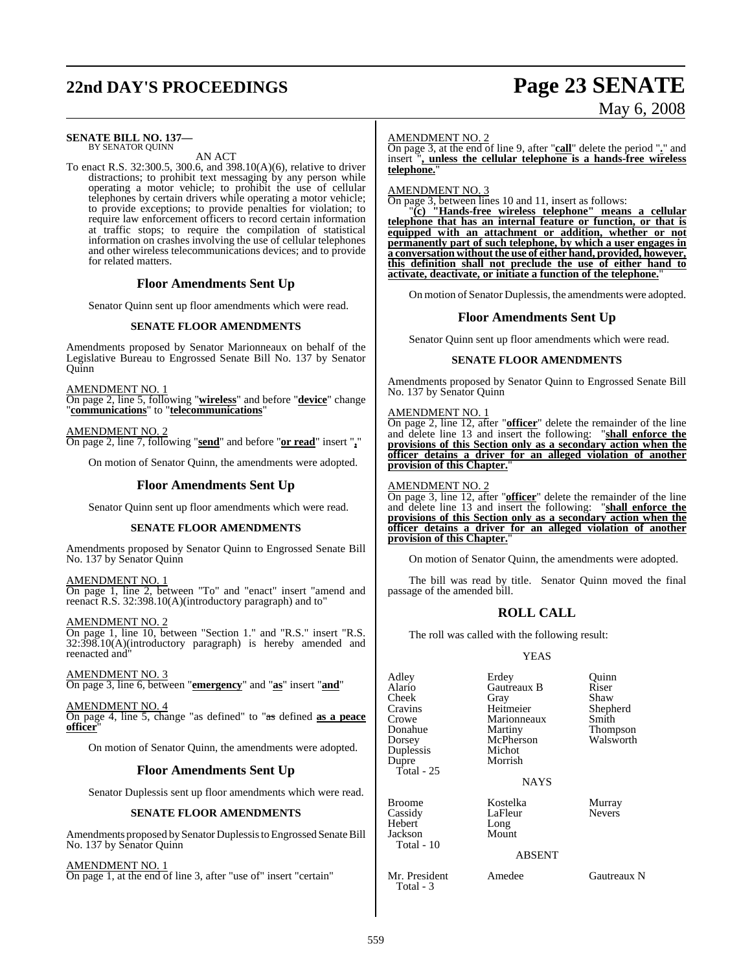# **22nd DAY'S PROCEEDINGS Page 23 SENATE**

### **SENATE BILL NO. 137—** BY SENATOR QUINN

AN ACT

To enact R.S. 32:300.5, 300.6, and 398.10(A)(6), relative to driver distractions; to prohibit text messaging by any person while operating a motor vehicle; to prohibit the use of cellular telephones by certain drivers while operating a motor vehicle; to provide exceptions; to provide penalties for violation; to require law enforcement officers to record certain information at traffic stops; to require the compilation of statistical information on crashes involving the use of cellular telephones and other wireless telecommunications devices; and to provide for related matters.

### **Floor Amendments Sent Up**

Senator Quinn sent up floor amendments which were read.

### **SENATE FLOOR AMENDMENTS**

Amendments proposed by Senator Marionneaux on behalf of the Legislative Bureau to Engrossed Senate Bill No. 137 by Senator Quinn

AMENDMENT NO. 1

On page 2, line 5, following "**wireless**" and before "**device**" change "**communications**" to "**telecommunications**"

AMENDMENT NO. 2 On page 2, line 7, following "**send**" and before "**or read**" insert "**,**"

On motion of Senator Quinn, the amendments were adopted.

### **Floor Amendments Sent Up**

Senator Quinn sent up floor amendments which were read.

### **SENATE FLOOR AMENDMENTS**

Amendments proposed by Senator Quinn to Engrossed Senate Bill No. 137 by Senator Quinn

AMENDMENT NO. 1 On page 1, line 2, between "To" and "enact" insert "amend and reenact R.S. 32:398.10(A)(introductory paragraph) and to"

AMENDMENT NO. 2 On page 1, line 10, between "Section 1." and "R.S." insert "R.S. 32:398.10(A)(introductory paragraph) is hereby amended and reenacted and"

AMENDMENT NO. 3 On page 3, line 6, between "**emergency**" and "**as**" insert "**and**"

AMENDMENT NO. 4 On page 4, line 5, change "as defined" to "as defined **as a peace officer**"

On motion of Senator Quinn, the amendments were adopted.

### **Floor Amendments Sent Up**

Senator Duplessis sent up floor amendments which were read.

### **SENATE FLOOR AMENDMENTS**

Amendments proposed by Senator Duplessis to Engrossed Senate Bill No. 137 by Senator Quinn

### AMENDMENT NO. 1

On page 1, at the end of line 3, after "use of" insert "certain"

# May 6, 2008

### AMENDMENT NO. 2

On page 3, at the end of line 9, after "**call**" delete the period "**.**" and insert "**, unless the cellular telephone is a hands-free wireless telephone.**"

AMENDMENT NO. 3

On page 3, between lines 10 and 11, insert as follows:

"**(c) "Hands-free wireless telephone" means a cellular telephone that has an internal feature or function, or that is equipped with an attachment or addition, whether or not permanently part of such telephone, by which a user engages in a conversation without the use of either hand, provided, however, this definition shall not preclude the use of either hand to activate, deactivate, or initiate a function of the telephone.**"

On motion of Senator Duplessis, the amendments were adopted.

### **Floor Amendments Sent Up**

Senator Quinn sent up floor amendments which were read.

### **SENATE FLOOR AMENDMENTS**

Amendments proposed by Senator Quinn to Engrossed Senate Bill No. 137 by Senator Quinn

### AMENDMENT NO. 1

On page 2, line 12, after "**officer**" delete the remainder of the line and delete line 13 and insert the following: "**shall enforce the provisions of this Section only as a secondary action when the officer detains a driver for an alleged violation of another provision of this Chapter.**"

### AMENDMENT NO. 2

On page 3, line 12, after "**officer**" delete the remainder of the line and delete line 13 and insert the following: "**shall enforce the provisions of this Section only as a secondary action when the officer detains a driver for an alleged violation of another provision of this Chapter.**"

On motion of Senator Quinn, the amendments were adopted.

The bill was read by title. Senator Quinn moved the final passage of the amended bill.

### **ROLL CALL**

The roll was called with the following result:

### YEAS

| Adley<br>Alario<br>Cheek<br>Cravins<br>Crowe<br>Donahue<br>Dorsey<br>Duplessis<br>Dupre<br>Total - $25$ | Erdey<br>Gautreaux B<br>Gray<br>Heitmeier<br>Marionneaux<br>Martiny<br>McPherson<br>Michot<br>Morrish<br><b>NAYS</b> | Quinn<br>Riser<br>Shaw<br>Shepherd<br>Smith<br>Thompson<br>Walsworth |
|---------------------------------------------------------------------------------------------------------|----------------------------------------------------------------------------------------------------------------------|----------------------------------------------------------------------|
| <b>Broome</b><br>Cassidy<br>Hebert<br>Jackson<br>Total - 10                                             | Kostelka<br>LaFleur<br>Long<br>Mount<br><b>ABSENT</b>                                                                | Murray<br><b>Nevers</b>                                              |
| Mr. President                                                                                           | Amedee                                                                                                               | Gautreaux N                                                          |

Total - 3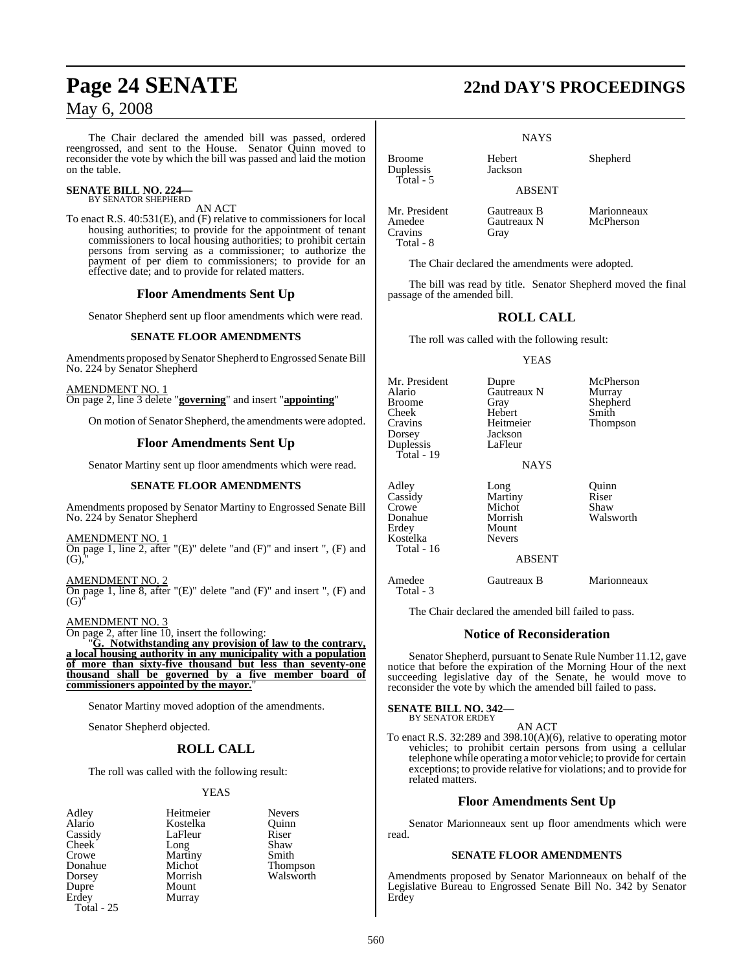The Chair declared the amended bill was passed, ordered reengrossed, and sent to the House. Senator Quinn moved to reconsider the vote by which the bill was passed and laid the motion on the table.

### **SENATE BILL NO. 224—** BY SENATOR SHEPHERD

AN ACT

To enact R.S. 40:531(E), and (F) relative to commissioners for local housing authorities; to provide for the appointment of tenant commissioners to local housing authorities; to prohibit certain persons from serving as a commissioner; to authorize the payment of per diem to commissioners; to provide for an effective date; and to provide for related matters.

### **Floor Amendments Sent Up**

Senator Shepherd sent up floor amendments which were read.

### **SENATE FLOOR AMENDMENTS**

Amendments proposed by Senator Shepherd to Engrossed Senate Bill No. 224 by Senator Shepherd

AMENDMENT NO. 1 On page 2, line 3 delete "**governing**" and insert "**appointing**"

On motion of Senator Shepherd, the amendments were adopted.

### **Floor Amendments Sent Up**

Senator Martiny sent up floor amendments which were read.

### **SENATE FLOOR AMENDMENTS**

Amendments proposed by Senator Martiny to Engrossed Senate Bill No. 224 by Senator Shepherd

### AMENDMENT NO. 1

On page 1, line 2, after "(E)" delete "and (F)" and insert ", (F) and  $(G),$ 

AMENDMENT NO. 2 On page 1, line 8, after "(E)" delete "and (F)" and insert ", (F) and  $(G)$ 

### AMENDMENT NO. 3

On page 2, after line 10, insert the following:

"**G. Notwithstanding any provision of law to the contrary, a local housing authority in any municipality with a population of more than sixty-five thousand but less than seventy-one thousand shall be governed by a five member board of commissioners appointed by the mayor.**"

Senator Martiny moved adoption of the amendments.

Senator Shepherd objected.

### **ROLL CALL**

The roll was called with the following result:

Kostelka

Martiny

Murray

### YEAS

- Adley Heitmeier Nevers<br>
Alario Kostelka Quinn Cassidy LaFleur Riser<br>Cheek Long Shaw Cheek Long Shaw<br>Crowe Martiny Smith Dorsey Morrish Walsworth Dupre Mount<br>Erdey Murray Total - 25
- Donahue Michot Thompson<br>
Dorsey Morrish Walsworth

# **Page 24 SENATE 22nd DAY'S PROCEEDINGS**

**NAYS** 

Broome Hebert Shepherd<br>Dunlessis Iackson

ABSENT

Mr. President Gautreaux B Marionneaux<br>Amedee Gautreaux N McPherson Amedee Gautreaux N<br>Cravins Grav Cravins Total - 8

Duplessis Total - 5

The Chair declared the amendments were adopted.

The bill was read by title. Senator Shepherd moved the final passage of the amended bill.

### **ROLL CALL**

The roll was called with the following result:

### YEAS

Mr. President Dupre McPherson<br>Alario Gautreaux N Murray Alario Gautreaux N<br>Broome Gray Gray Shepherd<br>Hebert Smith Cheek Hebert<br>Cravins Heitmeier Cravins Heitmeier Thompson Jackson<br>LaFleur Duplessis Total - 19 NAYS Adley Long Quinn<br>Cassidy Martiny Riser Cassidy Martiny Riser Crowe Michot<br>Donahue Morrish Donahue Morrish Walsworth<br>
Erdey Mount Mount<br>Nevers Kostelka Total - 16

### ABSENT

Amedee Gautreaux B Marionneaux Total - 3

The Chair declared the amended bill failed to pass.

### **Notice of Reconsideration**

Senator Shepherd, pursuant to Senate Rule Number 11.12, gave notice that before the expiration of the Morning Hour of the next succeeding legislative day of the Senate, he would move to reconsider the vote by which the amended bill failed to pass.

### **SENATE BILL NO. 342—**

BY SENATOR ERDEY

AN ACT To enact R.S. 32:289 and 398.10(A)(6), relative to operating motor vehicles; to prohibit certain persons from using a cellular telephone while operating a motor vehicle; to provide for certain exceptions; to provide relative for violations; and to provide for related matters.

### **Floor Amendments Sent Up**

Senator Marionneaux sent up floor amendments which were read.

### **SENATE FLOOR AMENDMENTS**

Amendments proposed by Senator Marionneaux on behalf of the Legislative Bureau to Engrossed Senate Bill No. 342 by Senator Erdey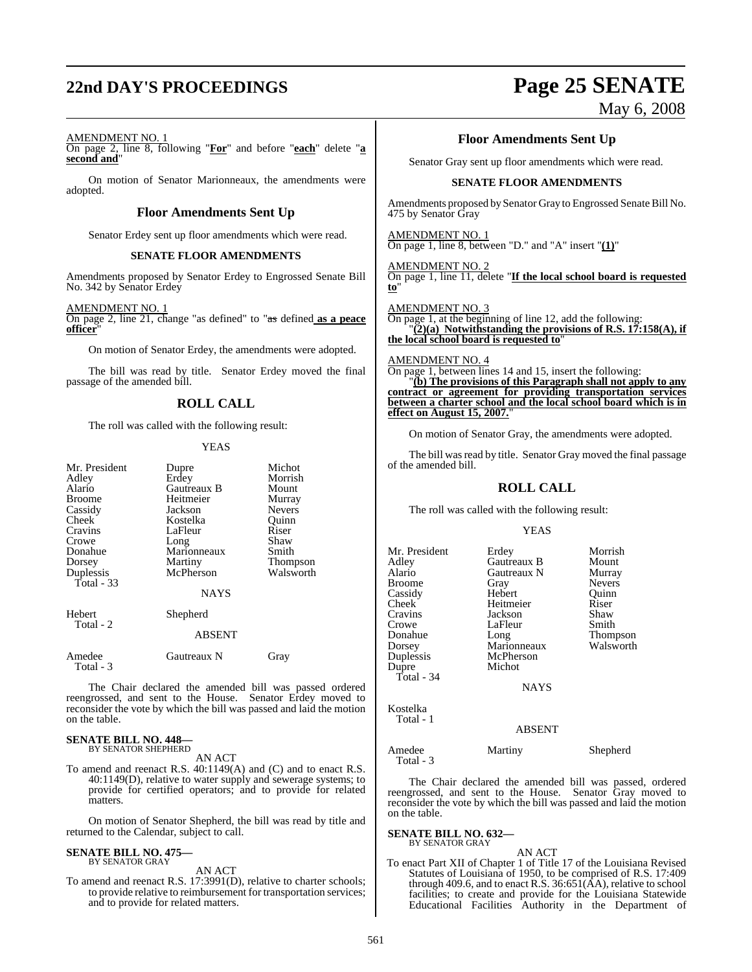# **22nd DAY'S PROCEEDINGS Page 25 SENATE**

May 6, 2008

AMENDMENT NO. 1

On page 2, line 8, following "**For**" and before "**each**" delete "**a second and**"

On motion of Senator Marionneaux, the amendments were adopted.

### **Floor Amendments Sent Up**

Senator Erdey sent up floor amendments which were read.

### **SENATE FLOOR AMENDMENTS**

Amendments proposed by Senator Erdey to Engrossed Senate Bill No. 342 by Senator Erdey

AMENDMENT NO. 1

On page 2, line 21, change "as defined" to "as defined **as a peace officer** 

On motion of Senator Erdey, the amendments were adopted.

The bill was read by title. Senator Erdey moved the final passage of the amended bill.

### **ROLL CALL**

The roll was called with the following result:

### YEAS

| Mr. President<br>Adley<br>Alario<br><b>Broome</b><br>Cassidy<br>Cheek<br>Cravins<br>Crowe<br>Donahue<br>Dorsey<br>Duplessis<br>Total - 33 | Dupre<br>Erdey<br>Gautreaux B<br>Heitmeier<br>Jackson<br>Kostelka<br>LaFleur<br>Long<br>Marionneaux<br>Martiny<br>McPherson<br><b>NAYS</b> | Michot<br>Morrish<br>Mount<br>Murray<br><b>Nevers</b><br>Ouinn<br>Riser<br>Shaw<br>Smith<br><b>Thompson</b><br>Walsworth |
|-------------------------------------------------------------------------------------------------------------------------------------------|--------------------------------------------------------------------------------------------------------------------------------------------|--------------------------------------------------------------------------------------------------------------------------|
| Hebert<br>Total - 2                                                                                                                       | Shepherd                                                                                                                                   |                                                                                                                          |
|                                                                                                                                           | <b>ABSENT</b>                                                                                                                              |                                                                                                                          |
| Amedee<br>Total - 3                                                                                                                       | Gautreaux N                                                                                                                                | Gray                                                                                                                     |

The Chair declared the amended bill was passed ordered reengrossed, and sent to the House. Senator Erdey moved to reconsider the vote by which the bill was passed and laid the motion on the table.

# **SENATE BILL NO. 448—** BY SENATOR SHEPHERD

AN ACT

To amend and reenact R.S. 40:1149(A) and (C) and to enact R.S. 40:1149(D), relative to water supply and sewerage systems; to provide for certified operators; and to provide for related matters.

On motion of Senator Shepherd, the bill was read by title and returned to the Calendar, subject to call.

### **SENATE BILL NO. 475—** BY SENATOR GRAY

AN ACT

To amend and reenact R.S. 17:3991(D), relative to charter schools; to provide relative to reimbursement for transportation services; and to provide for related matters.

### **Floor Amendments Sent Up**

Senator Gray sent up floor amendments which were read.

### **SENATE FLOOR AMENDMENTS**

Amendments proposed by Senator Gray to Engrossed Senate Bill No. 475 by Senator Gray

AMENDMENT NO. 1 On page 1, line 8, between "D." and "A" insert "**(1)**"

AMENDMENT NO. 2 On page 1, line 11, delete "**If the local school board is requested to**"

AMENDMENT NO. 3 On page 1, at the beginning of line 12, add the following: "**(2)(a) Notwithstanding the provisions of R.S. 17:158(A), if the local school board is requested to**"

AMENDMENT NO. 4

On page 1, between lines 14 and 15, insert the following: "**(b) The provisions of this Paragraph shall not apply to any contract or agreement for providing transportation services between a charter school and the local school board which is in effect on August 15, 2007.**"

On motion of Senator Gray, the amendments were adopted.

The bill was read by title. Senator Gray moved the final passage of the amended bill.

### **ROLL CALL**

The roll was called with the following result:

### YEAS

| Mr. President | Erdey         | Morrish       |
|---------------|---------------|---------------|
|               |               |               |
| Adley         | Gautreaux B   | Mount         |
| Alario        | Gautreaux N   | Murray        |
| <b>Broome</b> | Gray          | <b>Nevers</b> |
| Cassidy       | Hebert        | Ouinn         |
| Cheek         | Heitmeier     | Riser         |
| Cravins       | Jackson       | Shaw          |
| Crowe         | LaFleur       | Smith         |
| Donahue       | Long          | Thompson      |
| Dorsey        | Marionneaux   | Walsworth     |
| Duplessis     | McPherson     |               |
| Dupre         | Michot        |               |
| Total - $34$  |               |               |
|               | <b>NAYS</b>   |               |
| Kostelka      |               |               |
| Total - 1     |               |               |
|               | <b>ABSENT</b> |               |

Amedee Martiny Shepherd Total - 3

The Chair declared the amended bill was passed, ordered reengrossed, and sent to the House. Senator Gray moved to reconsider the vote by which the bill was passed and laid the motion on the table.

**SENATE BILL NO. 632—** BY SENATOR GRAY

### AN ACT

To enact Part XII of Chapter 1 of Title 17 of the Louisiana Revised Statutes of Louisiana of 1950, to be comprised of R.S. 17:409 through 409.6, and to enact R.S.  $36:651(\overrightarrow{AA})$ , relative to school facilities; to create and provide for the Louisiana Statewide Educational Facilities Authority in the Department of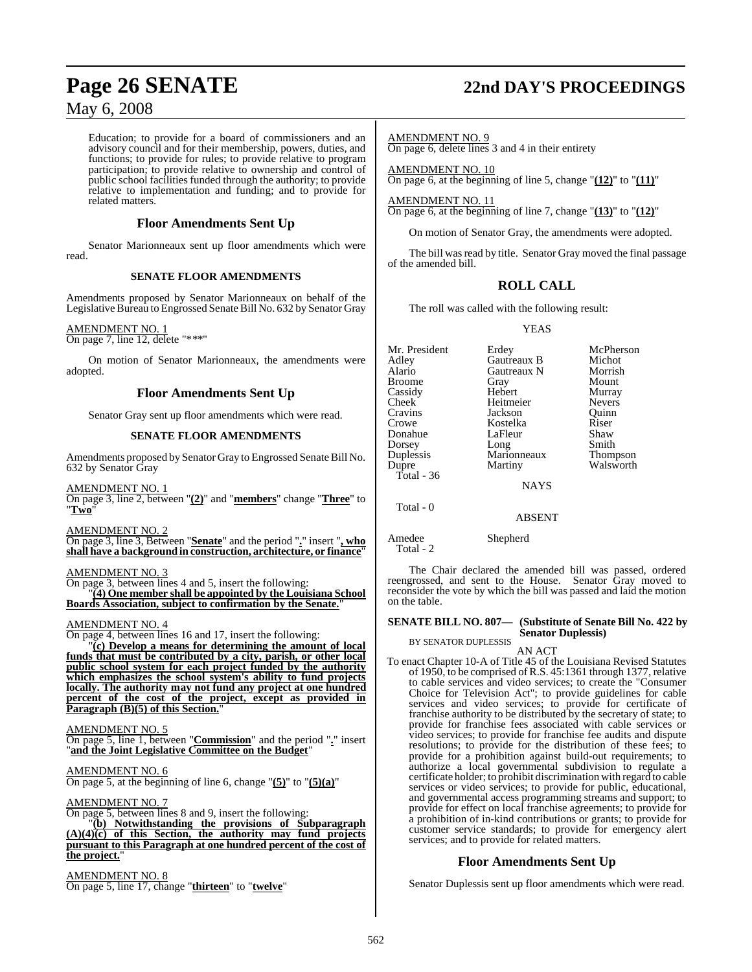Education; to provide for a board of commissioners and an advisory council and for their membership, powers, duties, and functions; to provide for rules; to provide relative to program participation; to provide relative to ownership and control of public school facilities funded through the authority; to provide relative to implementation and funding; and to provide for related matters.

### **Floor Amendments Sent Up**

Senator Marionneaux sent up floor amendments which were read.

### **SENATE FLOOR AMENDMENTS**

Amendments proposed by Senator Marionneaux on behalf of the Legislative Bureau to Engrossed Senate Bill No. 632 by Senator Gray

### AMENDMENT NO. 1

On page 7, line 12, delete "\*\*\*"

On motion of Senator Marionneaux, the amendments were adopted.

### **Floor Amendments Sent Up**

Senator Gray sent up floor amendments which were read.

### **SENATE FLOOR AMENDMENTS**

Amendments proposed by Senator Gray to Engrossed Senate Bill No. 632 by Senator Gray

AMENDMENT NO. 1

On page 3, line 2, between "**(2)**" and "**members**" change "**Three**" to "**Two**"

AMENDMENT NO. 2

On page 3, line 3, Between "**Senate**" and the period "**.**" insert "**, who shall have a background in construction, architecture, or finance**"

### AMENDMENT NO. 3

On page 3, between lines 4 and 5, insert the following: "**(4) One member shall be appointed by the Louisiana School** Boards Association, subject to confirmation by the Senate.

### AMENDMENT NO. 4

On page 4, between lines 16 and 17, insert the following:

"**(c) Develop a means for determining the amount of local funds that must be contributed by a city, parish, or other local public school system for each project funded by the authority which emphasizes the school system's ability to fund projects locally. The authority may not fund any project at one hundred percent of the cost of the project, except as provided in Paragraph (B)(5) of this Section.**"

AMENDMENT NO. 5

On page 5, line 1, between "**Commission**" and the period "**.**" insert "**and the Joint Legislative Committee on the Budget**"

AMENDMENT NO. 6

On page 5, at the beginning of line 6, change "**(5)**" to "**(5)(a)**"

AMENDMENT NO. 7

On page 5, between lines 8 and 9, insert the following: "**(b) Notwithstanding the provisions of Subparagraph (A)(4)(c) of this Section, the authority may fund projects pursuant to this Paragraph at one hundred percent of the cost of the project.**"

AMENDMENT NO. 8 On page 5, line 17, change "**thirteen**" to "**twelve**"

# **Page 26 SENATE 22nd DAY'S PROCEEDINGS**

AMENDMENT NO. 9 On page 6, delete lines 3 and 4 in their entirety

AMENDMENT NO. 10 On page 6, at the beginning of line 5, change "**(12)**" to "**(11)**"

AMENDMENT NO. 11 On page 6, at the beginning of line 7, change "**(13)**" to "**(12)**"

On motion of Senator Gray, the amendments were adopted.

The bill was read by title. Senator Gray moved the final passage of the amended bill.

### **ROLL CALL**

The roll was called with the following result:

YEAS

Mr. President Erdey McPherson<br>Adley Gautreaux B Michot Gautreaux B Alario Gautreaux N Morrish Broome Gray Mount Cassidy Hebert Murray Cheek Heitmeier Nevers Cravins Jackson Quinn Kostelka Riser<br>LaFleur Shaw Donahue LaFleur Shaw<br>Dorsey Long Smith Dorsey<br>Duplessis Duplessis Marionneaux Thompson Total - 36 NAYS Total - 0

Walsworth

ABSENT

Amedee Shepherd Total - 2

The Chair declared the amended bill was passed, ordered reengrossed, and sent to the House. Senator Gray moved to reconsider the vote by which the bill was passed and laid the motion on the table.

### **SENATE BILL NO. 807— (Substitute of Senate Bill No. 422 by**

**Senator Duplessis)** BY SENATOR DUPLESSIS

AN ACT

To enact Chapter 10-A of Title 45 of the Louisiana Revised Statutes of 1950, to be comprised ofR.S. 45:1361 through 1377, relative to cable services and video services; to create the "Consumer Choice for Television Act"; to provide guidelines for cable services and video services; to provide for certificate of franchise authority to be distributed by the secretary of state; to provide for franchise fees associated with cable services or video services; to provide for franchise fee audits and dispute resolutions; to provide for the distribution of these fees; to provide for a prohibition against build-out requirements; to authorize a local governmental subdivision to regulate a certificate holder; to prohibit discrimination with regard to cable services or video services; to provide for public, educational, and governmental access programming streams and support; to provide for effect on local franchise agreements; to provide for a prohibition of in-kind contributions or grants; to provide for customer service standards; to provide for emergency alert services; and to provide for related matters.

### **Floor Amendments Sent Up**

Senator Duplessis sent up floor amendments which were read.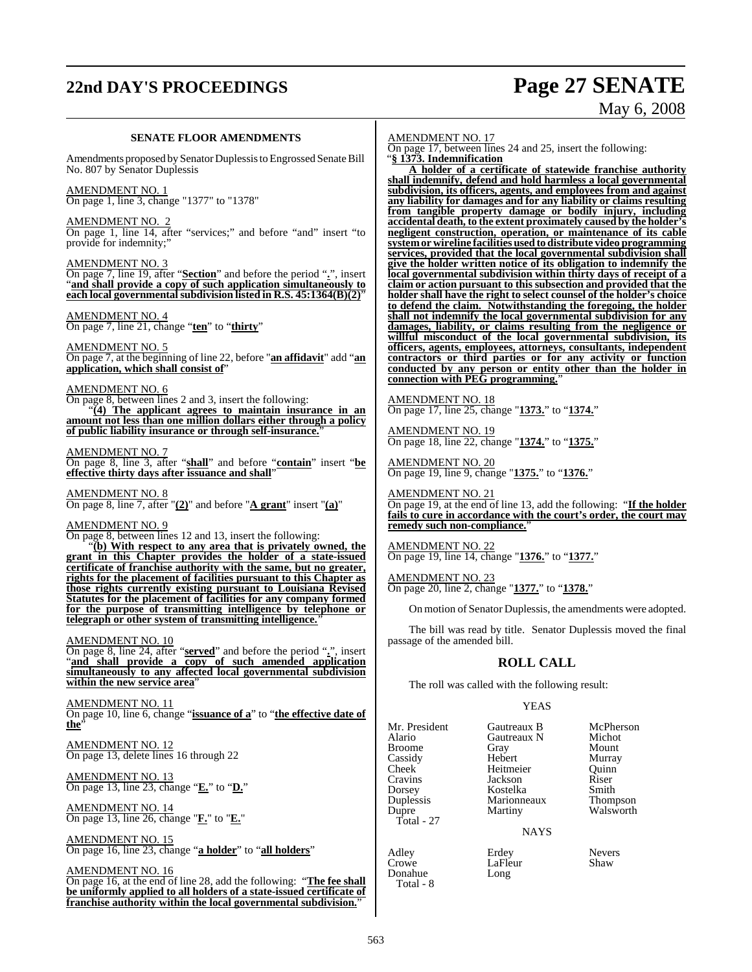# **22nd DAY'S PROCEEDINGS Page 27 SENATE**

# May 6, 2008

### **SENATE FLOOR AMENDMENTS**

Amendments proposed by Senator Duplessis to Engrossed Senate Bill No. 807 by Senator Duplessis

AMENDMENT NO. 1 On page 1, line 3, change "1377" to "1378"

AMENDMENT NO. 2

On page 1, line 14, after "services;" and before "and" insert "to provide for indemnity;"

AMENDMENT NO. 3

On page 7, line 19, after "**Section**" and before the period "**.**", insert "**and shall provide a copy of such application simultaneously to each local governmentalsubdivision listed in R.S. 45:1364(B)(2)**"

AMENDMENT NO. 4 On page 7, line 21, change "**ten**" to "**thirty**"

AMENDMENT NO. 5 On page 7, at the beginning of line 22, before "**an affidavit**" add "**an application, which shall consist of**"

### AMENDMENT NO. 6

On page 8, between lines 2 and 3, insert the following:

"**(4) The applicant agrees to maintain insurance in an amount not less than one million dollars either through a policy of public liability insurance or through self-insurance.**"

### AMENDMENT NO. 7

On page 8, line 3, after "**shall**" and before "**contain**" insert "**be effective thirty days after issuance and shall**"

AMENDMENT NO. 8

On page 8, line 7, after "**(2)**" and before "**A grant**" insert "**(a)**"

### AMENDMENT NO. 9

On page 8, between lines 12 and 13, insert the following:

"**(b) With respect to any area that is privately owned, the grant in this Chapter provides the holder of a state-issued certificate of franchise authority with the same, but no greater, rights for the placement of facilities pursuant to this Chapter as those rights currently existing pursuant to Louisiana Revised Statutes for the placement of facilities for any company formed for the purpose of transmitting intelligence by telephone or telegraph or other system of transmitting intelligence.**"

### AMENDMENT NO. 10

On page 8, line 24, after "**served**" and before the period "**.**", insert "**and shall provide a copy of such amended application simultaneously to any affected local governmental subdivision within the new service area**"

AMENDMENT NO. 11 On page 10, line 6, change "**issuance of a**" to "**the effective date of the**"

AMENDMENT NO. 12 On page 13, delete lines 16 through 22

AMENDMENT NO. 13 On page 13, line 23, change "**E.**" to "**D.**"

AMENDMENT NO. 14 On page 13, line 26, change "**F.**" to "**E.**"

AMENDMENT NO. 15 On page 16, line 23, change "**a holder**" to "**all holders**"

AMENDMENT NO. 16

On page 16, at the end of line 28, add the following: "**The fee shall be uniformly applied to all holders of a state-issued certificate of franchise authority within the local governmental subdivision.**"

AMENDMENT NO. 17

On page 17, between lines 24 and 25, insert the following: "**§ 1373. Indemnification**

**A holder of a certificate of statewide franchise authority shall indemnify, defend and hold harmless a local governmental subdivision, its officers, agents, and employees from and against any liability for damages and for any liability or claims resulting from tangible property damage or bodily injury, including accidental death, to the extent proximately caused by the holder's negligent construction, operation, or maintenance of its cable systemor wireline facilities usedto distribute video programming services, provided that the local governmental subdivision shall give the holder written notice of its obligation to indemnify the local governmental subdivision within thirty days of receipt of a claim or action pursuant to this subsection and provided that the holder shall have the right to select counsel of the holder's choice to defend the claim. Notwithstanding the foregoing, the holder shall not indemnify the local governmental subdivision for any damages, liability, or claims resulting from the negligence or willful misconduct of the local governmental subdivision, its officers, agents, employees, attorneys, consultants, independent contractors or third parties or for any activity or function conducted by any person or entity other than the holder in connection with PEG programming.**"

AMENDMENT NO. 18 On page 17, line 25, change "**1373.**" to "**1374.**"

AMENDMENT NO. 19 On page 18, line 22, change "**1374.**" to "**1375.**"

AMENDMENT NO. 20 On page 19, line 9, change "**1375.**" to "**1376.**"

AMENDMENT NO. 21 On page 19, at the end of line 13, add the following: "**If the holder fails to cure in accordance with the court's order, the court may remedy such non-compliance.**"

AMENDMENT NO. 22 On page 19, line 14, change "**1376.**" to "**1377.**"

AMENDMENT NO. 23 On page 20, line 2, change "**1377.**" to "**1378.**"

On motion of Senator Duplessis, the amendments were adopted.

The bill was read by title. Senator Duplessis moved the final passage of the amended bill.

### **ROLL CALL**

The roll was called with the following result:

### YEAS

Mr. President Gautreaux B McPherson<br>Alario Gautreaux N Michot Duplessis Marionneaux<br>
Dupre Martiny  $Total - 27$ 

Donahue Total - 8

Broome Gray Mount Cassidy Hebert Murray Heitmeier Cravins Jackson Riser Dorsey Kostelka Smith

Gautreaux N Michot<br>Gray Mount Walsworth

NAYS

Adley Erdey Revers<br>Crowe LaFleur Shaw LaFleur<br>Long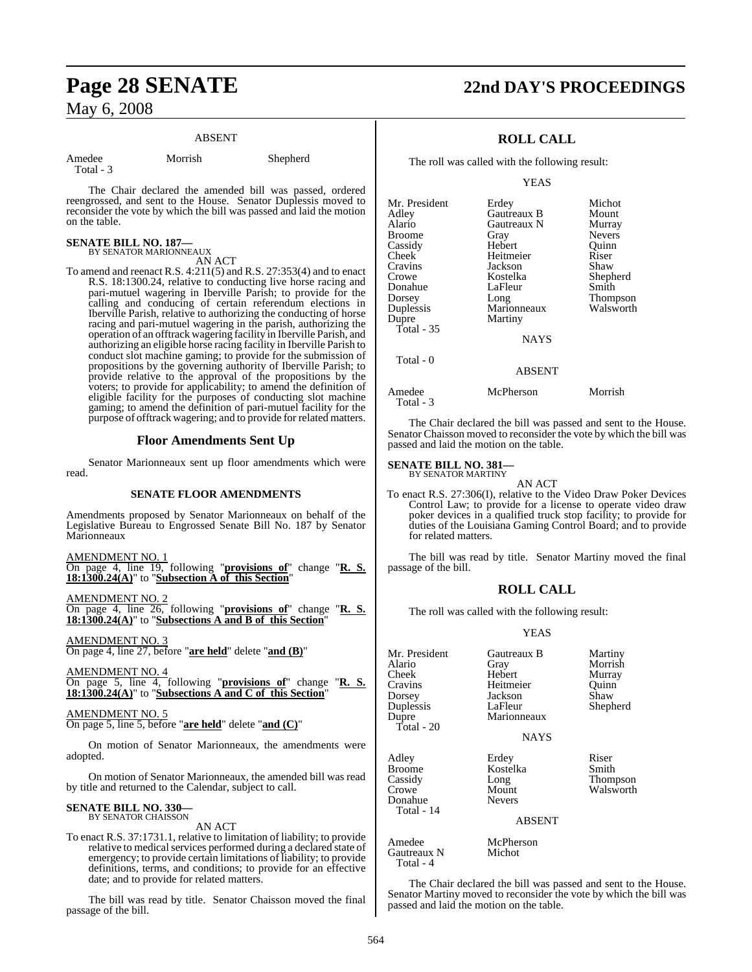### ABSENT

Amedee Morrish Shepherd Total - 3

The Chair declared the amended bill was passed, ordered reengrossed, and sent to the House. Senator Duplessis moved to reconsider the vote by which the bill was passed and laid the motion on the table.

### **SENATE BILL NO. 187—** BY SENATOR MARIONNEAUX

AN ACT

To amend and reenact R.S. 4:211(5) and R.S. 27:353(4) and to enact R.S. 18:1300.24, relative to conducting live horse racing and pari-mutuel wagering in Iberville Parish; to provide for the calling and conducing of certain referendum elections in Iberville Parish, relative to authorizing the conducting of horse racing and pari-mutuel wagering in the parish, authorizing the operation of an offtrack wagering facility in Iberville Parish, and authorizing an eligible horse racing facility in Iberville Parish to conduct slot machine gaming; to provide for the submission of propositions by the governing authority of Iberville Parish; to provide relative to the approval of the propositions by the voters; to provide for applicability; to amend the definition of eligible facility for the purposes of conducting slot machine gaming; to amend the definition of pari-mutuel facility for the purpose of offtrack wagering; and to provide for related matters.

### **Floor Amendments Sent Up**

Senator Marionneaux sent up floor amendments which were read.

### **SENATE FLOOR AMENDMENTS**

Amendments proposed by Senator Marionneaux on behalf of the Legislative Bureau to Engrossed Senate Bill No. 187 by Senator Marionneaux

| AMENDMENT NO. 1 |  |                                                                                            |  |  |  |
|-----------------|--|--------------------------------------------------------------------------------------------|--|--|--|
|                 |  | On page 4, line $\overline{19}$ , following " <b>provisions of</b> " change " <b>R. S.</b> |  |  |  |
|                 |  | $18:1300.24(A)$ " to "Subsection A of this Section"                                        |  |  |  |

AMENDMENT NO. 2

On page 4, line 26, following "**provisions of**" change "**R. S. 18:1300.24(A)**" to "**Subsections A and B of this Section**"

### AMENDMENT NO. 3

On page 4, line 27, before "**are held**" delete "**and (B)**"

AMENDMENT NO. 4 On page 5, line 4, following "**provisions of**" change "**R. S. 18:1300.24(A)**" to "**Subsections A and C of this Section**"

AMENDMENT NO. 5

On page 5, line 5, before "**are held**" delete "**and (C)**"

On motion of Senator Marionneaux, the amendments were adopted.

On motion of Senator Marionneaux, the amended bill was read by title and returned to the Calendar, subject to call.

# **SENATE BILL NO. 330—** BY SENATOR CHAISSON

AN ACT

To enact R.S. 37:1731.1, relative to limitation of liability; to provide relative to medical services performed during a declared state of emergency; to provide certain limitations of liability; to provide definitions, terms, and conditions; to provide for an effective date; and to provide for related matters.

The bill was read by title. Senator Chaisson moved the final passage of the bill.

# **Page 28 SENATE 22nd DAY'S PROCEEDINGS**

### **ROLL CALL**

The roll was called with the following result:

YEAS

| Mr. President | Erdey         | Michot          |
|---------------|---------------|-----------------|
| Adley         | Gautreaux B   | Mount           |
| Alario        | Gautreaux N   | Murray          |
| Broome        | Gray          | <b>Nevers</b>   |
| Cassidy       | Hebert        | Ouinn           |
| Cheek         | Heitmeier     | Riser           |
| Cravins       | Jackson       | Shaw            |
| Crowe         | Kostelka      | Shepherd        |
| Donahue       | LaFleur       | Smith           |
| Dorsey        | Long          | <b>Thompson</b> |
| Duplessis     | Marionneaux   | Walsworth       |
| Dupre         | Martiny       |                 |
| Total - 35    |               |                 |
|               | <b>NAYS</b>   |                 |
| Total - 0     |               |                 |
|               | <b>ABSENT</b> |                 |
|               |               |                 |

Amedee McPherson Morrish Total - 3

The Chair declared the bill was passed and sent to the House. Senator Chaisson moved to reconsider the vote by which the bill was passed and laid the motion on the table.

### **SENATE BILL NO. 381—**

BY SENATOR MARTINY AN ACT

To enact R.S. 27:306(I), relative to the Video Draw Poker Devices Control Law; to provide for a license to operate video draw poker devices in a qualified truck stop facility; to provide for duties of the Louisiana Gaming Control Board; and to provide for related matters.

The bill was read by title. Senator Martiny moved the final passage of the bill.

### **ROLL CALL**

The roll was called with the following result:

### YEAS

| Mr. President<br>Alario<br>Cheek<br>Cravins<br>Dorsey<br>Duplessis<br>Dupre<br>Total - 20 | Gautreaux B<br>Gray<br>Hebert<br>Heitmeier<br>Jackson<br>LaFleur<br>Marionneaux<br><b>NAYS</b> | Martiny<br>Morrish<br>Murray<br>Ouinn<br>Shaw<br>Shepherd |
|-------------------------------------------------------------------------------------------|------------------------------------------------------------------------------------------------|-----------------------------------------------------------|
| Adley<br>Broome<br>Cassidy<br>Crowe<br>Donahue<br>Total - 14                              | Erdey<br>Kostelka<br>Long<br>Mount<br><b>Nevers</b><br><b>ABSENT</b>                           | Riser<br>Smith<br>Thompson<br>Walsworth                   |
| Amedee<br>Gautreaux N<br>Total - 4                                                        | McPherson<br>Michot                                                                            |                                                           |

The Chair declared the bill was passed and sent to the House. Senator Martiny moved to reconsider the vote by which the bill was passed and laid the motion on the table.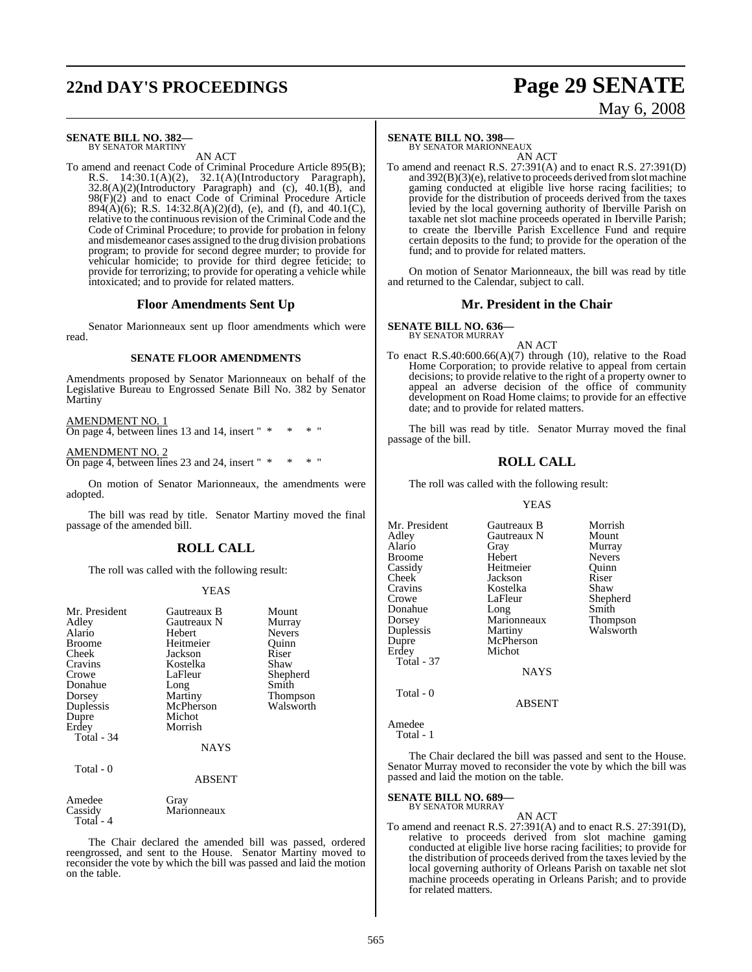# **22nd DAY'S PROCEEDINGS Page 29 SENATE**

# May 6, 2008

### **SENATE BILL NO. 382—** BY SENATOR MARTINY

AN ACT

To amend and reenact Code of Criminal Procedure Article 895(B); R.S. 14:30.1(A)(2), 32.1(A)(Introductory Paragraph),  $32.8(A)(2)$ (Introductory Paragraph) and (c),  $40.1(B)$ , and 98(F)(2) and to enact Code of Criminal Procedure Article  $894(\hat{A})(6)$ ; R.S. 14:32.8(A)(2)(d), (e), and (f), and 40.1(C), relative to the continuous revision of the Criminal Code and the Code of Criminal Procedure; to provide for probation in felony and misdemeanor cases assigned to the drug division probations program; to provide for second degree murder; to provide for vehicular homicide; to provide for third degree feticide; to provide for terrorizing; to provide for operating a vehicle while intoxicated; and to provide for related matters.

### **Floor Amendments Sent Up**

Senator Marionneaux sent up floor amendments which were read.

### **SENATE FLOOR AMENDMENTS**

Amendments proposed by Senator Marionneaux on behalf of the Legislative Bureau to Engrossed Senate Bill No. 382 by Senator Martiny

AMENDMENT NO. 1

On page 4, between lines 13 and 14, insert " \* \* \* "

AMENDMENT NO. 2 On page 4, between lines 23 and 24, insert " \* \*

On motion of Senator Marionneaux, the amendments were adopted.

The bill was read by title. Senator Martiny moved the final passage of the amended bill.

### **ROLL CALL**

The roll was called with the following result:

### YEAS

| Mr. President<br>Adley<br>Alario<br><b>Broome</b><br>Cheek<br>Cravins<br>Crowe<br>Donahue<br>Dorsey<br>Duplessis<br>Dupre<br>Erdey | Gautreaux B<br>Gautreaux N<br>Hebert<br>Heitmeier<br>Jackson<br>Kostelka<br>LaFleur<br>Long<br>Martiny<br>McPherson<br>Michot<br>Morrish | Mount<br>Murray<br><b>Nevers</b><br>Quinn<br>Riser<br>Shaw<br>Shepherd<br>Smith<br>Thompson<br>Walsworth |
|------------------------------------------------------------------------------------------------------------------------------------|------------------------------------------------------------------------------------------------------------------------------------------|----------------------------------------------------------------------------------------------------------|
|                                                                                                                                    |                                                                                                                                          |                                                                                                          |
| Total - 34                                                                                                                         | <b>NAYS</b>                                                                                                                              |                                                                                                          |
| Total - 0                                                                                                                          | <b>ABSENT</b>                                                                                                                            |                                                                                                          |

### Amedee Gray<br>Cassidy Mari Marionneaux Total - 4

The Chair declared the amended bill was passed, ordered reengrossed, and sent to the House. Senator Martiny moved to reconsider the vote by which the bill was passed and laid the motion on the table.

### **SENATE BILL NO. 398—**

BY SENATOR MARIONNEAUX AN ACT

To amend and reenact R.S. 27:391(A) and to enact R.S. 27:391(D) and  $392(B)(3)(e)$ , relative to proceeds derived from slot machine gaming conducted at eligible live horse racing facilities; to provide for the distribution of proceeds derived from the taxes levied by the local governing authority of Iberville Parish on taxable net slot machine proceeds operated in Iberville Parish; to create the Iberville Parish Excellence Fund and require certain deposits to the fund; to provide for the operation of the fund; and to provide for related matters.

On motion of Senator Marionneaux, the bill was read by title and returned to the Calendar, subject to call.

### **Mr. President in the Chair**

**SENATE BILL NO. 636—**

BY SENATOR MURRAY AN ACT

To enact R.S.40:600.66(A)(7) through (10), relative to the Road Home Corporation; to provide relative to appeal from certain decisions; to provide relative to the right of a property owner to appeal an adverse decision of the office of community development on Road Home claims; to provide for an effective date; and to provide for related matters.

The bill was read by title. Senator Murray moved the final passage of the bill.

### **ROLL CALL**

The roll was called with the following result:

### YEAS

| Mr. President | Gautreaux B | Morrish       |
|---------------|-------------|---------------|
| Adley         | Gautreaux N | Mount         |
| Alario        | Gray        | Murray        |
| Broome        | Hebert      | <b>Nevers</b> |
| Cassidy       | Heitmeier   | Ouinn         |
| Cheek         | Jackson     | Riser         |
| Cravins       | Kostelka    | Shaw          |
| Crowe         | LaFleur     | Shepherd      |
| Donahue       | Long        | Smith         |
| Dorsey        | Marionneaux | Thompson      |
| Duplessis     | Martiny     | Walsworth     |
| Dupre         | McPherson   |               |
| Erdey         | Michot      |               |
| Total - 37    |             |               |
|               | <b>NAYS</b> |               |
| Total - 0     |             |               |
|               | ABSENT      |               |

Amedee

Total - 1

The Chair declared the bill was passed and sent to the House. Senator Murray moved to reconsider the vote by which the bill was passed and laid the motion on the table.

# **SENATE BILL NO. 689—** BY SENATOR MURRAY

### AN ACT

To amend and reenact R.S. 27:391(A) and to enact R.S. 27:391(D), relative to proceeds derived from slot machine gaming conducted at eligible live horse racing facilities; to provide for the distribution of proceeds derived from the taxes levied by the local governing authority of Orleans Parish on taxable net slot machine proceeds operating in Orleans Parish; and to provide for related matters.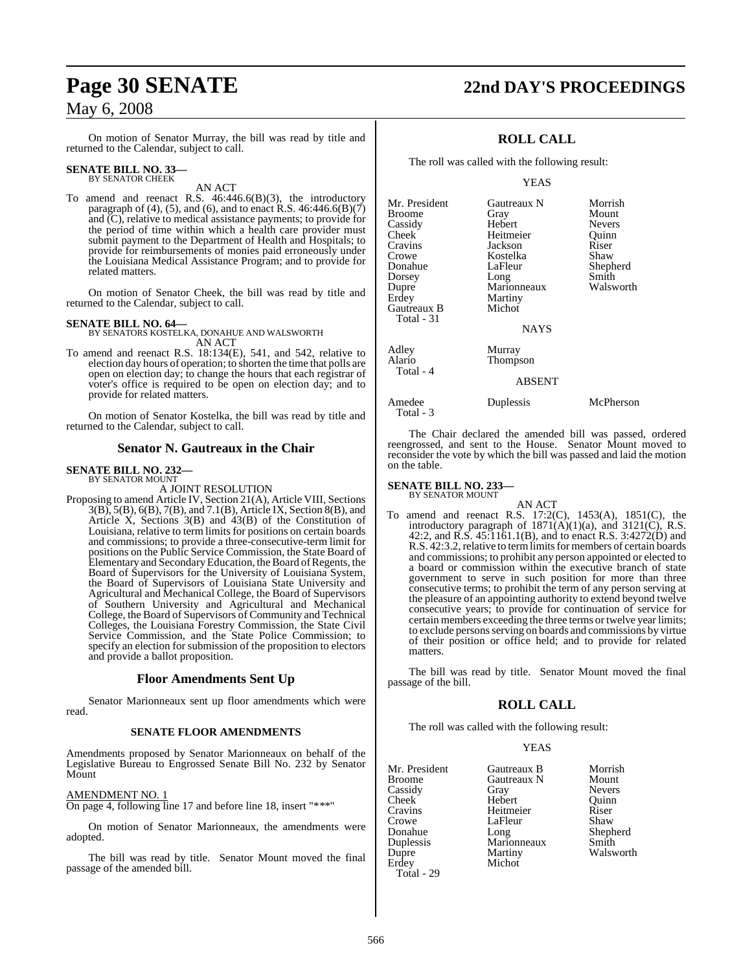On motion of Senator Murray, the bill was read by title and returned to the Calendar, subject to call.

# **SENATE BILL NO. 33—** BY SENATOR CHEEK

AN ACT

To amend and reenact R.S. 46:446.6(B)(3), the introductory paragraph of (4), (5), and (6), and to enact R.S.  $46:446.6(B)(7)$ and (C), relative to medical assistance payments; to provide for the period of time within which a health care provider must submit payment to the Department of Health and Hospitals; to provide for reimbursements of monies paid erroneously under the Louisiana Medical Assistance Program; and to provide for related matters.

On motion of Senator Cheek, the bill was read by title and returned to the Calendar, subject to call.

### **SENATE BILL NO. 64—**

BY SENATORS KOSTELKA, DONAHUE AND WALSWORTH AN ACT

To amend and reenact R.S. 18:134(E), 541, and 542, relative to election day hours of operation; to shorten the time that polls are open on election day; to change the hours that each registrar of voter's office is required to be open on election day; and to provide for related matters.

On motion of Senator Kostelka, the bill was read by title and returned to the Calendar, subject to call.

### **Senator N. Gautreaux in the Chair**

# **SENATE BILL NO. 232—** BY SENATOR MOUNT

A JOINT RESOLUTION

Proposing to amend Article IV, Section 21(A), Article VIII, Sections 3(B), 5(B), 6(B), 7(B), and 7.1(B), Article IX, Section 8(B), and Article X, Sections 3(B) and 43(B) of the Constitution of Louisiana, relative to term limits for positions on certain boards and commissions; to provide a three-consecutive-term limit for positions on the Public Service Commission, the State Board of Elementary and Secondary Education, the Board of Regents, the Board of Supervisors for the University of Louisiana System, the Board of Supervisors of Louisiana State University and Agricultural and Mechanical College, the Board of Supervisors of Southern University and Agricultural and Mechanical College, the Board of Supervisors of Community and Technical Colleges, the Louisiana Forestry Commission, the State Civil Service Commission, and the State Police Commission; to specify an election for submission of the proposition to electors and provide a ballot proposition.

### **Floor Amendments Sent Up**

Senator Marionneaux sent up floor amendments which were read.

### **SENATE FLOOR AMENDMENTS**

Amendments proposed by Senator Marionneaux on behalf of the Legislative Bureau to Engrossed Senate Bill No. 232 by Senator Mount

### AMENDMENT NO. 1

On page 4, following line 17 and before line 18, insert "\*\*\*"

On motion of Senator Marionneaux, the amendments were adopted.

The bill was read by title. Senator Mount moved the final passage of the amended bill.

# **Page 30 SENATE 22nd DAY'S PROCEEDINGS**

### **ROLL CALL**

The roll was called with the following result:

### YEAS

| Mr. President | Gautreaux N   | Morrish       |
|---------------|---------------|---------------|
| Broome        | Gray          | Mount         |
| Cassidy       | Hebert        | <b>Nevers</b> |
| Cheek         | Heitmeier     | Quinn         |
| Cravins       | Jackson       | Riser         |
| Crowe         | Kostelka      | Shaw          |
| Donahue       | LaFleur       | Shepherd      |
| Dorsey        | Long          | Smith         |
| Dupre         | Marionneaux   | Walsworth     |
| Erdey         | Martiny       |               |
| Gautreaux B   | Michot        |               |
| Total - 31    |               |               |
|               | NAYS          |               |
| Adley         | Murray        |               |
| Alario        | Thompson      |               |
| Total - 4     |               |               |
|               | <b>ABSENT</b> |               |
| Amedee        | Duplessis     | McPherson     |
|               |               |               |

The Chair declared the amended bill was passed, ordered reengrossed, and sent to the House. Senator Mount moved to reconsider the vote by which the bill was passed and laid the motion on the table.

# **SENATE BILL NO. 233—** BY SENATOR MOUNT

Total - 3

AN ACT

To amend and reenact R.S. 17:2(C), 1453(A), 1851(C), the introductory paragraph of  $1871(A)(1)(a)$ , and  $3121(C)$ , R.S. 42:2, and R.S. 45:1161.1(B), and to enact R.S. 3:4272(D) and R.S. 42:3.2, relative to term limits for members of certain boards and commissions; to prohibit any person appointed or elected to a board or commission within the executive branch of state government to serve in such position for more than three consecutive terms; to prohibit the term of any person serving at the pleasure of an appointing authority to extend beyond twelve consecutive years; to provide for continuation of service for certain members exceeding the three terms or twelve year limits; to exclude persons serving on boards and commissions by virtue of their position or office held; and to provide for related matters.

The bill was read by title. Senator Mount moved the final passage of the bill.

### **ROLL CALL**

The roll was called with the following result:

### YEAS

| Mr. President      | Gautreaux B | Morrish       |
|--------------------|-------------|---------------|
| Broome             | Gautreaux N | Mount         |
| Cassidy            | Gray        | <b>Nevers</b> |
| Cheek <sup>-</sup> | Hebert      | Ouinn         |
| Cravins            | Heitmeier   | Riser         |
| Crowe              | LaFleur     | Shaw          |
| Donahue            | Long        | Shepherd      |
| Duplessis          | Marionneaux | Smith         |
| Dupre              | Martiny     | Walsworth     |
| Erdev              | Michot      |               |
| Total - 29         |             |               |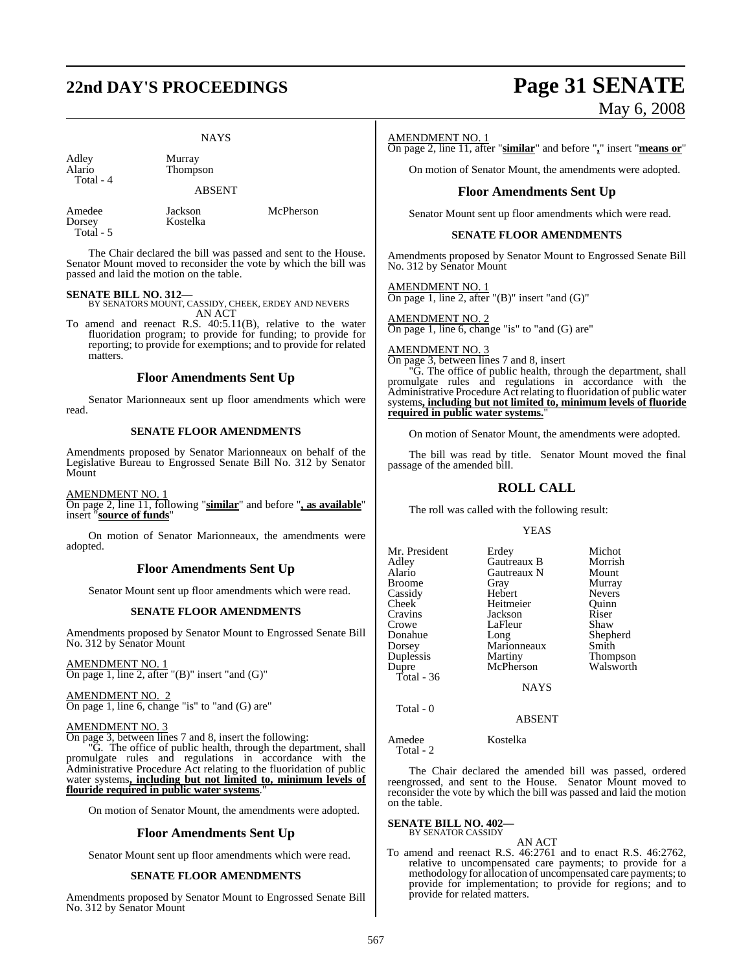# **22nd DAY'S PROCEEDINGS Page 31 SENATE**

### **NAYS**

| Adley<br>Alario<br>Total - 4 | Murray<br>Thompson<br><b>ABSENT</b> |           |
|------------------------------|-------------------------------------|-----------|
| Amedee<br>Dorsey             | Jackson<br>Kostelka                 | McPherson |

The Chair declared the bill was passed and sent to the House. Senator Mount moved to reconsider the vote by which the bill was passed and laid the motion on the table.

### **SENATE BILL NO. 312—**

Total - 5

BY SENATORS MOUNT, CASSIDY, CHEEK, ERDEY AND NEVERS AN ACT

To amend and reenact R.S. 40:5.11(B), relative to the water fluoridation program; to provide for funding; to provide for reporting; to provide for exemptions; and to provide for related matters.

### **Floor Amendments Sent Up**

Senator Marionneaux sent up floor amendments which were read.

### **SENATE FLOOR AMENDMENTS**

Amendments proposed by Senator Marionneaux on behalf of the Legislative Bureau to Engrossed Senate Bill No. 312 by Senator Mount

### AMENDMENT NO. 1

On page 2, line 11, following "**similar**" and before "**, as available**" insert "**source of funds**"

On motion of Senator Marionneaux, the amendments were adopted.

### **Floor Amendments Sent Up**

Senator Mount sent up floor amendments which were read.

### **SENATE FLOOR AMENDMENTS**

Amendments proposed by Senator Mount to Engrossed Senate Bill No. 312 by Senator Mount

AMENDMENT NO. 1 On page 1, line 2, after "(B)" insert "and (G)"

AMENDMENT NO. 2 On page 1, line 6, change "is" to "and (G) are"

### AMENDMENT NO. 3

On page 3, between lines 7 and 8, insert the following:

"G. The office of public health, through the department, shall promulgate rules and regulations in accordance with the Administrative Procedure Act relating to the fluoridation of public water systems**, including but not limited to, minimum levels of flouride required in public water systems**."

On motion of Senator Mount, the amendments were adopted.

### **Floor Amendments Sent Up**

Senator Mount sent up floor amendments which were read.

### **SENATE FLOOR AMENDMENTS**

Amendments proposed by Senator Mount to Engrossed Senate Bill No. 312 by Senator Mount

# May 6, 2008

### AMENDMENT NO. 1

On page 2, line 11, after "**similar**" and before "**,**" insert "**means or**"

On motion of Senator Mount, the amendments were adopted.

### **Floor Amendments Sent Up**

Senator Mount sent up floor amendments which were read.

### **SENATE FLOOR AMENDMENTS**

Amendments proposed by Senator Mount to Engrossed Senate Bill No. 312 by Senator Mount

AMENDMENT NO. 1 On page 1, line 2, after " $(B)$ " insert "and  $(G)$ "

AMENDMENT NO. 2 On page 1, line 6, change "is" to "and (G) are"

### AMENDMENT NO. 3

On page 3, between lines 7 and 8, insert

"G. The office of public health, through the department, shall promulgate rules and regulations in accordance with the Administrative Procedure Act relating to fluoridation of public water systems**, including but not limited to, minimum levels of fluoride required in public water systems.**"

On motion of Senator Mount, the amendments were adopted.

The bill was read by title. Senator Mount moved the final passage of the amended bill.

### **ROLL CALL**

The roll was called with the following result:

### YEAS

| Mr. President | Erdey       | Michot        |
|---------------|-------------|---------------|
| Adley         | Gautreaux B | Morrish       |
| Alario        | Gautreaux N | Mount         |
| <b>Broome</b> | Gray        | Murray        |
| Cassidy       | Hebert      | <b>Nevers</b> |
| Cheek         | Heitmeier   | Ouinn         |
| Cravins       | Jackson     | Riser         |
| Crowe         | LaFleur     | Shaw          |
| Donahue       | Long        | Shepherd      |
| Dorsey        | Marionneaux | Smith         |
| Duplessis     | Martiny     | Thompson      |
| Dupre         | McPherson   | Walsworth     |
| Total - $36$  |             |               |
|               | <b>NAYS</b> |               |

ABSENT

Amedee Kostelka Total - 2

Total - 0

The Chair declared the amended bill was passed, ordered reengrossed, and sent to the House. Senator Mount moved to reconsider the vote by which the bill was passed and laid the motion on the table.

# **SENATE BILL NO. 402—** BY SENATOR CASSIDY

AN ACT To amend and reenact R.S. 46:2761 and to enact R.S. 46:2762, relative to uncompensated care payments; to provide for a methodology for allocation of uncompensated care payments; to provide for implementation; to provide for regions; and to provide for related matters.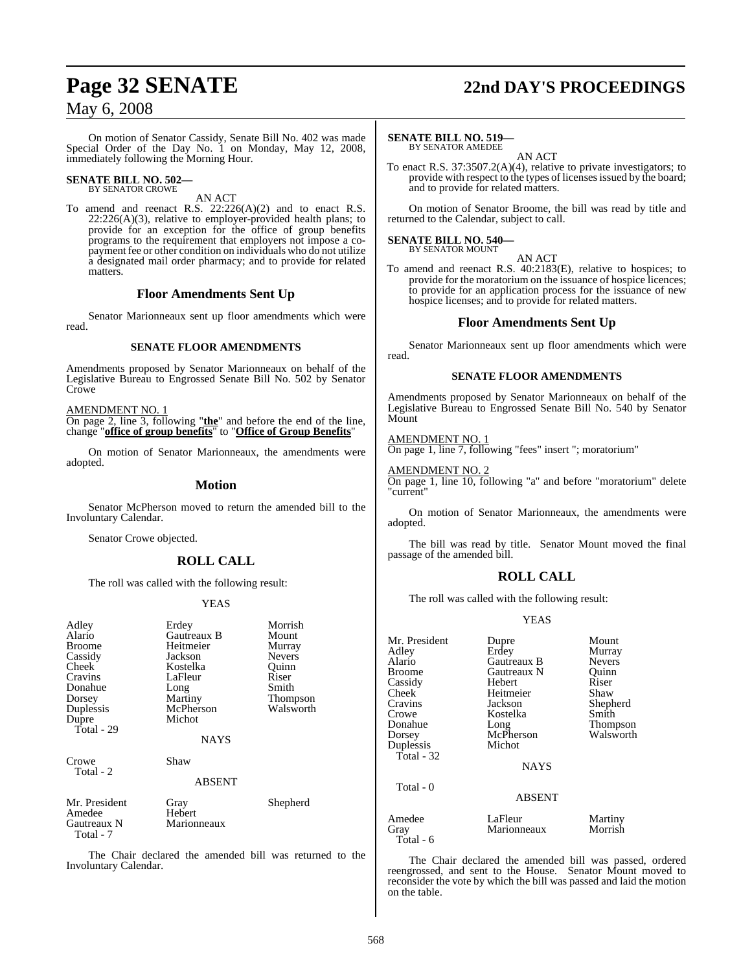On motion of Senator Cassidy, Senate Bill No. 402 was made Special Order of the Day No. 1 on Monday, May 12, 2008, immediately following the Morning Hour.

# **SENATE BILL NO. 502—** BY SENATOR CROWE

AN ACT

To amend and reenact R.S. 22:226(A)(2) and to enact R.S.  $22:226(A)(3)$ , relative to employer-provided health plans; to provide for an exception for the office of group benefits programs to the requirement that employers not impose a copayment fee or other condition on individuals who do not utilize a designated mail order pharmacy; and to provide for related matters.

### **Floor Amendments Sent Up**

Senator Marionneaux sent up floor amendments which were read.

### **SENATE FLOOR AMENDMENTS**

Amendments proposed by Senator Marionneaux on behalf of the Legislative Bureau to Engrossed Senate Bill No. 502 by Senator Crowe

AMENDMENT NO. 1

On page 2, line 3, following "**the**" and before the end of the line, change "**office of group benefits**" to "**Office of Group Benefits**"

On motion of Senator Marionneaux, the amendments were adopted.

### **Motion**

Senator McPherson moved to return the amended bill to the Involuntary Calendar.

Senator Crowe objected.

### **ROLL CALL**

The roll was called with the following result:

### YEAS

| Adley<br>Alario<br><b>Broome</b><br>Cassidy<br>Cheek<br>Cravins<br>Donahue<br>Dorsey<br>Duplessis<br>Dupre<br>Total - 29 | Erdey<br>Gautreaux B<br>Heitmeier<br>Jackson<br>Kostelka<br>LaFleur<br>Long<br>Martiny<br>McPherson<br>Michot<br><b>NAYS</b> | Morrish<br>Mount<br>Murray<br><b>Nevers</b><br>Quinn<br>Riser<br>Smith<br>Thompson<br>Walsworth |
|--------------------------------------------------------------------------------------------------------------------------|------------------------------------------------------------------------------------------------------------------------------|-------------------------------------------------------------------------------------------------|
| Crowe<br>Total - 2                                                                                                       | Shaw<br><b>ABSENT</b>                                                                                                        |                                                                                                 |
| Mr. President<br>Amedee<br>Gautreaux N<br>Total - 7                                                                      | Gray<br>Hebert<br>Marionneaux                                                                                                | Shepherd                                                                                        |

The Chair declared the amended bill was returned to the Involuntary Calendar.

# **Page 32 SENATE 22nd DAY'S PROCEEDINGS**

### **SENATE BILL NO. 519—**

BY SENATOR AMEDEE AN ACT

To enact R.S. 37:3507.2(A)(4), relative to private investigators; to provide with respect to the types of licensesissued by the board; and to provide for related matters.

On motion of Senator Broome, the bill was read by title and returned to the Calendar, subject to call.

# **SENATE BILL NO. 540—** BY SENATOR MOUNT

AN ACT

To amend and reenact R.S. 40:2183(E), relative to hospices; to provide for the moratorium on the issuance of hospice licences; to provide for an application process for the issuance of new hospice licenses; and to provide for related matters.

### **Floor Amendments Sent Up**

Senator Marionneaux sent up floor amendments which were read.

### **SENATE FLOOR AMENDMENTS**

Amendments proposed by Senator Marionneaux on behalf of the Legislative Bureau to Engrossed Senate Bill No. 540 by Senator Mount

### AMENDMENT NO. 1

On page 1, line 7, following "fees" insert "; moratorium"

### AMENDMENT NO. 2

On page 1, line 10, following "a" and before "moratorium" delete "current"

On motion of Senator Marionneaux, the amendments were adopted.

The bill was read by title. Senator Mount moved the final passage of the amended bill.

### **ROLL CALL**

The roll was called with the following result:

### YEAS

| Mr. President<br>Adley<br>Alario<br><b>Broome</b><br>Cassidy<br>Cheek<br>Cravins<br>Crowe<br>Donahue<br>Dorsey<br>Duplessis<br>Total - 32 | Dupre<br>Erdey<br>Gautreaux B<br>Gautreaux N<br><b>Hebert</b><br>Heitmeier<br>Jackson<br>Kostelka<br>Long<br>McPherson<br>Michot<br><b>NAYS</b> | Mount<br>Murray<br><b>Nevers</b><br>Ouinn<br>Riser<br>Shaw<br>Shepherd<br>Smith<br>Thompson<br>Walsworth |
|-------------------------------------------------------------------------------------------------------------------------------------------|-------------------------------------------------------------------------------------------------------------------------------------------------|----------------------------------------------------------------------------------------------------------|
| Total - 0                                                                                                                                 | <b>ABSENT</b>                                                                                                                                   |                                                                                                          |
| Amedee<br>Gray<br>Total - 6                                                                                                               | LaFleur<br>Marionneaux                                                                                                                          | Martiny<br>Morrish                                                                                       |

The Chair declared the amended bill was passed, ordered reengrossed, and sent to the House. Senator Mount moved to reconsider the vote by which the bill was passed and laid the motion on the table.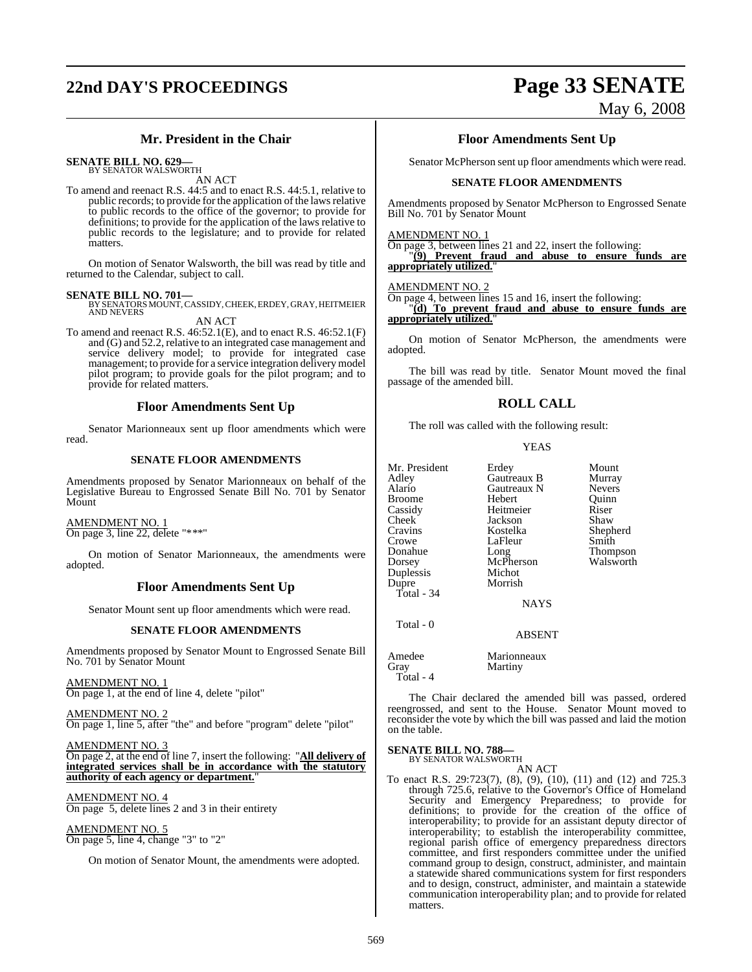# **22nd DAY'S PROCEEDINGS Page 33 SENATE**

## May 6, 2008

### **Mr. President in the Chair**

**SENATE BILL NO. 629—** BY SENATOR WALSWORTH

AN ACT

To amend and reenact R.S. 44:5 and to enact R.S. 44:5.1, relative to public records; to provide for the application of the laws relative to public records to the office of the governor; to provide for definitions; to provide for the application of the laws relative to public records to the legislature; and to provide for related matters.

On motion of Senator Walsworth, the bill was read by title and returned to the Calendar, subject to call.

**SENATE BILL NO. 701—**<br>BY SENATORS MOUNT, CASSIDY, CHEEK, ERDEY, GRAY, HEITMEIER<br>AND NEVERS

AN ACT To amend and reenact R.S. 46:52.1(E), and to enact R.S. 46:52.1(F)

and (G) and 52.2, relative to an integrated case management and service delivery model; to provide for integrated case management; to provide for a service integration delivery model pilot program; to provide goals for the pilot program; and to provide for related matters.

### **Floor Amendments Sent Up**

Senator Marionneaux sent up floor amendments which were read.

### **SENATE FLOOR AMENDMENTS**

Amendments proposed by Senator Marionneaux on behalf of the Legislative Bureau to Engrossed Senate Bill No. 701 by Senator Mount

### AMENDMENT NO. 1

On page 3, line 22, delete "\*\*\*"

On motion of Senator Marionneaux, the amendments were adopted.

### **Floor Amendments Sent Up**

Senator Mount sent up floor amendments which were read.

### **SENATE FLOOR AMENDMENTS**

Amendments proposed by Senator Mount to Engrossed Senate Bill No. 701 by Senator Mount

AMENDMENT NO. 1 On page 1, at the end of line 4, delete "pilot"

<u>AMENDMENT NO. 2</u> On page 1, line 5, after "the" and before "program" delete "pilot"

AMENDMENT NO. 3 On page 2, at the end of line 7, insert the following: "**All delivery of integrated services shall be in accordance with the statutory authority of each agency or department.**"

AMENDMENT NO. 4 On page 5, delete lines 2 and 3 in their entirety

AMENDMENT NO. 5 On page 5, line 4, change "3" to "2"

On motion of Senator Mount, the amendments were adopted.

### **Floor Amendments Sent Up**

Senator McPherson sent up floor amendments which were read.

### **SENATE FLOOR AMENDMENTS**

Amendments proposed by Senator McPherson to Engrossed Senate Bill No. 701 by Senator Mount

### AMENDMENT NO. 1

On page 3, between lines 21 and 22, insert the following: "**(9) Prevent fraud and abuse to ensure funds are appropriately utilized.**"

### AMENDMENT NO. 2

On page 4, between lines 15 and 16, insert the following:

"**(d) To prevent fraud and abuse to ensure funds are appropriately utilized.**"

On motion of Senator McPherson, the amendments were adopted.

The bill was read by title. Senator Mount moved the final passage of the amended bill.

### **ROLL CALL**

The roll was called with the following result:

### YEAS

| Mr. President | Erdey         | Mount         |
|---------------|---------------|---------------|
| Adley         | Gautreaux B   | Murray        |
| Alario        | Gautreaux N   | <b>Nevers</b> |
| <b>Broome</b> | <b>Hebert</b> | Ouinn         |
| Cassidy       | Heitmeier     | Riser         |
| Cheek         | Jackson       | Shaw          |
| Cravins       | Kostelka      | Shepherd      |
| Crowe         | LaFleur       | Smith         |
| Donahue       | Long          | Thompson      |
| Dorsey        | McPherson     | Walsworth     |
| Duplessis     | Michot        |               |
| Dupre         | Morrish       |               |
| Total - $34$  |               |               |
|               | <b>NAYS</b>   |               |
| Total - 0     |               |               |

ABSENT

Amedee Marionneaux Gray Martiny Total - 4

The Chair declared the amended bill was passed, ordered reengrossed, and sent to the House. Senator Mount moved to reconsider the vote by which the bill was passed and laid the motion on the table.

### **SENATE BILL NO. 788—**

BY SENATOR WALSWORTH AN ACT

To enact R.S. 29:723(7), (8), (9), (10), (11) and (12) and 725.3 through 725.6, relative to the Governor's Office of Homeland Security and Emergency Preparedness; to provide for definitions; to provide for the creation of the office of interoperability; to provide for an assistant deputy director of interoperability; to establish the interoperability committee, regional parish office of emergency preparedness directors committee, and first responders committee under the unified command group to design, construct, administer, and maintain a statewide shared communications system for first responders and to design, construct, administer, and maintain a statewide communication interoperability plan; and to provide for related matters.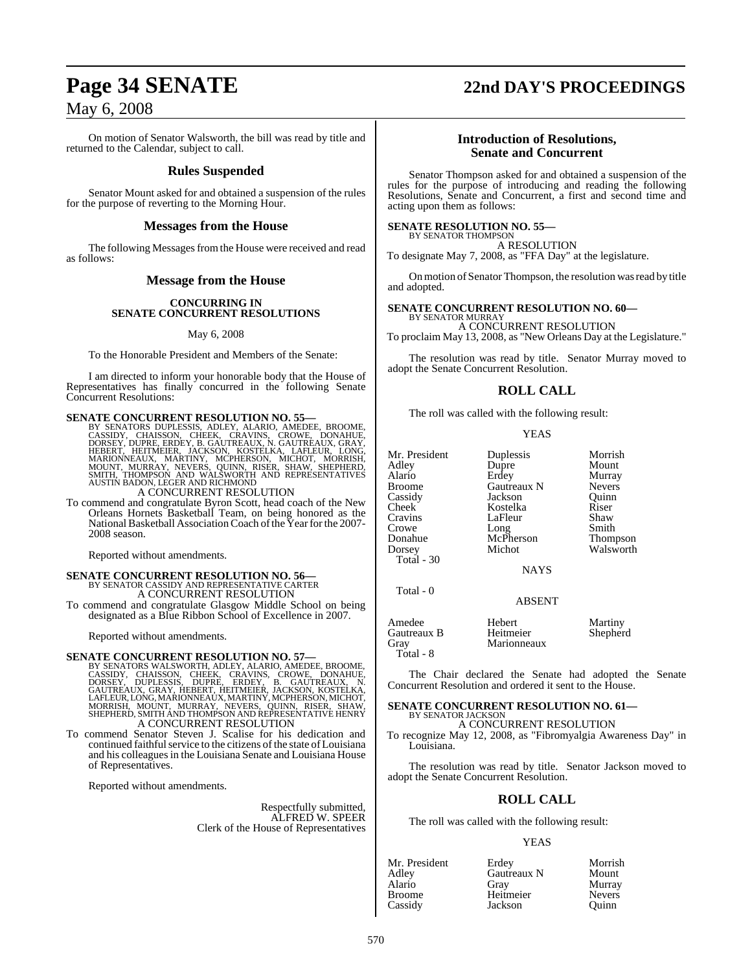On motion of Senator Walsworth, the bill was read by title and returned to the Calendar, subject to call.

### **Rules Suspended**

Senator Mount asked for and obtained a suspension of the rules for the purpose of reverting to the Morning Hour.

### **Messages from the House**

The following Messages from the House were received and read as follows:

### **Message from the House**

### **CONCURRING IN SENATE CONCURRENT RESOLUTIONS**

### May 6, 2008

To the Honorable President and Members of the Senate:

I am directed to inform your honorable body that the House of Representatives has finally concurred in the following Senate Concurrent Resolutions:

### **SENATE CONCURRENT RESOLUTION NO. 55-**

BY SENATORS DUPLESSIS, ADLEY, ALARIO, AMEDEE, BROOME, CASSIDY, CHAISSON, CHEEK, CRAWINE, DONAHUE,<br>CASSIDY, CHAISSON, CHEEK, CRAVINS, CROWE, DONAHUE,<br>DORSEY, HEITMEIER, JACKSON, KOSTELKA, LAFLEUR, LONG,<br>MARIONNEAUX, MARTINY

A CONCURRENT RESOLUTION

To commend and congratulate Byron Scott, head coach of the New Orleans Hornets Basketball Team, on being honored as the National Basketball Association Coach of the Year for the 2007-2008 season.

Reported without amendments.

# **SENATE CONCURRENT RESOLUTION NO. 56—**<br>BY SENATOR CASSIDY AND REPRESENTATIVE CARTER A CONCURRENT RESOLUTION

To commend and congratulate Glasgow Middle School on being designated as a Blue Ribbon School of Excellence in 2007.

Reported without amendments.

### **SENATE CONCURRENT RESOLUTION NO. 57—**

BY SENATORS WALSWORTH, ADLEY, ALARIO, AMEDEE, BROOME,<br>CASSIDY, CHAISSON, CHEEK, CRAVINS, CROWE, DONAHUE,<br>DORSEY, DUPLESSIS, DUPRE, ERDEY, B. GAUTREAUX, N.<br>GAUTREAUX, GRAY, HEBERT, HEITMEIER, JACKSON, KOSTELKA,<br>LAFLEUR,LONG A CONCURRENT RESOLUTION

To commend Senator Steven J. Scalise for his dedication and continued faithful service to the citizens of the state of Louisiana and his colleagues in the Louisiana Senate and Louisiana House of Representatives.

Reported without amendments.

Respectfully submitted, ALFRED W. SPEER Clerk of the House of Representatives

# **Page 34 SENATE 22nd DAY'S PROCEEDINGS**

### **Introduction of Resolutions, Senate and Concurrent**

Senator Thompson asked for and obtained a suspension of the rules for the purpose of introducing and reading the following Resolutions, Senate and Concurrent, a first and second time and acting upon them as follows:

### **SENATE RESOLUTION NO. 55—** BY SENATOR THOMPSON

A RESOLUTION To designate May 7, 2008, as "FFA Day" at the legislature.

On motion of Senator Thompson, the resolution was read by title and adopted.

### **SENATE CONCURRENT RESOLUTION NO. 60—**

BY SENATOR MURRAY A CONCURRENT RESOLUTION To proclaim May 13, 2008, as "New Orleans Day at the Legislature."

The resolution was read by title. Senator Murray moved to adopt the Senate Concurrent Resolution.

### **ROLL CALL**

The roll was called with the following result:

### YEAS

| Mr. President<br>Adley<br>Alario<br><b>Broome</b><br>Cassidy | Duplessis<br>Dupre<br>Erdey<br>Gautreaux N<br>Jackson | Morrish<br>Mount<br>Murray<br><b>Nevers</b><br>Ouinn |
|--------------------------------------------------------------|-------------------------------------------------------|------------------------------------------------------|
| Cheek                                                        | Kostelka                                              | Riser                                                |
| Cravins                                                      | LaFleur                                               | Shaw                                                 |
| Crowe                                                        | Long                                                  | Smith                                                |
| Donahue                                                      | McPherson                                             | <b>Thompson</b>                                      |
| Dorsey                                                       | Michot                                                | Walsworth                                            |
| Total $-30$                                                  |                                                       |                                                      |
|                                                              | <b>NAYS</b>                                           |                                                      |
| Total - 0                                                    | <b>ABSENT</b>                                         |                                                      |
|                                                              |                                                       |                                                      |
| Amedee<br>Gautreaux B<br>Gray                                | Hebert<br>Heitmeier<br>Marionneaux                    | Martiny<br>Shepherd                                  |

The Chair declared the Senate had adopted the Senate Concurrent Resolution and ordered it sent to the House.

### **SENATE CONCURRENT RESOLUTION NO. 61—** BY SENATOR JACKSON

A CONCURRENT RESOLUTION

To recognize May 12, 2008, as "Fibromyalgia Awareness Day" in Louisiana.

The resolution was read by title. Senator Jackson moved to adopt the Senate Concurrent Resolution.

### **ROLL CALL**

The roll was called with the following result:

### YEAS

| Mr. President | Erdey       | Morrish       |
|---------------|-------------|---------------|
| Adlev         | Gautreaux N | Mount         |
| Alario        | Grav        | Murray        |
| Broome        | Heitmeier   | <b>Nevers</b> |
| Cassidy       | Jackson     | Ouinn         |

Total - 8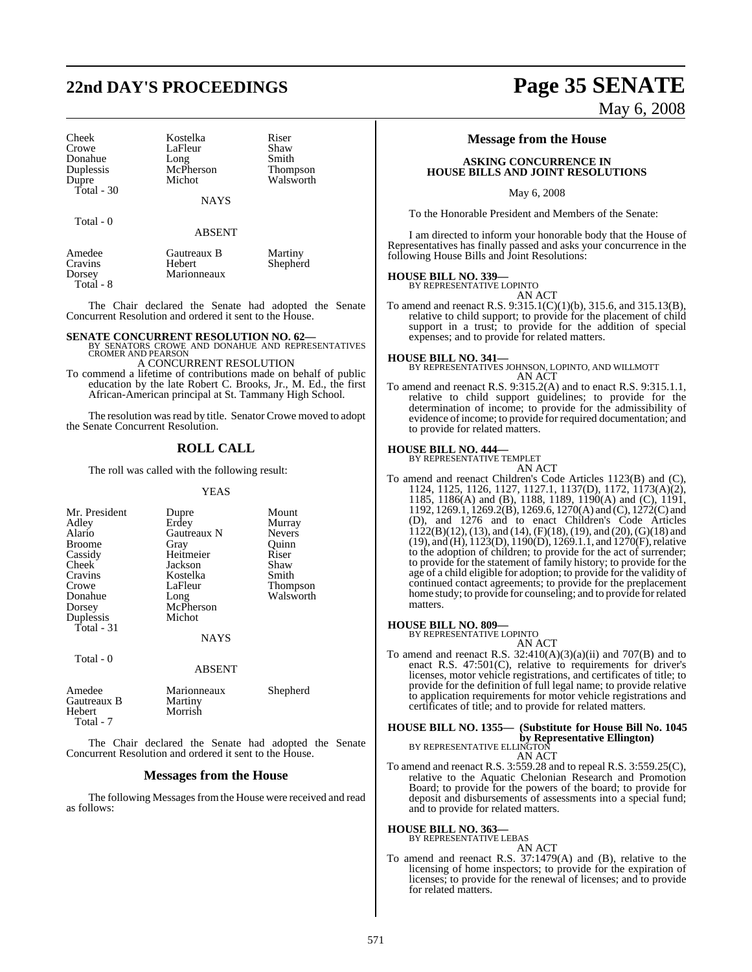# **22nd DAY'S PROCEEDINGS Page 35 SENATE**

| Cheek      | Kostelka  | Riser |
|------------|-----------|-------|
| Crowe      | LaFleur   | Shaw  |
| Donahue    | Long      | Smith |
| Duplessis  | McPherson | Thom  |
| Dupre      | Michot    | Walsy |
| Total - 30 |           |       |

Total - 0

Kostelka Riser<br>LaFleur Shaw LaFleur Shaw<br>Long Smith McPherson Thompson<br>Michot Walsworth

**NAYS** 

ABSENT

Walsworth

Amedee Gautreaux B Martiny Cravins Hebert Shepherd Marionneaux Total - 8

The Chair declared the Senate had adopted the Senate Concurrent Resolution and ordered it sent to the House.

**SENATE CONCURRENT RESOLUTION NO. 62—BY SENATORS CROWE AND DONAHUE AND REPRESENTATIVES**<br>CROMER AND PEARSON A CONCURRENT RESOLUTION

To commend a lifetime of contributions made on behalf of public education by the late Robert C. Brooks, Jr., M. Ed., the first African-American principal at St. Tammany High School.

The resolution was read by title. Senator Crowe moved to adopt the Senate Concurrent Resolution.

### **ROLL CALL**

The roll was called with the following result:

### YEAS

| Mr. President<br>Adley<br>Alario<br><b>Broome</b><br>Cassidy<br>Cheek<br>Cravins<br>Crowe<br>Donahue<br>Dorsey<br>Duplessis<br>Total - 31 | Dupre<br>Erdey<br>Gautreaux N<br>Gray<br>Heitmeier<br>Jackson<br>Kostelka<br>LaFleur<br>Long<br>McPherson<br>Michot<br><b>NAYS</b> | Mount<br>Murray<br><b>Nevers</b><br>Ouinn<br>Riser<br>Shaw<br>Smith<br><b>Thompson</b><br>Walsworth |
|-------------------------------------------------------------------------------------------------------------------------------------------|------------------------------------------------------------------------------------------------------------------------------------|-----------------------------------------------------------------------------------------------------|
|                                                                                                                                           |                                                                                                                                    |                                                                                                     |
| Total - 0                                                                                                                                 | ABSENT                                                                                                                             |                                                                                                     |

| Amedee<br>Gautreaux B<br>Hebert<br>Total - 7 | Marionneaux<br>Martiny<br>Morrish | Shepherd |
|----------------------------------------------|-----------------------------------|----------|
|----------------------------------------------|-----------------------------------|----------|

The Chair declared the Senate had adopted the Senate Concurrent Resolution and ordered it sent to the House.

### **Messages from the House**

The following Messages from the House were received and read as follows:

### **Message from the House**

### **ASKING CONCURRENCE IN HOUSE BILLS AND JOINT RESOLUTIONS**

May 6, 2008

To the Honorable President and Members of the Senate:

I am directed to inform your honorable body that the House of Representatives has finally passed and asks your concurrence in the following House Bills and Joint Resolutions:

# **HOUSE BILL NO. 339—** BY REPRESENTATIVE LOPINTO

AN ACT

To amend and reenact R.S. 9:315.1(C)(1)(b), 315.6, and 315.13(B), relative to child support; to provide for the placement of child support in a trust; to provide for the addition of special expenses; and to provide for related matters.

**HOUSE BILL NO. 341—** BY REPRESENTATIVES JOHNSON, LOPINTO, AND WILLMOTT AN ACT

To amend and reenact R.S. 9:315.2(A) and to enact R.S. 9:315.1.1, relative to child support guidelines; to provide for the determination of income; to provide for the admissibility of evidence of income; to provide for required documentation; and to provide for related matters.

### **HOUSE BILL NO. 444—**

BY REPRESENTATIVE TEMPLET

AN ACT To amend and reenact Children's Code Articles 1123(B) and (C), 1124, 1125, 1126, 1127, 1127.1, 1137(D), 1172, 1173(A)(2), 1185, 1186(A) and (B), 1188, 1189, 1190(A) and (C), 1191, 1192, 1269.1, 1269.2(B), 1269.6, 1270(A) and (C), 1272(C) and (D), and 1276 and to enact Children's Code Articles  $1122(B)(12)$ , (13), and (14), (F)(18), (19), and (20), (G)(18) and (19), and (H), 1123(D), 1190(D), 1269.1.1, and 1270(F), relative to the adoption of children; to provide for the act of surrender; to provide for the statement of family history; to provide for the age of a child eligible for adoption; to provide for the validity of continued contact agreements; to provide for the preplacement home study; to provide for counseling; and to provide forrelated matters.

### **HOUSE BILL NO. 809—**

BY REPRESENTATIVE LOPINTO

AN ACT To amend and reenact R.S.  $32:410(A)(3)(a)(ii)$  and  $707(B)$  and to enact R.S. 47:501(C), relative to requirements for driver's licenses, motor vehicle registrations, and certificates of title; to provide for the definition of full legal name; to provide relative to application requirements for motor vehicle registrations and certificates of title; and to provide for related matters.

# **HOUSE BILL NO. 1355— (Substitute for House Bill No. 1045 by Representative Ellington)**<br>BY REPRESENTATIVE ELLINGTON<br>AN ACT

$$
\begin{array}{c}\n\text{PE ELLINGION} \\
\text{AN ACT}\n\end{array}
$$

To amend and reenact R.S. 3:559.28 and to repeal R.S. 3:559.25(C), relative to the Aquatic Chelonian Research and Promotion Board; to provide for the powers of the board; to provide for deposit and disbursements of assessments into a special fund; and to provide for related matters.

**HOUSE BILL NO. 363—**

BY REPRESENTATIVE LEBAS

AN ACT

To amend and reenact R.S. 37:1479(A) and (B), relative to the licensing of home inspectors; to provide for the expiration of licenses; to provide for the renewal of licenses; and to provide for related matters.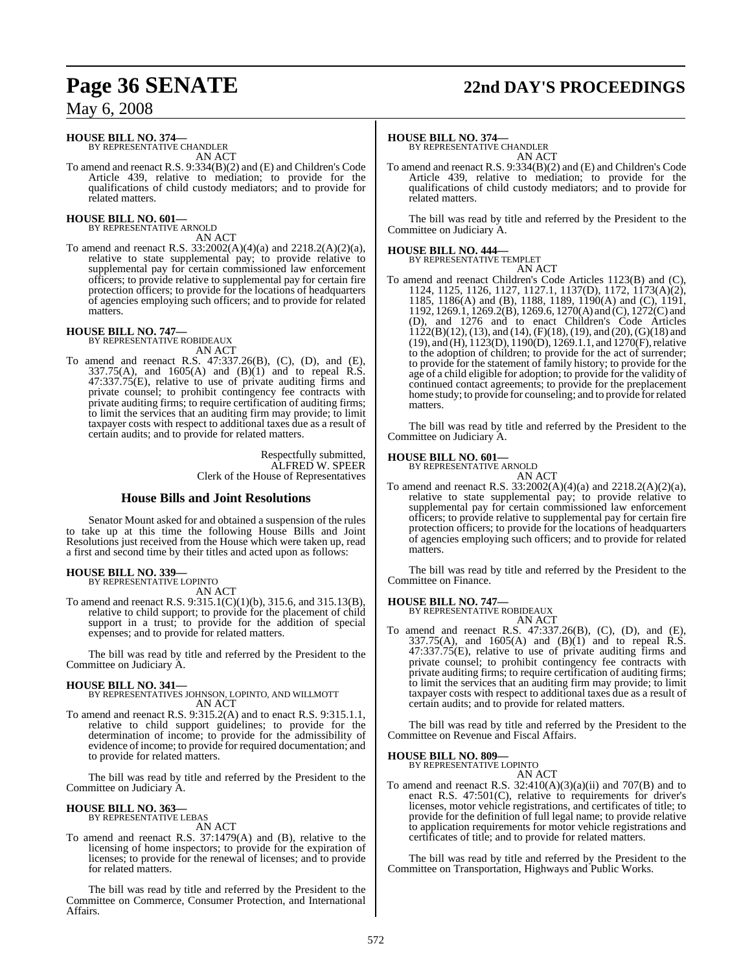# **Page 36 SENATE 22nd DAY'S PROCEEDINGS**

## May 6, 2008

# **HOUSE BILL NO. 374—** BY REPRESENTATIVE CHANDLER

AN ACT

To amend and reenact R.S. 9:334(B)(2) and (E) and Children's Code Article 439, relative to mediation; to provide for the qualifications of child custody mediators; and to provide for related matters.

# **HOUSE BILL NO. 601—** BY REPRESENTATIVE ARNOLD

AN ACT

To amend and reenact R.S. 33:2002(A)(4)(a) and 2218.2(A)(2)(a), relative to state supplemental pay; to provide relative to supplemental pay for certain commissioned law enforcement officers; to provide relative to supplemental pay for certain fire protection officers; to provide for the locations of headquarters of agencies employing such officers; and to provide for related matters.

**HOUSE BILL NO. 747—** BY REPRESENTATIVE ROBIDEAUX AN ACT

To amend and reenact R.S. 47:337.26(B), (C), (D), and (E), 337.75(A), and 1605(A) and (B)(1) and to repeal R.S.  $47:337.75(E)$ , relative to use of private auditing firms and private counsel; to prohibit contingency fee contracts with private auditing firms; to require certification of auditing firms; to limit the services that an auditing firm may provide; to limit taxpayer costs with respect to additional taxes due as a result of certain audits; and to provide for related matters.

> Respectfully submitted, ALFRED W. SPEER Clerk of the House of Representatives

### **House Bills and Joint Resolutions**

Senator Mount asked for and obtained a suspension of the rules to take up at this time the following House Bills and Joint Resolutions just received from the House which were taken up, read a first and second time by their titles and acted upon as follows:

### **HOUSE BILL NO. 339—** BY REPRESENTATIVE LOPINTO

AN ACT

To amend and reenact R.S. 9:315.1(C)(1)(b), 315.6, and 315.13(B), relative to child support; to provide for the placement of child support in a trust; to provide for the addition of special expenses; and to provide for related matters.

The bill was read by title and referred by the President to the Committee on Judiciary A.

### **HOUSE BILL NO. 341—** BY REPRESENTATIVES JOHNSON, LOPINTO, AND WILLMOTT AN ACT

To amend and reenact R.S. 9:315.2(A) and to enact R.S. 9:315.1.1, relative to child support guidelines; to provide for the determination of income; to provide for the admissibility of evidence of income; to provide for required documentation; and to provide for related matters.

The bill was read by title and referred by the President to the Committee on Judiciary A.

### **HOUSE BILL NO. 363—** BY REPRESENTATIVE LEBAS

AN ACT

To amend and reenact R.S. 37:1479(A) and (B), relative to the licensing of home inspectors; to provide for the expiration of licenses; to provide for the renewal of licenses; and to provide for related matters.

The bill was read by title and referred by the President to the Committee on Commerce, Consumer Protection, and International Affairs.

### **HOUSE BILL NO. 374—**

BY REPRESENTATIVE CHANDLER AN ACT

To amend and reenact R.S. 9:334(B)(2) and (E) and Children's Code Article 439, relative to mediation; to provide for the qualifications of child custody mediators; and to provide for related matters.

The bill was read by title and referred by the President to the Committee on Judiciary A.

# **HOUSE BILL NO. 444—** BY REPRESENTATIVE TEMPLET

AN ACT

To amend and reenact Children's Code Articles 1123(B) and (C), 1124, 1125, 1126, 1127, 1127.1, 1137(D), 1172, 1173(A)(2), 1185, 1186(A) and (B), 1188, 1189, 1190(A) and (C), 1191, 1192, 1269.1, 1269.2(B), 1269.6, 1270(A) and (C), 1272(C) and (D), and 1276 and to enact Children's Code Articles  $1122(B)(12)$ , (13), and (14), (F)(18), (19), and (20), (G)(18) and (19), and (H), 1123(D), 1190(D), 1269.1.1, and 1270(F), relative to the adoption of children; to provide for the act of surrender; to provide for the statement of family history; to provide for the age of a child eligible for adoption; to provide for the validity of continued contact agreements; to provide for the preplacement home study; to provide for counseling; and to provide forrelated matters.

The bill was read by title and referred by the President to the Committee on Judiciary A.

# **HOUSE BILL NO. 601—** BY REPRESENTATIVE ARNOLD

AN ACT

To amend and reenact R.S. 33:2002(A)(4)(a) and 2218.2(A)(2)(a), relative to state supplemental pay; to provide relative to supplemental pay for certain commissioned law enforcement officers; to provide relative to supplemental pay for certain fire protection officers; to provide for the locations of headquarters of agencies employing such officers; and to provide for related matters.

The bill was read by title and referred by the President to the Committee on Finance.

# **HOUSE BILL NO. 747—** BY REPRESENTATIVE ROBIDEAUX

AN ACT

To amend and reenact R.S. 47:337.26(B), (C), (D), and (E),  $337.75(A)$ , and  $1605(A)$  and  $(B)(1)$  and to repeal R.S. 47:337.75(E), relative to use of private auditing firms and private counsel; to prohibit contingency fee contracts with private auditing firms; to require certification of auditing firms; to limit the services that an auditing firm may provide; to limit taxpayer costs with respect to additional taxes due as a result of certain audits; and to provide for related matters.

The bill was read by title and referred by the President to the Committee on Revenue and Fiscal Affairs.

# **HOUSE BILL NO. 809—** BY REPRESENTATIVE LOPINTO

AN ACT

To amend and reenact R.S.  $32:410(A)(3)(a)(ii)$  and  $707(B)$  and to enact R.S. 47:501(C), relative to requirements for driver's licenses, motor vehicle registrations, and certificates of title; to provide for the definition of full legal name; to provide relative to application requirements for motor vehicle registrations and certificates of title; and to provide for related matters.

The bill was read by title and referred by the President to the Committee on Transportation, Highways and Public Works.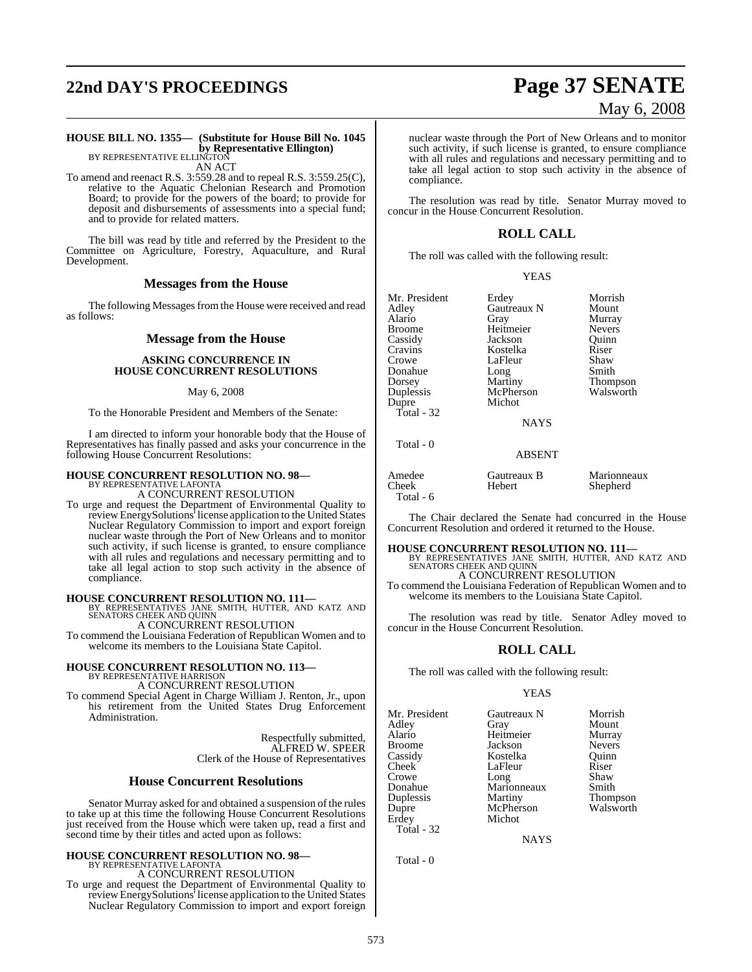# **22nd DAY'S PROCEEDINGS Page 37 SENATE**

# May 6, 2008

### **HOUSE BILL NO. 1355— (Substitute for House Bill No. 1045 by Representative Ellington)**<br>BY REPRESENTATIVE ELLINGTON

AN ACT

To amend and reenact R.S. 3:559.28 and to repeal R.S. 3:559.25(C), relative to the Aquatic Chelonian Research and Promotion Board; to provide for the powers of the board; to provide for deposit and disbursements of assessments into a special fund; and to provide for related matters.

The bill was read by title and referred by the President to the Committee on Agriculture, Forestry, Aquaculture, and Rural Development.

### **Messages from the House**

The following Messages from the House were received and read as follows:

### **Message from the House**

### **ASKING CONCURRENCE IN HOUSE CONCURRENT RESOLUTIONS**

### May 6, 2008

To the Honorable President and Members of the Senate:

I am directed to inform your honorable body that the House of Representatives has finally passed and asks your concurrence in the following House Concurrent Resolutions:

# **HOUSE CONCURRENT RESOLUTION NO. 98—** BY REPRESENTATIVE LAFONTA

A CONCURRENT RESOLUTION

To urge and request the Department of Environmental Quality to review EnergySolutions<sup>†</sup> license application to the United States Nuclear Regulatory Commission to import and export foreign nuclear waste through the Port of New Orleans and to monitor such activity, if such license is granted, to ensure compliance with all rules and regulations and necessary permitting and to take all legal action to stop such activity in the absence of compliance.

**HOUSE CONCURRENT RESOLUTION NO. 111—** BY REPRESENTATIVES JANE SMITH, HUTTER, AND KATZ AND SENATORS CHEEK AND QUINN

A CONCURRENT RESOLUTION

To commend the Louisiana Federation of Republican Women and to welcome its members to the Louisiana State Capitol.

### **HOUSE CONCURRENT RESOLUTION NO. 113—** BY REPRESENTATIVE HARRISON A CONCURRENT RESOLUTION

To commend Special Agent in Charge William J. Renton, Jr., upon

his retirement from the United States Drug Enforcement Administration.

> Respectfully submitted, ALFRED W. SPEER Clerk of the House of Representatives

### **House Concurrent Resolutions**

Senator Murray asked for and obtained a suspension of the rules to take up at this time the following House Concurrent Resolutions just received from the House which were taken up, read a first and second time by their titles and acted upon as follows:

### **HOUSE CONCURRENT RESOLUTION NO. 98—** BY REPRESENTATIVE LAFONTA A CONCURRENT RESOLUTION

To urge and request the Department of Environmental Quality to review EnergySolutions<sup>†</sup> license application to the United States Nuclear Regulatory Commission to import and export foreign nuclear waste through the Port of New Orleans and to monitor such activity, if such license is granted, to ensure compliance with all rules and regulations and necessary permitting and to take all legal action to stop such activity in the absence of compliance.

The resolution was read by title. Senator Murray moved to concur in the House Concurrent Resolution.

### **ROLL CALL**

The roll was called with the following result:

YEAS

| Mr. President | Erdey       | Morrish         |
|---------------|-------------|-----------------|
| Adley         | Gautreaux N | Mount           |
| Alario        | Gray        | Murray          |
| Broome        | Heitmeier   | <b>Nevers</b>   |
| Cassidy       | Jackson     | Ouinn           |
| Cravins       | Kostelka    | Riser           |
| Crowe         | LaFleur     | Shaw            |
| Donahue       | Long        | Smith           |
| Dorsey        | Martiny     | <b>Thompson</b> |
| Duplessis     | McPherson   | Walsworth       |
| Dupre         | Michot      |                 |
| Total - 32    |             |                 |
|               | <b>NAYS</b> |                 |
|               |             |                 |

### ABSENT

| Gautreaux B<br>Hebert | Marionneaux<br>Shepherd |
|-----------------------|-------------------------|
|                       |                         |

The Chair declared the Senate had concurred in the House Concurrent Resolution and ordered it returned to the House.

**HOUSE CONCURRENT RESOLUTION NO. 111—** BY REPRESENTATIVES JANE SMITH, HUTTER, AND KATZ AND SENATORS CHEEK AND QUINN A CONCURRENT RESOLUTION

To commend the Louisiana Federation of Republican Women and to welcome its members to the Louisiana State Capitol.

The resolution was read by title. Senator Adley moved to concur in the House Concurrent Resolution.

### **ROLL CALL**

The roll was called with the following result:

### YEAS

Mr. President Gautreaux N Morrish<br>Adley Gray Mount Adley Gray Mount Alario Heitmeier Murray Broome Jackson Nevers<br>Cassidy Kostelka Ouinn Cheek LaFleur Riser<br>Crowe Long Shaw Crowe Long Shaw<br>Donahue Marionneaux Smith Donahue Marionneaux<br>
Duplessis Martiny Duplessis Martiny Thompson Erdey Michot Total - 32

Kostelka

**NAYS** 

Walsworth

Total - 0

Total - 0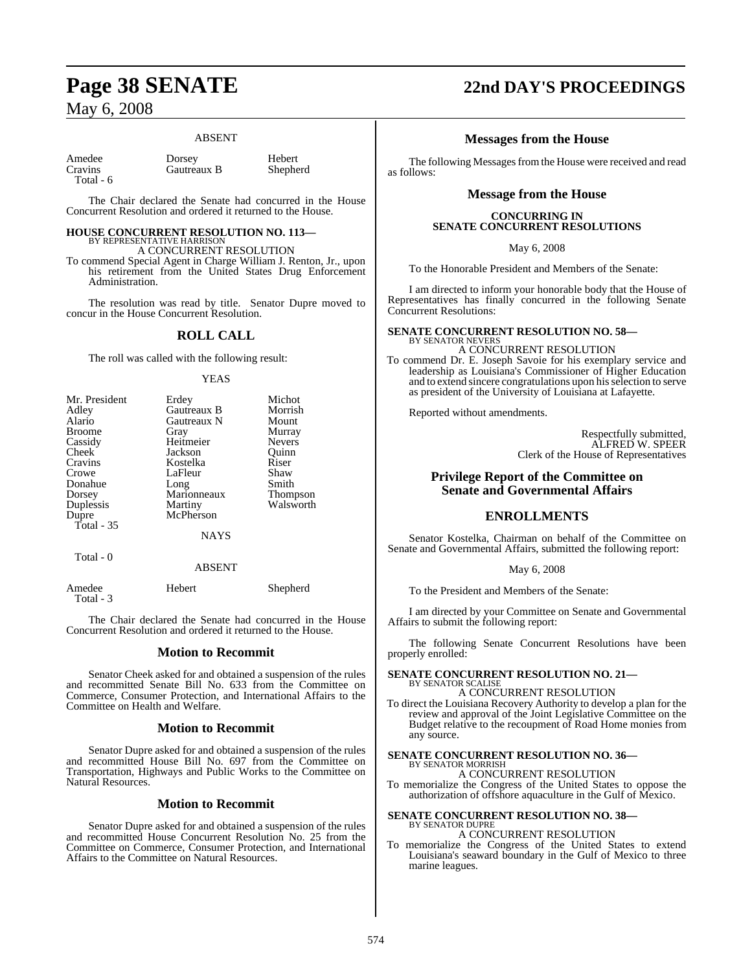### ABSENT

| Amedee    |
|-----------|
| Cravins   |
| Total - 6 |

Dorsey Hebert<br>Gautreaux B Shepherd Gautreaux B

The Chair declared the Senate had concurred in the House Concurrent Resolution and ordered it returned to the House.

### **HOUSE CONCURRENT RESOLUTION NO. 113—** BY REPRESENTATIVE HARRISON A CONCURRENT RESOLUTION

To commend Special Agent in Charge William J. Renton, Jr., upon his retirement from the United States Drug Enforcement Administration.

The resolution was read by title. Senator Dupre moved to concur in the House Concurrent Resolution.

### **ROLL CALL**

The roll was called with the following result:

### **YEAS**

| Mr. President | Erdey       | Michot          |
|---------------|-------------|-----------------|
| Adley         | Gautreaux B | Morrish         |
| Alario        | Gautreaux N | Mount           |
| <b>Broome</b> | Gray        | Murray          |
| Cassidy       | Heitmeier   | <b>Nevers</b>   |
| Cheek         | Jackson     | Ouinn           |
| Cravins       | Kostelka    | Riser           |
| Crowe         | LaFleur     | Shaw            |
| Donahue       | Long        | Smith           |
| Dorsey        | Marionneaux | <b>Thompson</b> |
| Duplessis     | Martiny     | Walsworth       |
| Dupre         | McPherson   |                 |
| Total - 35    |             |                 |
|               | <b>NAYS</b> |                 |
| Total - 0     |             |                 |
|               | ABSENT      |                 |

| Amedee    | Hebert | Shepherd |
|-----------|--------|----------|
| Total - 3 |        |          |

The Chair declared the Senate had concurred in the House Concurrent Resolution and ordered it returned to the House.

### **Motion to Recommit**

Senator Cheek asked for and obtained a suspension of the rules and recommitted Senate Bill No. 633 from the Committee on Commerce, Consumer Protection, and International Affairs to the Committee on Health and Welfare.

### **Motion to Recommit**

Senator Dupre asked for and obtained a suspension of the rules and recommitted House Bill No. 697 from the Committee on Transportation, Highways and Public Works to the Committee on Natural Resources.

### **Motion to Recommit**

Senator Dupre asked for and obtained a suspension of the rules and recommitted House Concurrent Resolution No. 25 from the Committee on Commerce, Consumer Protection, and International Affairs to the Committee on Natural Resources.

# **Page 38 SENATE 22nd DAY'S PROCEEDINGS**

### **Messages from the House**

The following Messages from the House were received and read as follows:

### **Message from the House**

### **CONCURRING IN SENATE CONCURRENT RESOLUTIONS**

May 6, 2008

To the Honorable President and Members of the Senate:

I am directed to inform your honorable body that the House of Representatives has finally concurred in the following Senate Concurrent Resolutions:

### **SENATE CONCURRENT RESOLUTION NO. 58—** BY SENATOR NEVERS

A CONCURRENT RESOLUTION

To commend Dr. E. Joseph Savoie for his exemplary service and leadership as Louisiana's Commissioner of Higher Education and to extend sincere congratulations upon hisselection to serve as president of the University of Louisiana at Lafayette.

Reported without amendments.

Respectfully submitted, ALFRED W. SPEER Clerk of the House of Representatives

### **Privilege Report of the Committee on Senate and Governmental Affairs**

### **ENROLLMENTS**

Senator Kostelka, Chairman on behalf of the Committee on Senate and Governmental Affairs, submitted the following report:

May 6, 2008

To the President and Members of the Senate:

I am directed by your Committee on Senate and Governmental Affairs to submit the following report:

The following Senate Concurrent Resolutions have been properly enrolled:

# **SENATE CONCURRENT RESOLUTION NO. 21—** BY SENATOR SCALISE

A CONCURRENT RESOLUTION

To direct the Louisiana Recovery Authority to develop a plan for the review and approval of the Joint Legislative Committee on the Budget relative to the recoupment of Road Home monies from any source.

# **SENATE CONCURRENT RESOLUTION NO. 36—** BY SENATOR MORRISH

A CONCURRENT RESOLUTION

To memorialize the Congress of the United States to oppose the authorization of offshore aquaculture in the Gulf of Mexico.

### **SENATE CONCURRENT RESOLUTION NO. 38—** BY SENATOR DUPRE A CONCURRENT RESOLUTION

To memorialize the Congress of the United States to extend Louisiana's seaward boundary in the Gulf of Mexico to three marine leagues.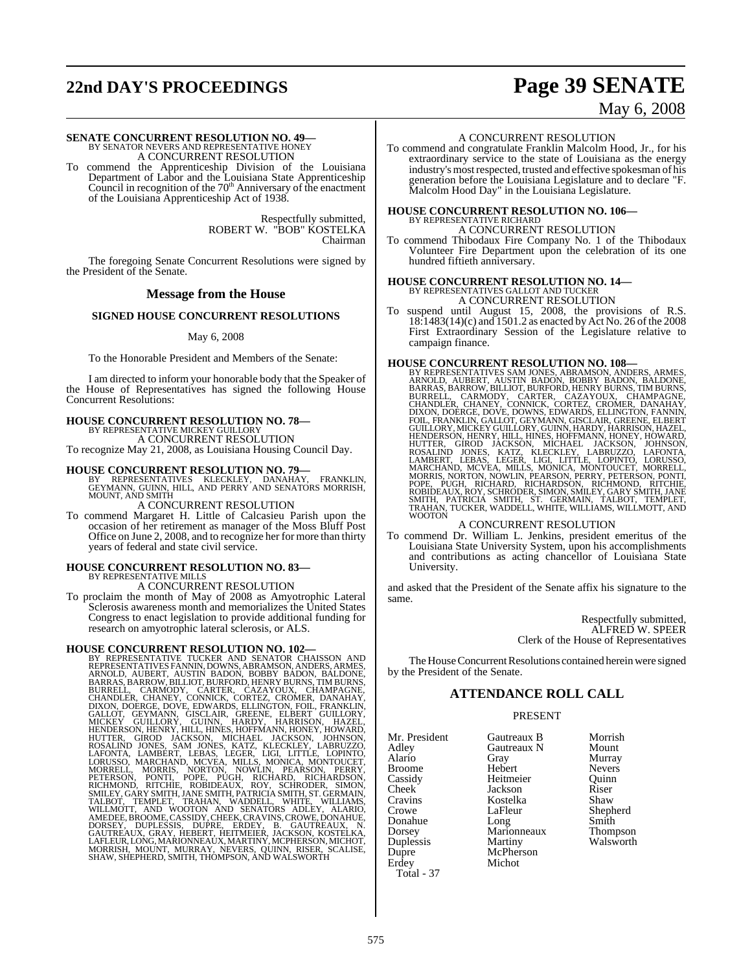# **22nd DAY'S PROCEEDINGS Page 39 SENATE**

May 6, 2008

# **SENATE CONCURRENT RESOLUTION NO. 49—**<br>BY SENATOR NEVERS AND REPRESENTATIVE HONEY<br>A CONCURRENT RESOLUTION

To commend the Apprenticeship Division of the Louisiana Department of Labor and the Louisiana State Apprenticeship Council in recognition of the  $70<sup>th</sup>$  Anniversary of the enactment of the Louisiana Apprenticeship Act of 1938.

> Respectfully submitted, ROBERT W. "BOB" KOSTELKA Chairman

The foregoing Senate Concurrent Resolutions were signed by the President of the Senate.

### **Message from the House**

### **SIGNED HOUSE CONCURRENT RESOLUTIONS**

### May 6, 2008

To the Honorable President and Members of the Senate:

I am directed to inform your honorable body that the Speaker of the House of Representatives has signed the following House Concurrent Resolutions:

### **HOUSE CONCURRENT RESOLUTION NO. 78—** BY REPRESENTATIVE MICKEY GUILLORY A CONCURRENT RESOLUTION

To recognize May 21, 2008, as Louisiana Housing Council Day.

**HOUSE CONCURRENT RESOLUTION NO. 79—**<br>BY REPRESENTATIVES KLECKLEY, DANAHAY, FRANKLIN,<br>GEYMANN, GUINN, HILL, AND PERRY AND SENATORS MORRISH,<br>MOUNT, AND SMITH

### A CONCURRENT RESOLUTION

To commend Margaret H. Little of Calcasieu Parish upon the occasion of her retirement as manager of the Moss Bluff Post Office on June 2, 2008, and to recognize her for more than thirty years of federal and state civil service.

# **HOUSE CONCURRENT RESOLUTION NO. 83—** BY REPRESENTATIVE MILLS

A CONCURRENT RESOLUTION

To proclaim the month of May of 2008 as Amyotrophic Lateral Sclerosis awareness month and memorializes the United States Congress to enact legislation to provide additional funding for research on amyotrophic lateral sclerosis, or ALS.

HOUSE CONCURRENT RESOLUTION NO. 102-<br>BY REPRESENTATIVE TUCKER AND SENATOR CHAISSON AND<br>REPRESENTATIVES FANNI, DOWNS, ABRAMSON, ANDERS, ARMES,<br>ARNOLD, AUBERT, AUSTIN BADON, BOBBY BADON, BALDONE,<br>BARRAS, BARROW, BILLIOT, BUR

### A CONCURRENT RESOLUTION

To commend and congratulate Franklin Malcolm Hood, Jr., for his extraordinary service to the state of Louisiana as the energy industry's mostrespected, trusted and effective spokesman of his generation before the Louisiana Legislature and to declare "F. Malcolm Hood Day" in the Louisiana Legislature.

# **HOUSE CONCURRENT RESOLUTION NO. 106—** BY REPRESENTATIVE RICHARD

A CONCURRENT RESOLUTION

To commend Thibodaux Fire Company No. 1 of the Thibodaux Volunteer Fire Department upon the celebration of its one hundred fiftieth anniversary.

### **HOUSE CONCURRENT RESOLUTION NO. 14—** BY REPRESENTATIVES GALLOT AND TUCKER A CONCURRENT RESOLUTION

To suspend until August 15, 2008, the provisions of R.S. 18:1483(14)(c) and 1501.2 as enacted by Act No. 26 ofthe 2008 First Extraordinary Session of the Legislature relative to campaign finance.

HOUSE CONCURRENT RESOLUTION NO. 108-<br>BY REPRESENTATIVES SAM JONES, ABRAMSON, ANDEER, ARMES, ARNOLD, AUBERT, AUSTIN BADON, BOBBY BADON, BALDONE, BARRAS, BARROW, BILLIOT, BURFORD, HENRY BURNS, TIM BURNS, EURREL, CARMODY, CAR

### A CONCURRENT RESOLUTION

To commend Dr. William L. Jenkins, president emeritus of the Louisiana State University System, upon his accomplishments and contributions as acting chancellor of Louisiana State University.

and asked that the President of the Senate affix his signature to the same.

> Respectfully submitted, ALFRED W. SPEER Clerk of the House of Representatives

The House Concurrent Resolutions contained herein were signed by the President of the Senate.

### **ATTENDANCE ROLL CALL**

### PRESENT

| Mr. President |
|---------------|
| Adley         |
| Alario        |
| Broome        |
| Cassidy       |
| Cheek         |
| Cravins       |
| Crowe         |
| Donahue       |
| Dorsey        |
| Duplessis     |
| Dupre         |
| Erdey         |
| Total - 37    |

Gautreaux N<br>Gray Hebert Nevers<br>
Heitmeier Ouinn Heitmeier Quinn<br>
Jackson Riser Jackson Riser<br>Kostelka Shaw Kostelka<br>LaFleur Marionneaux<br>Martiny McPherson Michot

Gautreaux B Morrish<br>
Gautreaux N Mount Murray<br>Nevers Shepherd<br>Smith Long Smith<br>Marionneaux Thompson Walsworth